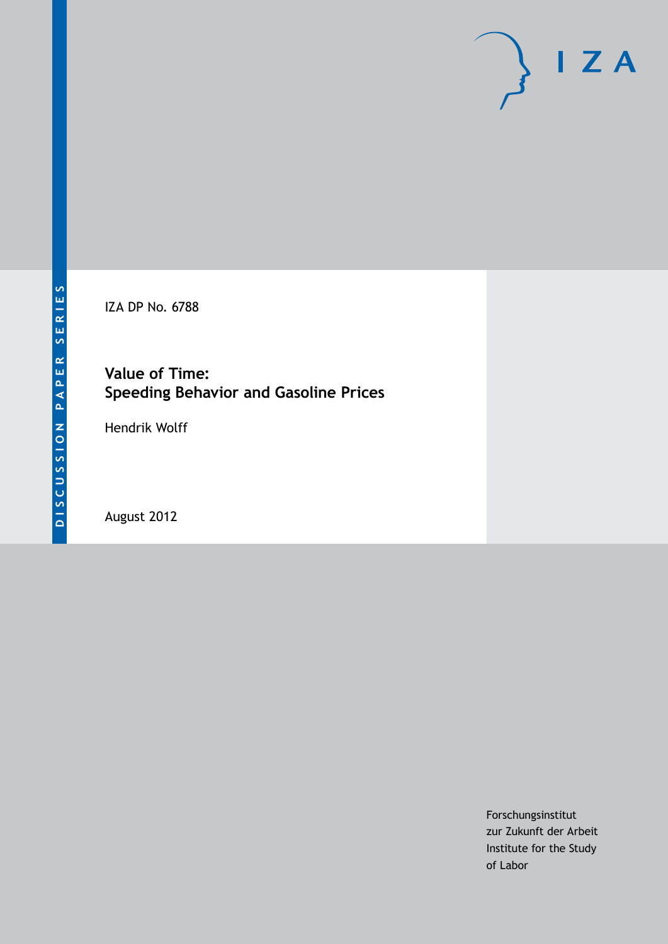# $I Z A$

IZA DP No. 6788

**Value of Time: Speeding Behavior and Gasoline Prices**

Hendrik Wolff

August 2012

Forschungsinstitut zur Zukunft der Arbeit Institute for the Study of Labor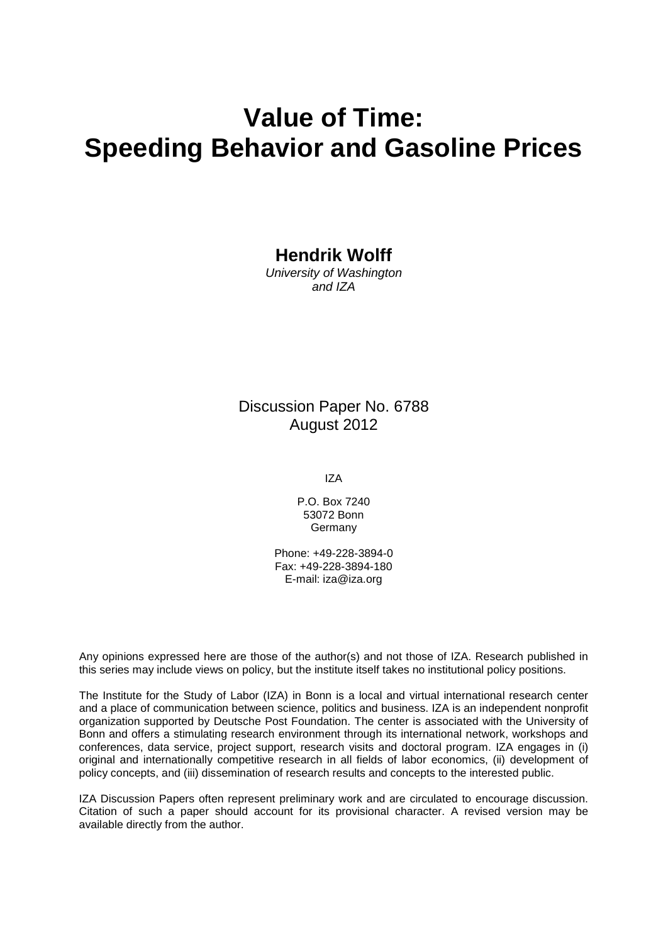## **Value of Time: Speeding Behavior and Gasoline Prices**

**Hendrik Wolff**

*University of Washington and IZA*

## Discussion Paper No. 6788 August 2012

IZA

P.O. Box 7240 53072 Bonn Germany

Phone: +49-228-3894-0 Fax: +49-228-3894-180 E-mail: [iza@iza.org](mailto:iza@iza.org)

Any opinions expressed here are those of the author(s) and not those of IZA. Research published in this series may include views on policy, but the institute itself takes no institutional policy positions.

The Institute for the Study of Labor (IZA) in Bonn is a local and virtual international research center and a place of communication between science, politics and business. IZA is an independent nonprofit organization supported by Deutsche Post Foundation. The center is associated with the University of Bonn and offers a stimulating research environment through its international network, workshops and conferences, data service, project support, research visits and doctoral program. IZA engages in (i) original and internationally competitive research in all fields of labor economics, (ii) development of policy concepts, and (iii) dissemination of research results and concepts to the interested public.

<span id="page-1-0"></span>IZA Discussion Papers often represent preliminary work and are circulated to encourage discussion. Citation of such a paper should account for its provisional character. A revised version may be available directly from the author.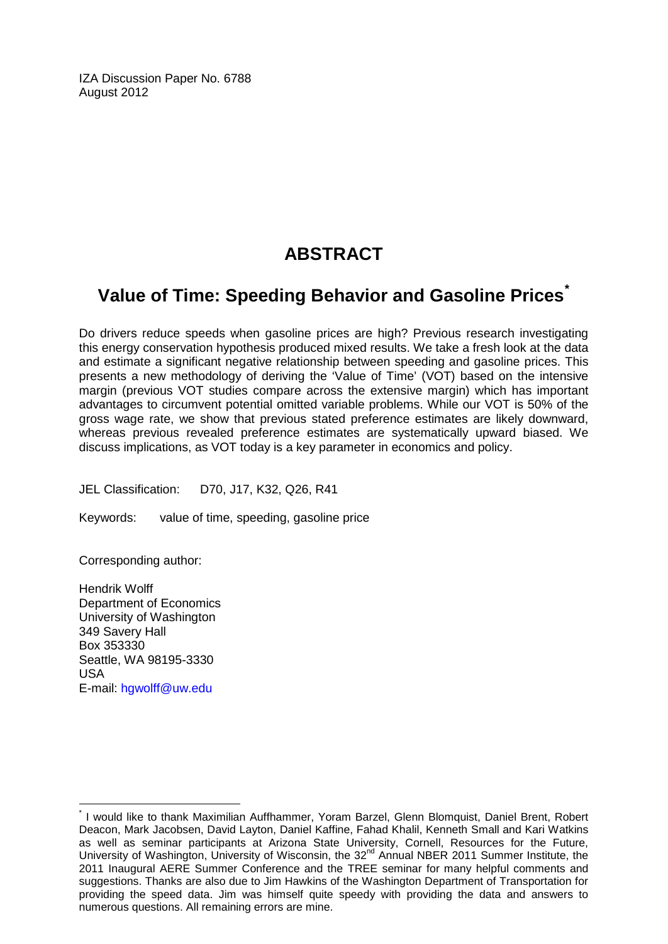IZA Discussion Paper No. 6788 August 2012

## **ABSTRACT**

## **Value of Time: Speeding Behavior and Gasoline Prices[\\*](#page-1-0)**

Do drivers reduce speeds when gasoline prices are high? Previous research investigating this energy conservation hypothesis produced mixed results. We take a fresh look at the data and estimate a significant negative relationship between speeding and gasoline prices. This presents a new methodology of deriving the 'Value of Time' (VOT) based on the intensive margin (previous VOT studies compare across the extensive margin) which has important advantages to circumvent potential omitted variable problems. While our VOT is 50% of the gross wage rate, we show that previous stated preference estimates are likely downward, whereas previous revealed preference estimates are systematically upward biased. We discuss implications, as VOT today is a key parameter in economics and policy.

JEL Classification: D70, J17, K32, Q26, R41

Keywords: value of time, speeding, gasoline price

Corresponding author:

Hendrik Wolff Department of Economics University of Washington 349 Savery Hall Box 353330 Seattle, WA 98195-3330 USA E-mail: [hgwolff@uw.edu](mailto:hgwolff@uw.edu)

I would like to thank Maximilian Auffhammer, Yoram Barzel, Glenn Blomquist, Daniel Brent, Robert Deacon, Mark Jacobsen, David Layton, Daniel Kaffine, Fahad Khalil, Kenneth Small and Kari Watkins as well as seminar participants at Arizona State University, Cornell, Resources for the Future, University of Washington, University of Wisconsin, the 32nd Annual NBER 2011 Summer Institute, the 2011 Inaugural AERE Summer Conference and the TREE seminar for many helpful comments and suggestions. Thanks are also due to Jim Hawkins of the Washington Department of Transportation for providing the speed data. Jim was himself quite speedy with providing the data and answers to numerous questions. All remaining errors are mine.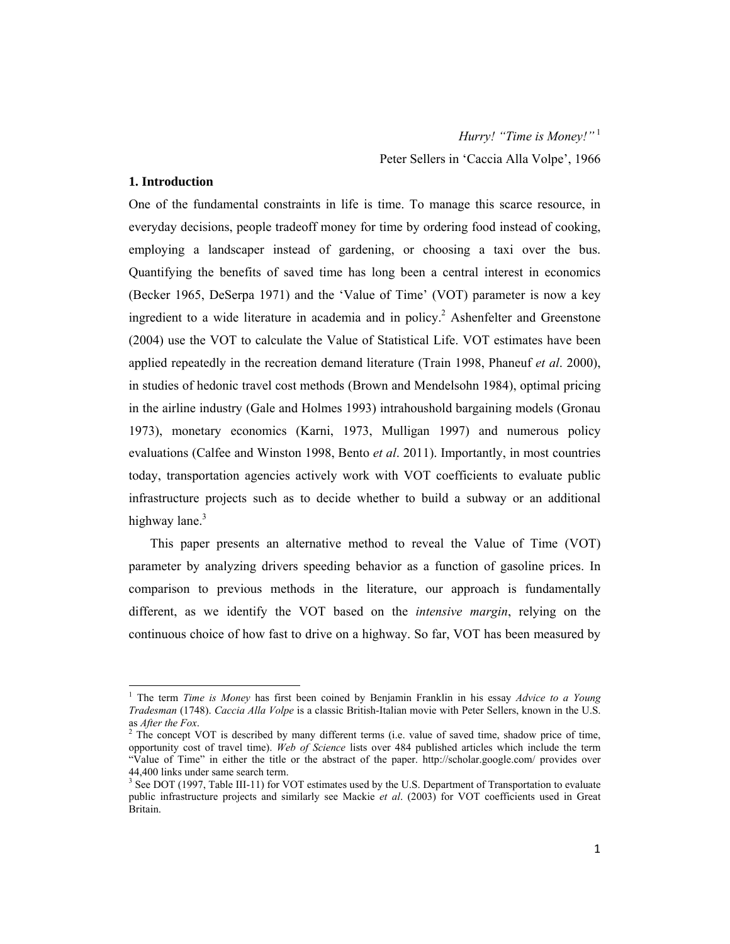#### **1. Introduction**

One of the fundamental constraints in life is time. To manage this scarce resource, in everyday decisions, people tradeoff money for time by ordering food instead of cooking, employing a landscaper instead of gardening, or choosing a taxi over the bus. Quantifying the benefits of saved time has long been a central interest in economics (Becker 1965, DeSerpa 1971) and the 'Value of Time' (VOT) parameter is now a key ingredient to a wide literature in academia and in policy.<sup>2</sup> Ashenfelter and Greenstone (2004) use the VOT to calculate the Value of Statistical Life. VOT estimates have been applied repeatedly in the recreation demand literature (Train 1998, Phaneuf *et al*. 2000), in studies of hedonic travel cost methods (Brown and Mendelsohn 1984), optimal pricing in the airline industry (Gale and Holmes 1993) intrahoushold bargaining models (Gronau 1973), monetary economics (Karni, 1973, Mulligan 1997) and numerous policy evaluations (Calfee and Winston 1998, Bento *et al*. 2011). Importantly, in most countries today, transportation agencies actively work with VOT coefficients to evaluate public infrastructure projects such as to decide whether to build a subway or an additional highway lane. $3$ 

This paper presents an alternative method to reveal the Value of Time (VOT) parameter by analyzing drivers speeding behavior as a function of gasoline prices. In comparison to previous methods in the literature, our approach is fundamentally different, as we identify the VOT based on the *intensive margin*, relying on the continuous choice of how fast to drive on a highway. So far, VOT has been measured by

<sup>1</sup> The term *Time is Money* has first been coined by Benjamin Franklin in his essay *Advice to a Young Tradesman* (1748). *Caccia Alla Volpe* is a classic British-Italian movie with Peter Sellers, known in the U.S. as *After the Fox*. 2

 $2$  The concept VOT is described by many different terms (i.e. value of saved time, shadow price of time, opportunity cost of travel time). *Web of Science* lists over 484 published articles which include the term "Value of Time" in either the title or the abstract of the paper. http://scholar.google.com/ provides over 44,400 links under same search term.<br><sup>3</sup> See DOT (1997, Table III-11) for VOT estimates used by the U.S. Department of Transportation to evaluate

public infrastructure projects and similarly see Mackie *et al*. (2003) for VOT coefficients used in Great Britain.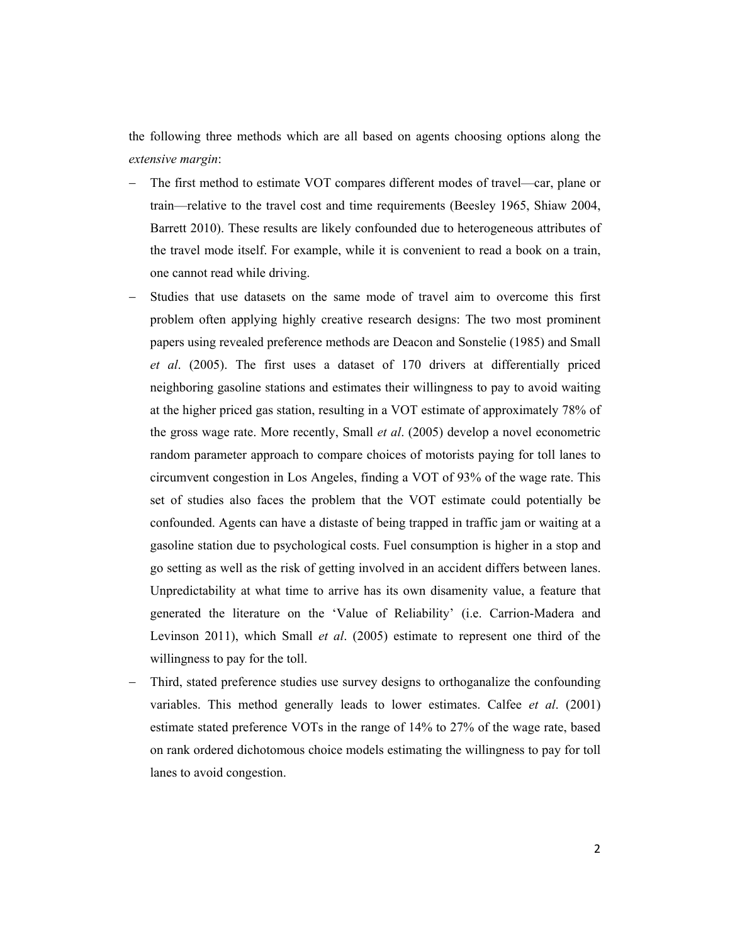the following three methods which are all based on agents choosing options along the *extensive margin*:

- The first method to estimate VOT compares different modes of travel—car, plane or train—relative to the travel cost and time requirements (Beesley 1965, Shiaw 2004, Barrett 2010). These results are likely confounded due to heterogeneous attributes of the travel mode itself. For example, while it is convenient to read a book on a train, one cannot read while driving.
- Studies that use datasets on the same mode of travel aim to overcome this first problem often applying highly creative research designs: The two most prominent papers using revealed preference methods are Deacon and Sonstelie (1985) and Small *et al*. (2005). The first uses a dataset of 170 drivers at differentially priced neighboring gasoline stations and estimates their willingness to pay to avoid waiting at the higher priced gas station, resulting in a VOT estimate of approximately 78% of the gross wage rate. More recently, Small *et al*. (2005) develop a novel econometric random parameter approach to compare choices of motorists paying for toll lanes to circumvent congestion in Los Angeles, finding a VOT of 93% of the wage rate. This set of studies also faces the problem that the VOT estimate could potentially be confounded. Agents can have a distaste of being trapped in traffic jam or waiting at a gasoline station due to psychological costs. Fuel consumption is higher in a stop and go setting as well as the risk of getting involved in an accident differs between lanes. Unpredictability at what time to arrive has its own disamenity value, a feature that generated the literature on the 'Value of Reliability' (i.e. Carrion-Madera and Levinson 2011), which Small *et al*. (2005) estimate to represent one third of the willingness to pay for the toll.
- Third, stated preference studies use survey designs to orthoganalize the confounding variables. This method generally leads to lower estimates. Calfee *et al*. (2001) estimate stated preference VOTs in the range of 14% to 27% of the wage rate, based on rank ordered dichotomous choice models estimating the willingness to pay for toll lanes to avoid congestion.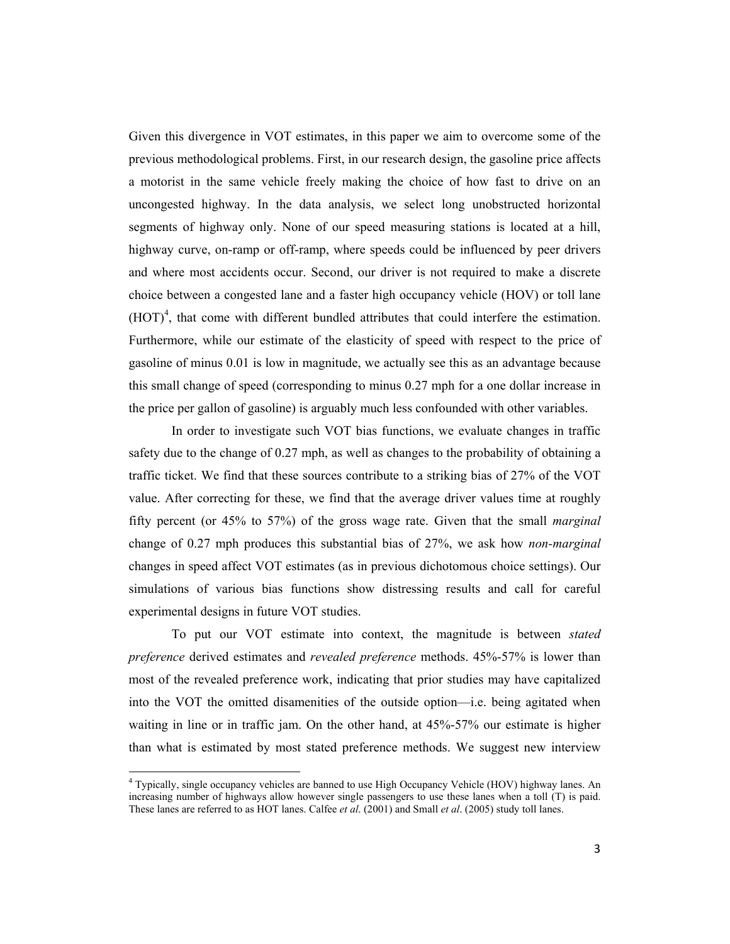Given this divergence in VOT estimates, in this paper we aim to overcome some of the previous methodological problems. First, in our research design, the gasoline price affects a motorist in the same vehicle freely making the choice of how fast to drive on an uncongested highway. In the data analysis, we select long unobstructed horizontal segments of highway only. None of our speed measuring stations is located at a hill, highway curve, on-ramp or off-ramp, where speeds could be influenced by peer drivers and where most accidents occur. Second, our driver is not required to make a discrete choice between a congested lane and a faster high occupancy vehicle (HOV) or toll lane  $(HOT)^4$ , that come with different bundled attributes that could interfere the estimation. Furthermore, while our estimate of the elasticity of speed with respect to the price of gasoline of minus 0.01 is low in magnitude, we actually see this as an advantage because this small change of speed (corresponding to minus 0.27 mph for a one dollar increase in the price per gallon of gasoline) is arguably much less confounded with other variables.

In order to investigate such VOT bias functions, we evaluate changes in traffic safety due to the change of 0.27 mph, as well as changes to the probability of obtaining a traffic ticket. We find that these sources contribute to a striking bias of 27% of the VOT value. After correcting for these, we find that the average driver values time at roughly fifty percent (or 45% to 57%) of the gross wage rate. Given that the small *marginal* change of 0.27 mph produces this substantial bias of 27%, we ask how *non-marginal* changes in speed affect VOT estimates (as in previous dichotomous choice settings). Our simulations of various bias functions show distressing results and call for careful experimental designs in future VOT studies.

To put our VOT estimate into context, the magnitude is between *stated preference* derived estimates and *revealed preference* methods. 45%-57% is lower than most of the revealed preference work, indicating that prior studies may have capitalized into the VOT the omitted disamenities of the outside option—i.e. being agitated when waiting in line or in traffic jam. On the other hand, at 45%-57% our estimate is higher than what is estimated by most stated preference methods. We suggest new interview

<sup>&</sup>lt;sup>4</sup> Typically, single occupancy vehicles are banned to use High Occupancy Vehicle (HOV) highway lanes. An increasing number of highways allow however single passengers to use these lanes when a toll (T) is paid. These lanes are referred to as HOT lanes. Calfee *et al*. (2001) and Small *et al*. (2005) study toll lanes.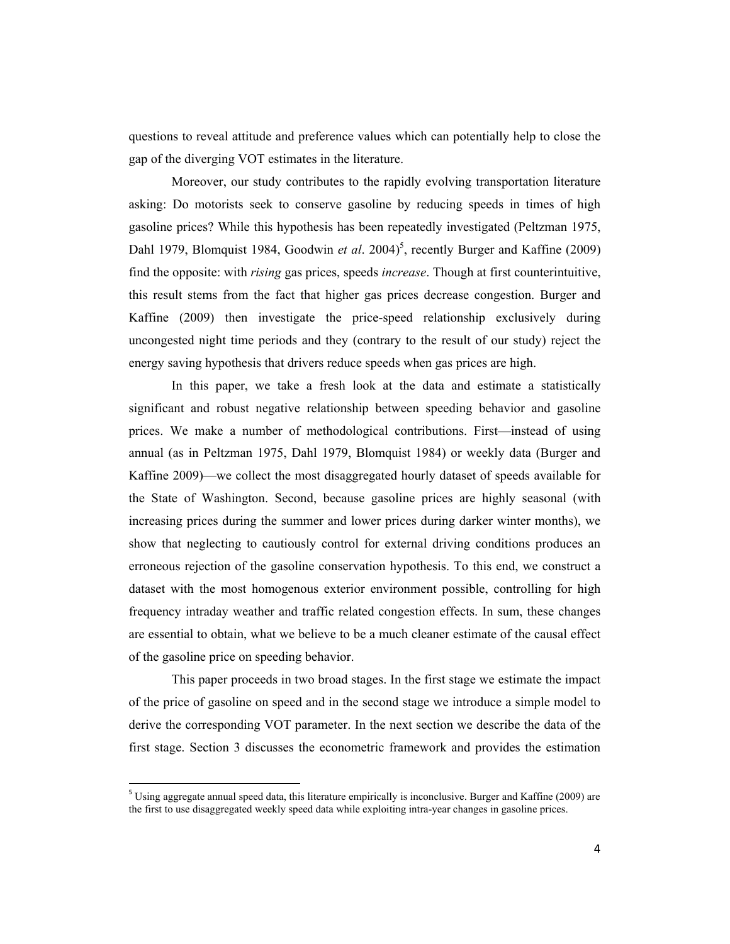questions to reveal attitude and preference values which can potentially help to close the gap of the diverging VOT estimates in the literature.

Moreover, our study contributes to the rapidly evolving transportation literature asking: Do motorists seek to conserve gasoline by reducing speeds in times of high gasoline prices? While this hypothesis has been repeatedly investigated (Peltzman 1975, Dahl 1979, Blomquist 1984, Goodwin *et al.* 2004)<sup>5</sup>, recently Burger and Kaffine (2009) find the opposite: with *rising* gas prices, speeds *increase*. Though at first counterintuitive, this result stems from the fact that higher gas prices decrease congestion. Burger and Kaffine (2009) then investigate the price-speed relationship exclusively during uncongested night time periods and they (contrary to the result of our study) reject the energy saving hypothesis that drivers reduce speeds when gas prices are high.

In this paper, we take a fresh look at the data and estimate a statistically significant and robust negative relationship between speeding behavior and gasoline prices. We make a number of methodological contributions. First—instead of using annual (as in Peltzman 1975, Dahl 1979, Blomquist 1984) or weekly data (Burger and Kaffine 2009)—we collect the most disaggregated hourly dataset of speeds available for the State of Washington. Second, because gasoline prices are highly seasonal (with increasing prices during the summer and lower prices during darker winter months), we show that neglecting to cautiously control for external driving conditions produces an erroneous rejection of the gasoline conservation hypothesis. To this end, we construct a dataset with the most homogenous exterior environment possible, controlling for high frequency intraday weather and traffic related congestion effects. In sum, these changes are essential to obtain, what we believe to be a much cleaner estimate of the causal effect of the gasoline price on speeding behavior.

This paper proceeds in two broad stages. In the first stage we estimate the impact of the price of gasoline on speed and in the second stage we introduce a simple model to derive the corresponding VOT parameter. In the next section we describe the data of the first stage. Section 3 discusses the econometric framework and provides the estimation

 $5$  Using aggregate annual speed data, this literature empirically is inconclusive. Burger and Kaffine (2009) are the first to use disaggregated weekly speed data while exploiting intra-year changes in gasoline prices.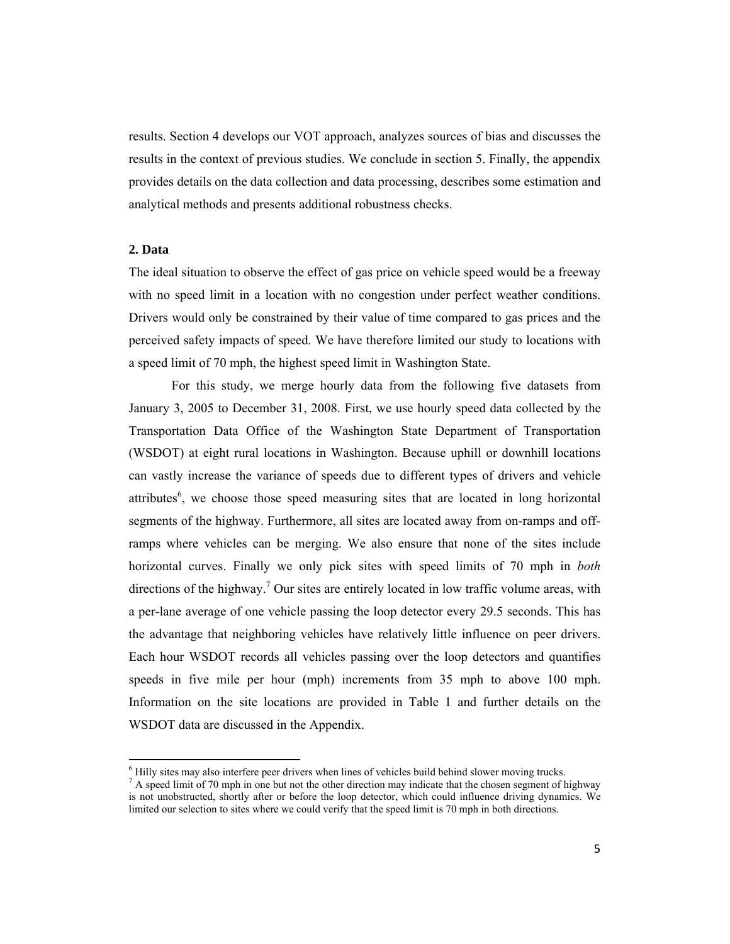results. Section 4 develops our VOT approach, analyzes sources of bias and discusses the results in the context of previous studies. We conclude in section 5. Finally, the appendix provides details on the data collection and data processing, describes some estimation and analytical methods and presents additional robustness checks.

#### **2. Data**

The ideal situation to observe the effect of gas price on vehicle speed would be a freeway with no speed limit in a location with no congestion under perfect weather conditions. Drivers would only be constrained by their value of time compared to gas prices and the perceived safety impacts of speed. We have therefore limited our study to locations with a speed limit of 70 mph, the highest speed limit in Washington State.

 For this study, we merge hourly data from the following five datasets from January 3, 2005 to December 31, 2008. First, we use hourly speed data collected by the Transportation Data Office of the Washington State Department of Transportation (WSDOT) at eight rural locations in Washington. Because uphill or downhill locations can vastly increase the variance of speeds due to different types of drivers and vehicle attributes<sup>6</sup>, we choose those speed measuring sites that are located in long horizontal segments of the highway. Furthermore, all sites are located away from on-ramps and offramps where vehicles can be merging. We also ensure that none of the sites include horizontal curves. Finally we only pick sites with speed limits of 70 mph in *both* directions of the highway.<sup>7</sup> Our sites are entirely located in low traffic volume areas, with a per-lane average of one vehicle passing the loop detector every 29.5 seconds. This has the advantage that neighboring vehicles have relatively little influence on peer drivers. Each hour WSDOT records all vehicles passing over the loop detectors and quantifies speeds in five mile per hour (mph) increments from 35 mph to above 100 mph. Information on the site locations are provided in Table 1 and further details on the WSDOT data are discussed in the Appendix.

 $^{6}$  Hilly sites may also interfere peer drivers when lines of vehicles build behind slower moving trucks.

 $^7$  A speed limit of 70 mph in one but not the other direction may indicate that the chosen segment of highway is not unobstructed, shortly after or before the loop detector, which could influence driving dynamics. We limited our selection to sites where we could verify that the speed limit is 70 mph in both directions.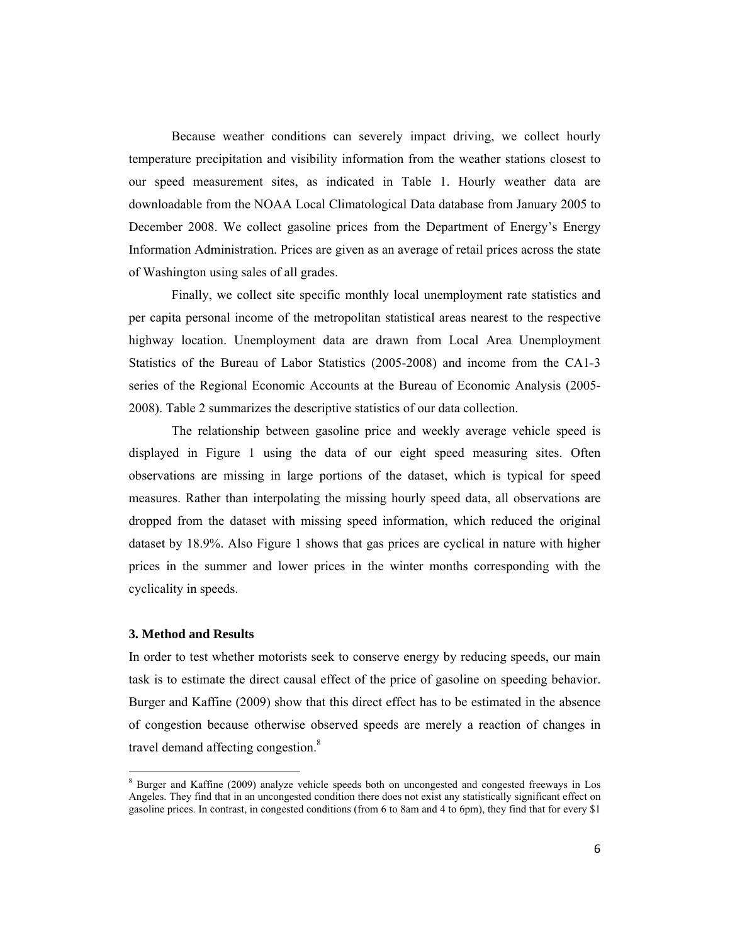Because weather conditions can severely impact driving, we collect hourly temperature precipitation and visibility information from the weather stations closest to our speed measurement sites, as indicated in Table 1. Hourly weather data are downloadable from the NOAA Local Climatological Data database from January 2005 to December 2008. We collect gasoline prices from the Department of Energy's Energy Information Administration. Prices are given as an average of retail prices across the state of Washington using sales of all grades.

Finally, we collect site specific monthly local unemployment rate statistics and per capita personal income of the metropolitan statistical areas nearest to the respective highway location. Unemployment data are drawn from Local Area Unemployment Statistics of the Bureau of Labor Statistics (2005-2008) and income from the CA1-3 series of the Regional Economic Accounts at the Bureau of Economic Analysis (2005- 2008). Table 2 summarizes the descriptive statistics of our data collection.

The relationship between gasoline price and weekly average vehicle speed is displayed in Figure 1 using the data of our eight speed measuring sites. Often observations are missing in large portions of the dataset, which is typical for speed measures. Rather than interpolating the missing hourly speed data, all observations are dropped from the dataset with missing speed information, which reduced the original dataset by 18.9%. Also Figure 1 shows that gas prices are cyclical in nature with higher prices in the summer and lower prices in the winter months corresponding with the cyclicality in speeds.

#### **3. Method and Results**

In order to test whether motorists seek to conserve energy by reducing speeds, our main task is to estimate the direct causal effect of the price of gasoline on speeding behavior. Burger and Kaffine (2009) show that this direct effect has to be estimated in the absence of congestion because otherwise observed speeds are merely a reaction of changes in travel demand affecting congestion.<sup>8</sup>

<sup>&</sup>lt;sup>8</sup> Burger and Kaffine (2009) analyze vehicle speeds both on uncongested and congested freeways in Los Angeles. They find that in an uncongested condition there does not exist any statistically significant effect on gasoline prices. In contrast, in congested conditions (from 6 to 8am and 4 to 6pm), they find that for every \$1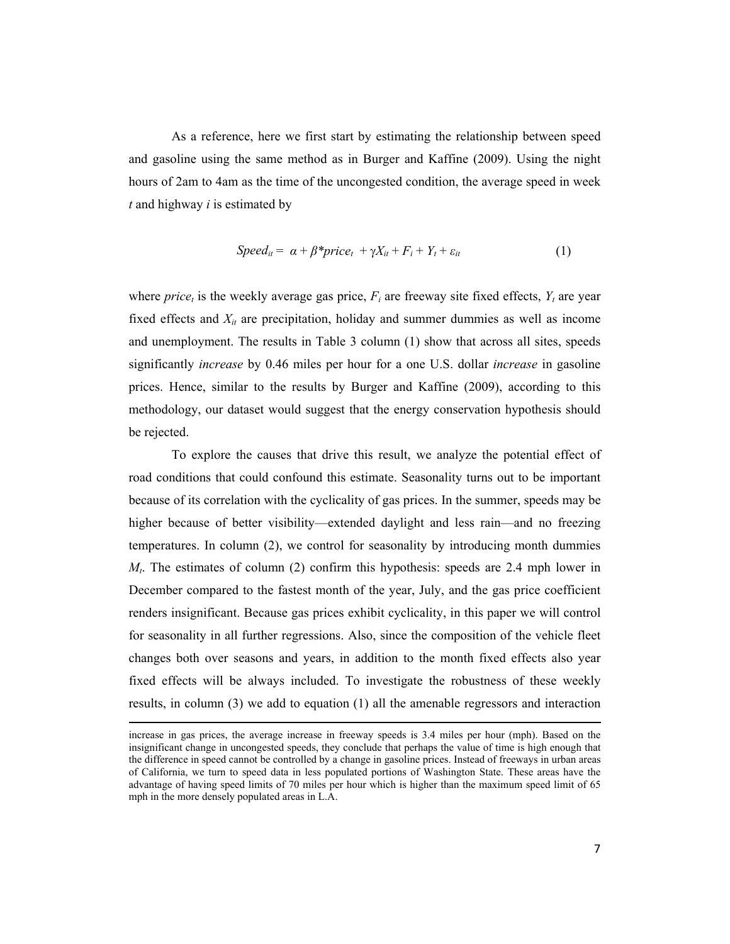As a reference, here we first start by estimating the relationship between speed and gasoline using the same method as in Burger and Kaffine (2009). Using the night hours of 2am to 4am as the time of the uncongested condition, the average speed in week *t* and highway *i* is estimated by

$$
Speed_{it} = \alpha + \beta * price_t + \gamma X_{it} + F_i + Y_t + \varepsilon_{it}
$$
\n
$$
(1)
$$

where *price<sub>t</sub>* is the weekly average gas price,  $F_i$  are freeway site fixed effects,  $Y_t$  are year fixed effects and  $X_{it}$  are precipitation, holiday and summer dummies as well as income and unemployment. The results in Table 3 column (1) show that across all sites, speeds significantly *increase* by 0.46 miles per hour for a one U.S. dollar *increase* in gasoline prices. Hence, similar to the results by Burger and Kaffine (2009), according to this methodology, our dataset would suggest that the energy conservation hypothesis should be rejected.

To explore the causes that drive this result, we analyze the potential effect of road conditions that could confound this estimate. Seasonality turns out to be important because of its correlation with the cyclicality of gas prices. In the summer, speeds may be higher because of better visibility—extended daylight and less rain—and no freezing temperatures. In column (2), we control for seasonality by introducing month dummies *Mt*. The estimates of column (2) confirm this hypothesis: speeds are 2.4 mph lower in December compared to the fastest month of the year, July, and the gas price coefficient renders insignificant. Because gas prices exhibit cyclicality, in this paper we will control for seasonality in all further regressions. Also, since the composition of the vehicle fleet changes both over seasons and years, in addition to the month fixed effects also year fixed effects will be always included. To investigate the robustness of these weekly results, in column (3) we add to equation (1) all the amenable regressors and interaction

<u> 1989 - Johann Stein, marwolaethau a bhann an t-Amhain an t-Amhain an t-Amhain an t-Amhain an t-Amhain an t-A</u>

increase in gas prices, the average increase in freeway speeds is 3.4 miles per hour (mph). Based on the insignificant change in uncongested speeds, they conclude that perhaps the value of time is high enough that the difference in speed cannot be controlled by a change in gasoline prices. Instead of freeways in urban areas of California, we turn to speed data in less populated portions of Washington State. These areas have the advantage of having speed limits of 70 miles per hour which is higher than the maximum speed limit of 65 mph in the more densely populated areas in L.A.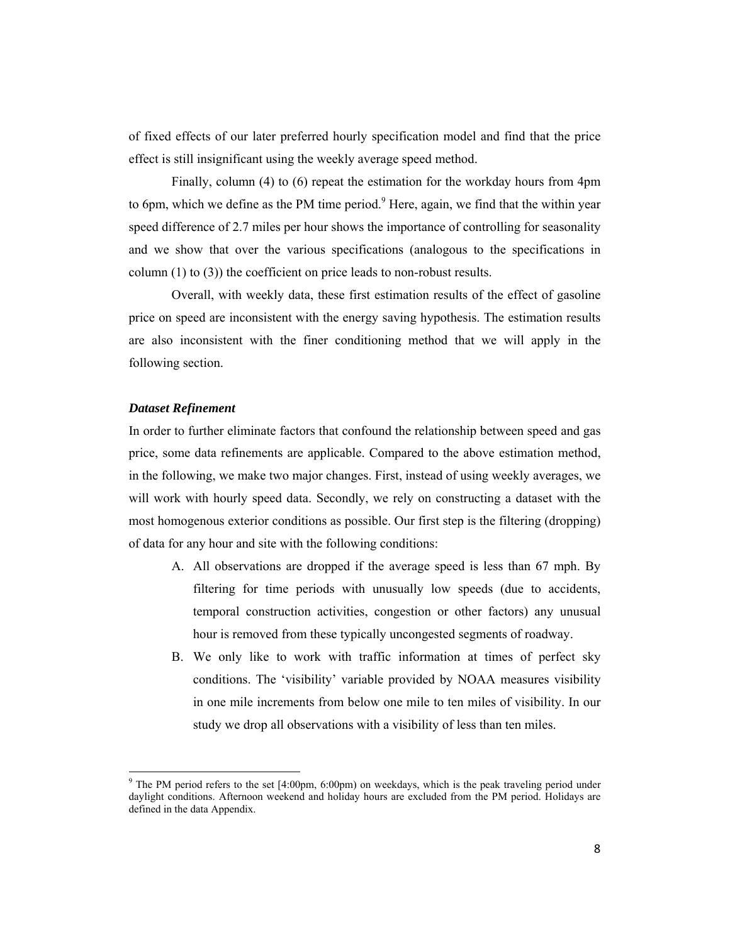of fixed effects of our later preferred hourly specification model and find that the price effect is still insignificant using the weekly average speed method.

Finally, column (4) to (6) repeat the estimation for the workday hours from 4pm to 6pm, which we define as the PM time period.<sup>9</sup> Here, again, we find that the within year speed difference of 2.7 miles per hour shows the importance of controlling for seasonality and we show that over the various specifications (analogous to the specifications in column (1) to (3)) the coefficient on price leads to non-robust results.

Overall, with weekly data, these first estimation results of the effect of gasoline price on speed are inconsistent with the energy saving hypothesis. The estimation results are also inconsistent with the finer conditioning method that we will apply in the following section.

#### *Dataset Refinement*

In order to further eliminate factors that confound the relationship between speed and gas price, some data refinements are applicable. Compared to the above estimation method, in the following, we make two major changes. First, instead of using weekly averages, we will work with hourly speed data. Secondly, we rely on constructing a dataset with the most homogenous exterior conditions as possible. Our first step is the filtering (dropping) of data for any hour and site with the following conditions:

- A. All observations are dropped if the average speed is less than 67 mph. By filtering for time periods with unusually low speeds (due to accidents, temporal construction activities, congestion or other factors) any unusual hour is removed from these typically uncongested segments of roadway.
- B. We only like to work with traffic information at times of perfect sky conditions. The 'visibility' variable provided by NOAA measures visibility in one mile increments from below one mile to ten miles of visibility. In our study we drop all observations with a visibility of less than ten miles.

<sup>&</sup>lt;sup>9</sup> The PM period refers to the set [4:00pm, 6:00pm) on weekdays, which is the peak traveling period under daylight conditions. Afternoon weekend and holiday hours are excluded from the PM period. Holidays are defined in the data Appendix.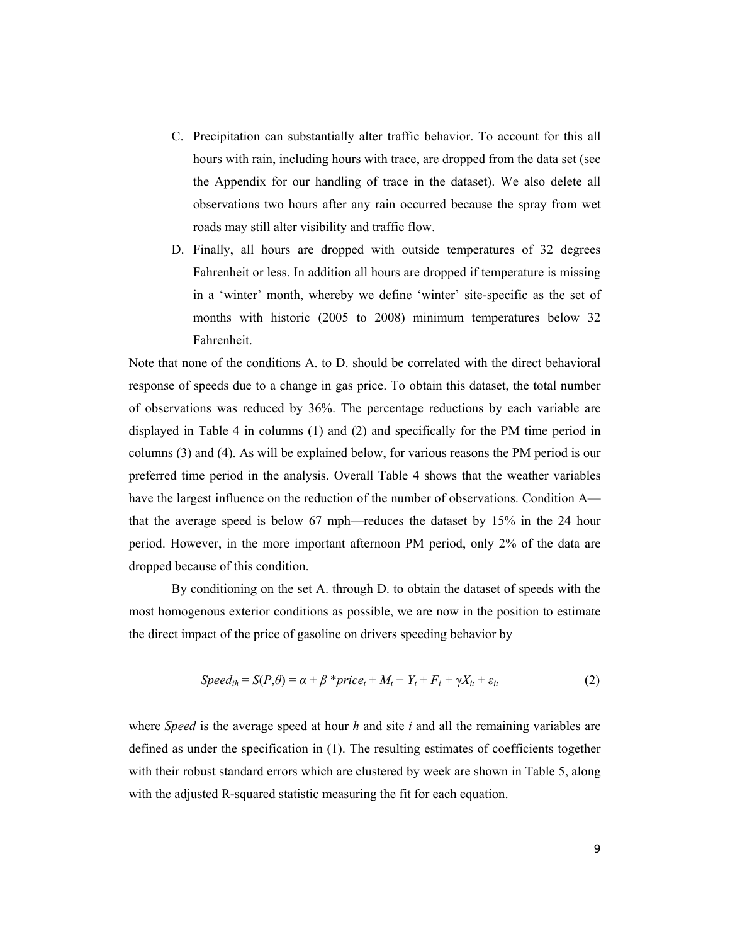- C. Precipitation can substantially alter traffic behavior. To account for this all hours with rain, including hours with trace, are dropped from the data set (see the Appendix for our handling of trace in the dataset). We also delete all observations two hours after any rain occurred because the spray from wet roads may still alter visibility and traffic flow.
- D. Finally, all hours are dropped with outside temperatures of 32 degrees Fahrenheit or less. In addition all hours are dropped if temperature is missing in a 'winter' month, whereby we define 'winter' site-specific as the set of months with historic (2005 to 2008) minimum temperatures below 32 Fahrenheit.

Note that none of the conditions A. to D. should be correlated with the direct behavioral response of speeds due to a change in gas price. To obtain this dataset, the total number of observations was reduced by 36%. The percentage reductions by each variable are displayed in Table 4 in columns (1) and (2) and specifically for the PM time period in columns (3) and (4). As will be explained below, for various reasons the PM period is our preferred time period in the analysis. Overall Table 4 shows that the weather variables have the largest influence on the reduction of the number of observations. Condition A that the average speed is below 67 mph—reduces the dataset by 15% in the 24 hour period. However, in the more important afternoon PM period, only 2% of the data are dropped because of this condition.

By conditioning on the set A. through D. to obtain the dataset of speeds with the most homogenous exterior conditions as possible, we are now in the position to estimate the direct impact of the price of gasoline on drivers speeding behavior by

$$
Speed_{ih} = S(P, \theta) = \alpha + \beta * price_t + M_t + Y_t + F_i + \gamma X_{it} + \varepsilon_{it}
$$
\n(2)

where *Speed* is the average speed at hour *h* and site *i* and all the remaining variables are defined as under the specification in (1). The resulting estimates of coefficients together with their robust standard errors which are clustered by week are shown in Table 5, along with the adjusted R-squared statistic measuring the fit for each equation.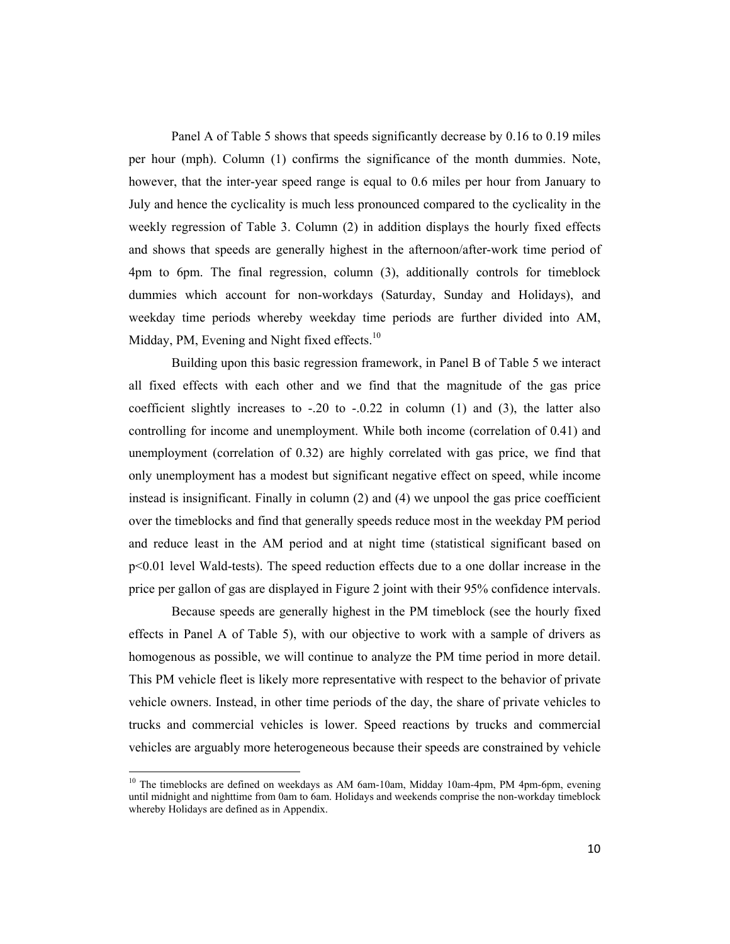Panel A of Table 5 shows that speeds significantly decrease by 0.16 to 0.19 miles per hour (mph). Column (1) confirms the significance of the month dummies. Note, however, that the inter-year speed range is equal to 0.6 miles per hour from January to July and hence the cyclicality is much less pronounced compared to the cyclicality in the weekly regression of Table 3. Column (2) in addition displays the hourly fixed effects and shows that speeds are generally highest in the afternoon/after-work time period of 4pm to 6pm. The final regression, column (3), additionally controls for timeblock dummies which account for non-workdays (Saturday, Sunday and Holidays), and weekday time periods whereby weekday time periods are further divided into AM, Midday, PM, Evening and Night fixed effects. $10$ 

Building upon this basic regression framework, in Panel B of Table 5 we interact all fixed effects with each other and we find that the magnitude of the gas price coefficient slightly increases to  $-.20$  to  $-.0.22$  in column (1) and (3), the latter also controlling for income and unemployment. While both income (correlation of 0.41) and unemployment (correlation of 0.32) are highly correlated with gas price, we find that only unemployment has a modest but significant negative effect on speed, while income instead is insignificant. Finally in column (2) and (4) we unpool the gas price coefficient over the timeblocks and find that generally speeds reduce most in the weekday PM period and reduce least in the AM period and at night time (statistical significant based on p<0.01 level Wald-tests). The speed reduction effects due to a one dollar increase in the price per gallon of gas are displayed in Figure 2 joint with their 95% confidence intervals.

Because speeds are generally highest in the PM timeblock (see the hourly fixed effects in Panel A of Table 5), with our objective to work with a sample of drivers as homogenous as possible, we will continue to analyze the PM time period in more detail. This PM vehicle fleet is likely more representative with respect to the behavior of private vehicle owners. Instead, in other time periods of the day, the share of private vehicles to trucks and commercial vehicles is lower. Speed reactions by trucks and commercial vehicles are arguably more heterogeneous because their speeds are constrained by vehicle

<sup>&</sup>lt;sup>10</sup> The timeblocks are defined on weekdays as AM 6am-10am, Midday 10am-4pm, PM 4pm-6pm, evening until midnight and nighttime from 0am to 6am. Holidays and weekends comprise the non-workday timeblock whereby Holidays are defined as in Appendix.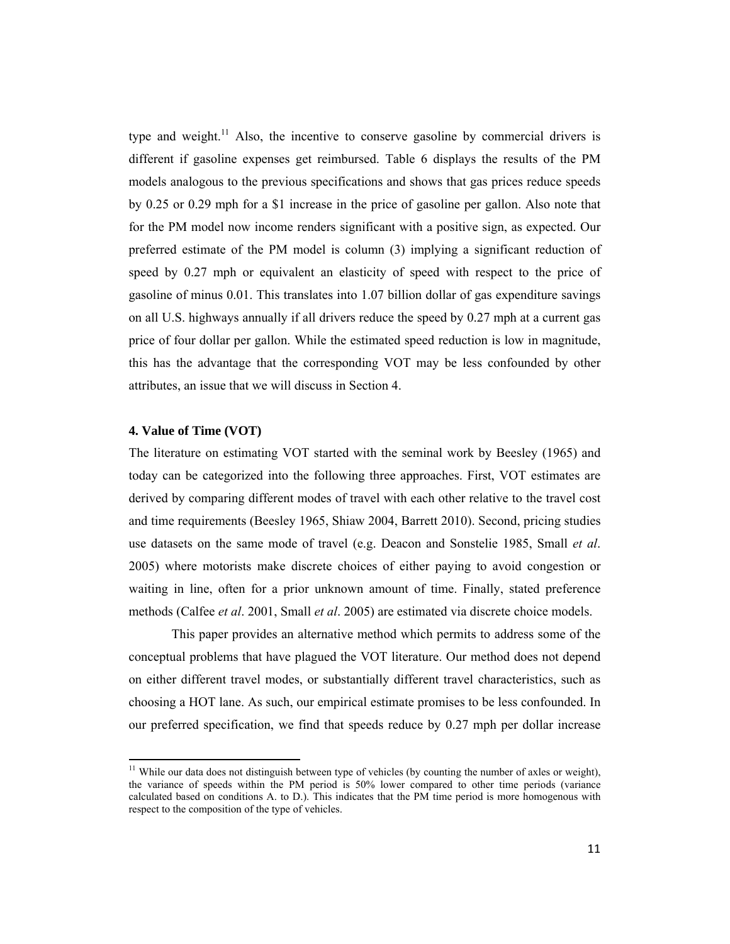type and weight.<sup>11</sup> Also, the incentive to conserve gasoline by commercial drivers is different if gasoline expenses get reimbursed. Table 6 displays the results of the PM models analogous to the previous specifications and shows that gas prices reduce speeds by 0.25 or 0.29 mph for a \$1 increase in the price of gasoline per gallon. Also note that for the PM model now income renders significant with a positive sign, as expected. Our preferred estimate of the PM model is column (3) implying a significant reduction of speed by 0.27 mph or equivalent an elasticity of speed with respect to the price of gasoline of minus 0.01. This translates into 1.07 billion dollar of gas expenditure savings on all U.S. highways annually if all drivers reduce the speed by 0.27 mph at a current gas price of four dollar per gallon. While the estimated speed reduction is low in magnitude, this has the advantage that the corresponding VOT may be less confounded by other attributes, an issue that we will discuss in Section 4.

#### **4. Value of Time (VOT)**

The literature on estimating VOT started with the seminal work by Beesley (1965) and today can be categorized into the following three approaches. First, VOT estimates are derived by comparing different modes of travel with each other relative to the travel cost and time requirements (Beesley 1965, Shiaw 2004, Barrett 2010). Second, pricing studies use datasets on the same mode of travel (e.g. Deacon and Sonstelie 1985, Small *et al*. 2005) where motorists make discrete choices of either paying to avoid congestion or waiting in line, often for a prior unknown amount of time. Finally, stated preference methods (Calfee *et al*. 2001, Small *et al*. 2005) are estimated via discrete choice models.

This paper provides an alternative method which permits to address some of the conceptual problems that have plagued the VOT literature. Our method does not depend on either different travel modes, or substantially different travel characteristics, such as choosing a HOT lane. As such, our empirical estimate promises to be less confounded. In our preferred specification, we find that speeds reduce by 0.27 mph per dollar increase

<sup>&</sup>lt;sup>11</sup> While our data does not distinguish between type of vehicles (by counting the number of axles or weight), the variance of speeds within the PM period is 50% lower compared to other time periods (variance calculated based on conditions A. to D.). This indicates that the PM time period is more homogenous with respect to the composition of the type of vehicles.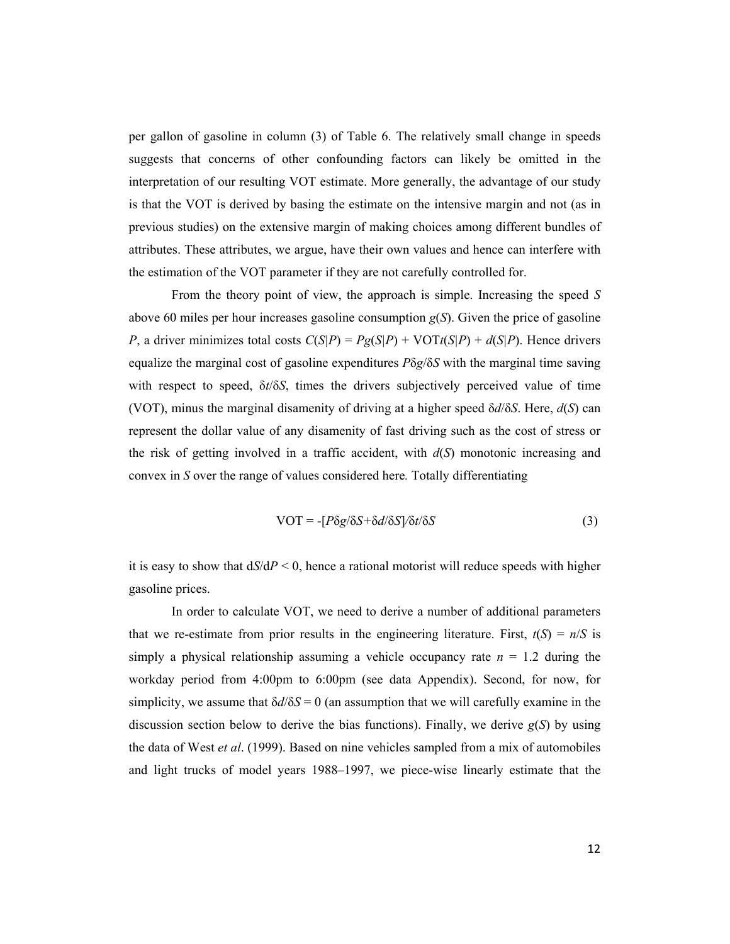per gallon of gasoline in column (3) of Table 6. The relatively small change in speeds suggests that concerns of other confounding factors can likely be omitted in the interpretation of our resulting VOT estimate. More generally, the advantage of our study is that the VOT is derived by basing the estimate on the intensive margin and not (as in previous studies) on the extensive margin of making choices among different bundles of attributes. These attributes, we argue, have their own values and hence can interfere with the estimation of the VOT parameter if they are not carefully controlled for.

From the theory point of view, the approach is simple. Increasing the speed *S* above 60 miles per hour increases gasoline consumption  $g(S)$ . Given the price of gasoline *P*, a driver minimizes total costs  $C(S|P) = Pg(S|P) + VOTt(S|P) + d(S|P)$ . Hence drivers equalize the marginal cost of gasoline expenditures *P*δ*g*/δ*S* with the marginal time saving with respect to speed, δ*t*/δ*S*, times the drivers subjectively perceived value of time (VOT), minus the marginal disamenity of driving at a higher speed δ*d*/δ*S*. Here, *d*(*S*) can represent the dollar value of any disamenity of fast driving such as the cost of stress or the risk of getting involved in a traffic accident, with *d*(*S*) monotonic increasing and convex in *S* over the range of values considered here*.* Totally differentiating

$$
VOT = -[P\delta g/\delta S + \delta d/\delta S]/\delta t/\delta S \tag{3}
$$

it is easy to show that  $dS/dP < 0$ , hence a rational motorist will reduce speeds with higher gasoline prices.

In order to calculate VOT, we need to derive a number of additional parameters that we re-estimate from prior results in the engineering literature. First,  $t(S) = n/S$  is simply a physical relationship assuming a vehicle occupancy rate  $n = 1.2$  during the workday period from 4:00pm to 6:00pm (see data Appendix). Second, for now, for simplicity, we assume that δ*d*/δ*S* = 0 (an assumption that we will carefully examine in the discussion section below to derive the bias functions). Finally, we derive  $g(S)$  by using the data of West *et al*. (1999). Based on nine vehicles sampled from a mix of automobiles and light trucks of model years 1988–1997, we piece-wise linearly estimate that the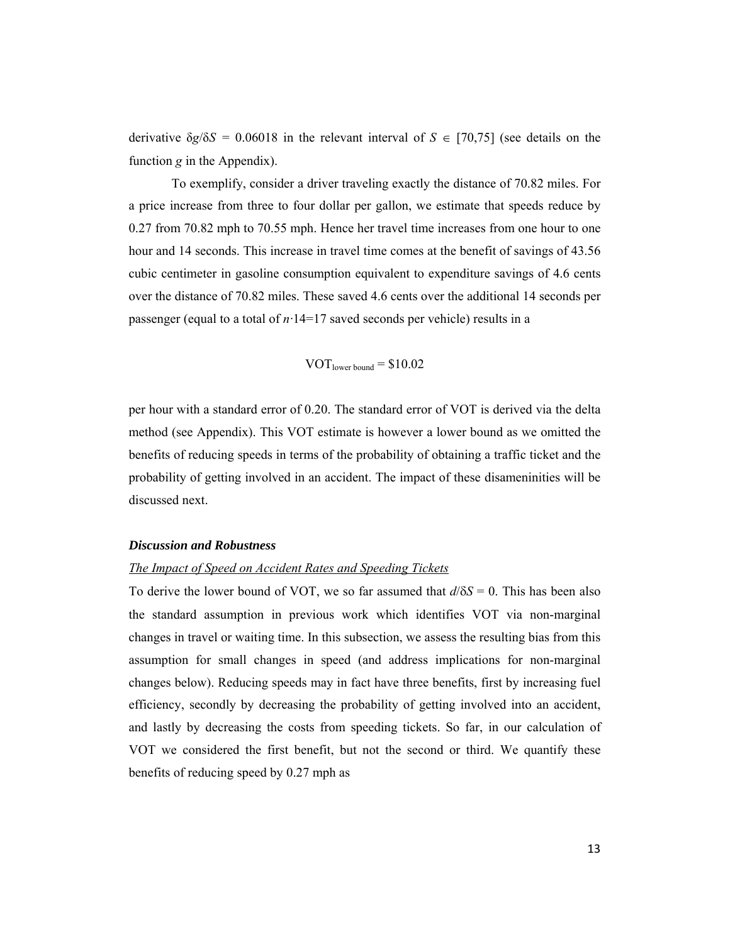derivative  $\delta g/\delta S = 0.06018$  in the relevant interval of  $S \in [70,75]$  (see details on the function *g* in the Appendix).

To exemplify, consider a driver traveling exactly the distance of 70.82 miles. For a price increase from three to four dollar per gallon, we estimate that speeds reduce by 0.27 from 70.82 mph to 70.55 mph. Hence her travel time increases from one hour to one hour and 14 seconds. This increase in travel time comes at the benefit of savings of 43.56 cubic centimeter in gasoline consumption equivalent to expenditure savings of 4.6 cents over the distance of 70.82 miles. These saved 4.6 cents over the additional 14 seconds per passenger (equal to a total of *n·*14=17 saved seconds per vehicle) results in a

$$
VOTlower bound = $10.02
$$

per hour with a standard error of 0.20. The standard error of VOT is derived via the delta method (see Appendix). This VOT estimate is however a lower bound as we omitted the benefits of reducing speeds in terms of the probability of obtaining a traffic ticket and the probability of getting involved in an accident. The impact of these disameninities will be discussed next.

#### *Discussion and Robustness*

#### *The Impact of Speed on Accident Rates and Speeding Tickets*

To derive the lower bound of VOT, we so far assumed that  $d/\delta S = 0$ . This has been also the standard assumption in previous work which identifies VOT via non-marginal changes in travel or waiting time. In this subsection, we assess the resulting bias from this assumption for small changes in speed (and address implications for non-marginal changes below). Reducing speeds may in fact have three benefits, first by increasing fuel efficiency, secondly by decreasing the probability of getting involved into an accident, and lastly by decreasing the costs from speeding tickets. So far, in our calculation of VOT we considered the first benefit, but not the second or third. We quantify these benefits of reducing speed by 0.27 mph as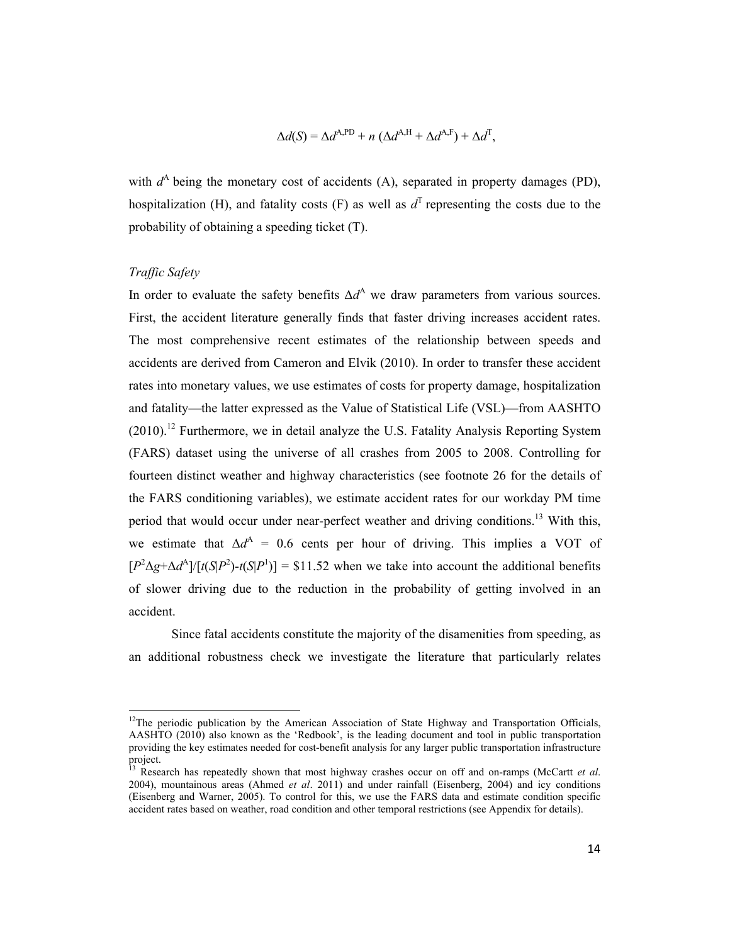$$
\Delta d(S) = \Delta d^{\text{A,PD}} + n \left( \Delta d^{\text{A,H}} + \Delta d^{\text{A,F}} \right) + \Delta d^{\text{T}},
$$

with  $d^A$  being the monetary cost of accidents (A), separated in property damages (PD), hospitalization (H), and fatality costs (F) as well as  $d^T$  representing the costs due to the probability of obtaining a speeding ticket (T).

#### *Traffic Safety*

In order to evaluate the safety benefits  $\Delta d^A$  we draw parameters from various sources. First, the accident literature generally finds that faster driving increases accident rates. The most comprehensive recent estimates of the relationship between speeds and accidents are derived from Cameron and Elvik (2010). In order to transfer these accident rates into monetary values, we use estimates of costs for property damage, hospitalization and fatality—the latter expressed as the Value of Statistical Life (VSL)—from AASHTO  $(2010).$ <sup>12</sup> Furthermore, we in detail analyze the U.S. Fatality Analysis Reporting System (FARS) dataset using the universe of all crashes from 2005 to 2008. Controlling for fourteen distinct weather and highway characteristics (see footnote 26 for the details of the FARS conditioning variables), we estimate accident rates for our workday PM time period that would occur under near-perfect weather and driving conditions.<sup>13</sup> With this, we estimate that  $\Delta d^A = 0.6$  cents per hour of driving. This implies a VOT of  $[P^2\Delta g + \Delta d^A]/[t(S|P^2) - t(S|P^1)] = $11.52$  when we take into account the additional benefits of slower driving due to the reduction in the probability of getting involved in an accident.

Since fatal accidents constitute the majority of the disamenities from speeding, as an additional robustness check we investigate the literature that particularly relates

 $12$ The periodic publication by the American Association of State Highway and Transportation Officials, AASHTO (2010) also known as the 'Redbook', is the leading document and tool in public transportation providing the key estimates needed for cost-benefit analysis for any larger public transportation infrastructure project.

<sup>13</sup> Research has repeatedly shown that most highway crashes occur on off and on-ramps (McCartt *et al*. 2004), mountainous areas (Ahmed *et al*. 2011) and under rainfall (Eisenberg, 2004) and icy conditions (Eisenberg and Warner, 2005). To control for this, we use the FARS data and estimate condition specific accident rates based on weather, road condition and other temporal restrictions (see Appendix for details).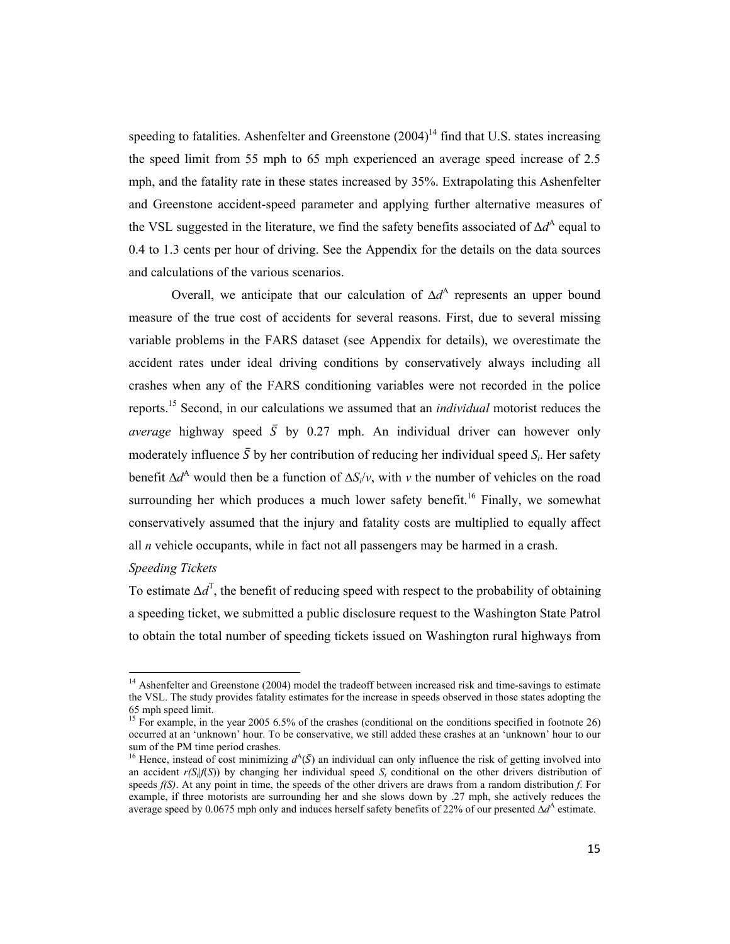speeding to fatalities. Ashenfelter and Greenstone  $(2004)^{14}$  find that U.S. states increasing the speed limit from 55 mph to 65 mph experienced an average speed increase of 2.5 mph, and the fatality rate in these states increased by 35%. Extrapolating this Ashenfelter and Greenstone accident-speed parameter and applying further alternative measures of the VSL suggested in the literature, we find the safety benefits associated of  $\Delta d^{\rm A}$  equal to 0.4 to 1.3 cents per hour of driving. See the Appendix for the details on the data sources and calculations of the various scenarios.

Overall, we anticipate that our calculation of ∆*d*<sup>A</sup> represents an upper bound measure of the true cost of accidents for several reasons. First, due to several missing variable problems in the FARS dataset (see Appendix for details), we overestimate the accident rates under ideal driving conditions by conservatively always including all crashes when any of the FARS conditioning variables were not recorded in the police reports.15 Second, in our calculations we assumed that an *individual* motorist reduces the *average* highway speed  $\overline{S}$  by 0.27 mph. An individual driver can however only moderately influence  $\bar{S}$  by her contribution of reducing her individual speed  $S_i$ . Her safety benefit ∆*d*A would then be a function of ∆*Si*/*v*, with *v* the number of vehicles on the road surrounding her which produces a much lower safety benefit.<sup>16</sup> Finally, we somewhat conservatively assumed that the injury and fatality costs are multiplied to equally affect all *n* vehicle occupants, while in fact not all passengers may be harmed in a crash.

#### *Speeding Tickets*

To estimate  $\Delta d^{\text{T}}$ , the benefit of reducing speed with respect to the probability of obtaining a speeding ticket, we submitted a public disclosure request to the Washington State Patrol to obtain the total number of speeding tickets issued on Washington rural highways from

 $14$  Ashenfelter and Greenstone (2004) model the tradeoff between increased risk and time-savings to estimate the VSL. The study provides fatality estimates for the increase in speeds observed in those states adopting the 65 mph speed limit.

<sup>&</sup>lt;sup>15</sup> For example, in the year 2005 6.5% of the crashes (conditional on the conditions specified in footnote 26) occurred at an 'unknown' hour. To be conservative, we still added these crashes at an 'unknown' hour to our sum of the PM time period crashes.

<sup>&</sup>lt;sup>16</sup> Hence, instead of cost minimizing  $d^A(\bar{S})$  an individual can only influence the risk of getting involved into an accident  $r(S_i|f(S))$  by changing her individual speed  $S_i$  conditional on the other drivers distribution of speeds *f(S)*. At any point in time, the speeds of the other drivers are draws from a random distribution *f*. For example, if three motorists are surrounding her and she slows down by .27 mph, she actively reduces the average speed by 0.0675 mph only and induces herself safety benefits of 22% of our presented ∆*d*<sup>A</sup> estimate.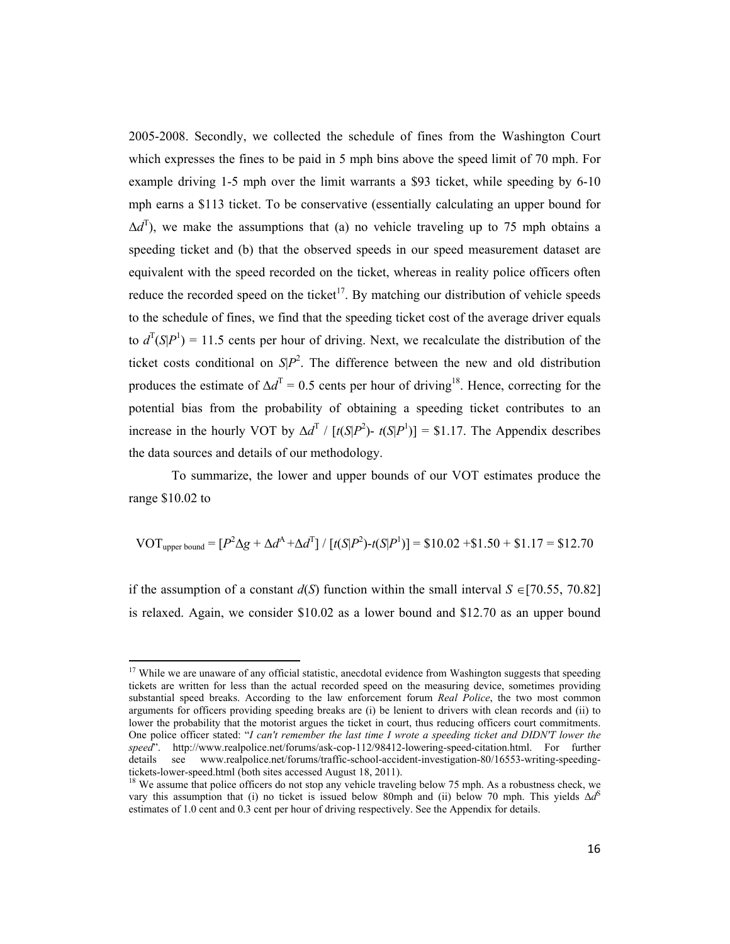2005-2008. Secondly, we collected the schedule of fines from the Washington Court which expresses the fines to be paid in 5 mph bins above the speed limit of 70 mph. For example driving 1-5 mph over the limit warrants a \$93 ticket, while speeding by 6-10 mph earns a \$113 ticket. To be conservative (essentially calculating an upper bound for  $\Delta d^{\rm T}$ ), we make the assumptions that (a) no vehicle traveling up to 75 mph obtains a speeding ticket and (b) that the observed speeds in our speed measurement dataset are equivalent with the speed recorded on the ticket, whereas in reality police officers often reduce the recorded speed on the ticket<sup>17</sup>. By matching our distribution of vehicle speeds to the schedule of fines, we find that the speeding ticket cost of the average driver equals to  $d^T(S|P^1) = 11.5$  cents per hour of driving. Next, we recalculate the distribution of the ticket costs conditional on  $S/P^2$ . The difference between the new and old distribution produces the estimate of  $\Delta d^{\text{T}} = 0.5$  cents per hour of driving<sup>18</sup>. Hence, correcting for the potential bias from the probability of obtaining a speeding ticket contributes to an increase in the hourly VOT by  $\Delta d^T / [t(S|P^2) - t(S|P^1)] = $1.17$ . The Appendix describes the data sources and details of our methodology.

To summarize, the lower and upper bounds of our VOT estimates produce the range \$10.02 to

VOT<sub>upper bound</sub> = 
$$
[P^2 \Delta g + \Delta d^A + \Delta d^T] / [t(S|P^2) - t(S|P^1)] = $10.02 + $1.50 + $1.17 = $12.70
$$

if the assumption of a constant  $d(S)$  function within the small interval  $S \in [70.55, 70.82]$ is relaxed. Again, we consider \$10.02 as a lower bound and \$12.70 as an upper bound

 $17$  While we are unaware of any official statistic, anecdotal evidence from Washington suggests that speeding tickets are written for less than the actual recorded speed on the measuring device, sometimes providing substantial speed breaks. According to the law enforcement forum *Real Police*, the two most common arguments for officers providing speeding breaks are (i) be lenient to drivers with clean records and (ii) to lower the probability that the motorist argues the ticket in court, thus reducing officers court commitments. One police officer stated: "*I can't remember the last time I wrote a speeding ticket and DIDN'T lower the speed*". http://www.realpolice.net/forums/ask-cop-112/98412-lowering-speed-citation.html. For further details see www.realpolice.net/forums/traffic-school-accident-investigation-80/16553-writing-speedingtickets-lower-speed.html (both sites accessed August 18, 2011).<br><sup>18</sup> We assume that police officers do not stop any vehicle traveling below 75 mph. As a robustness check, we

vary this assumption that (i) no ticket is issued below 80mph and (ii) below 70 mph. This yields  $\Delta d^S$ estimates of 1.0 cent and 0.3 cent per hour of driving respectively. See the Appendix for details.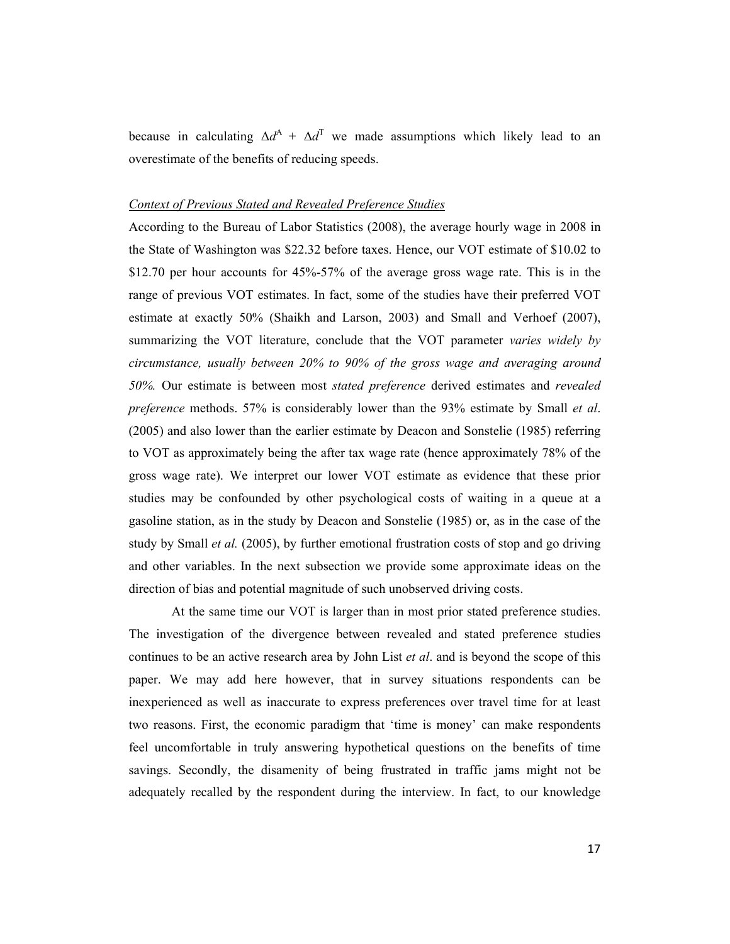because in calculating  $\Delta d^A$  +  $\Delta d^T$  we made assumptions which likely lead to an overestimate of the benefits of reducing speeds.

#### *Context of Previous Stated and Revealed Preference Studies*

According to the Bureau of Labor Statistics (2008), the average hourly wage in 2008 in the State of Washington was \$22.32 before taxes. Hence, our VOT estimate of \$10.02 to \$12.70 per hour accounts for 45%-57% of the average gross wage rate. This is in the range of previous VOT estimates. In fact, some of the studies have their preferred VOT estimate at exactly 50% (Shaikh and Larson, 2003) and Small and Verhoef (2007), summarizing the VOT literature, conclude that the VOT parameter *varies widely by circumstance, usually between 20% to 90% of the gross wage and averaging around 50%.* Our estimate is between most *stated preference* derived estimates and *revealed preference* methods. 57% is considerably lower than the 93% estimate by Small *et al*. (2005) and also lower than the earlier estimate by Deacon and Sonstelie (1985) referring to VOT as approximately being the after tax wage rate (hence approximately 78% of the gross wage rate). We interpret our lower VOT estimate as evidence that these prior studies may be confounded by other psychological costs of waiting in a queue at a gasoline station, as in the study by Deacon and Sonstelie (1985) or, as in the case of the study by Small *et al.* (2005), by further emotional frustration costs of stop and go driving and other variables. In the next subsection we provide some approximate ideas on the direction of bias and potential magnitude of such unobserved driving costs.

At the same time our VOT is larger than in most prior stated preference studies. The investigation of the divergence between revealed and stated preference studies continues to be an active research area by John List *et al*. and is beyond the scope of this paper. We may add here however, that in survey situations respondents can be inexperienced as well as inaccurate to express preferences over travel time for at least two reasons. First, the economic paradigm that 'time is money' can make respondents feel uncomfortable in truly answering hypothetical questions on the benefits of time savings. Secondly, the disamenity of being frustrated in traffic jams might not be adequately recalled by the respondent during the interview. In fact, to our knowledge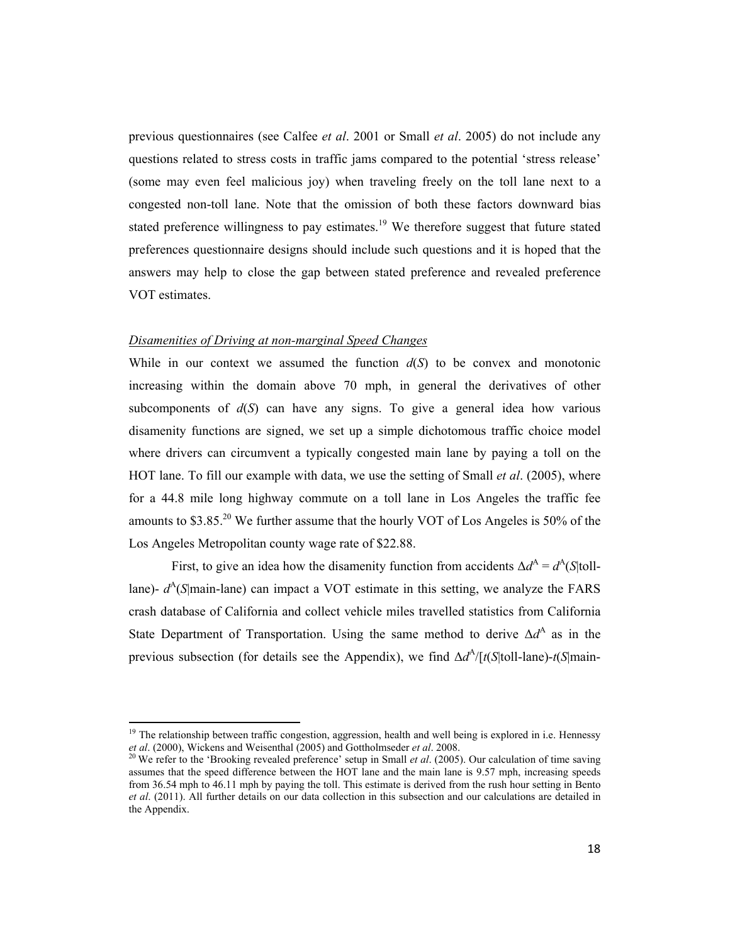previous questionnaires (see Calfee *et al*. 2001 or Small *et al*. 2005) do not include any questions related to stress costs in traffic jams compared to the potential 'stress release' (some may even feel malicious joy) when traveling freely on the toll lane next to a congested non-toll lane. Note that the omission of both these factors downward bias stated preference willingness to pay estimates.<sup>19</sup> We therefore suggest that future stated preferences questionnaire designs should include such questions and it is hoped that the answers may help to close the gap between stated preference and revealed preference VOT estimates.

#### *Disamenities of Driving at non-marginal Speed Changes*

While in our context we assumed the function  $d(S)$  to be convex and monotonic increasing within the domain above 70 mph, in general the derivatives of other subcomponents of  $d(S)$  can have any signs. To give a general idea how various disamenity functions are signed, we set up a simple dichotomous traffic choice model where drivers can circumvent a typically congested main lane by paying a toll on the HOT lane. To fill our example with data, we use the setting of Small *et al*. (2005), where for a 44.8 mile long highway commute on a toll lane in Los Angeles the traffic fee amounts to \$3.85.20 We further assume that the hourly VOT of Los Angeles is 50% of the Los Angeles Metropolitan county wage rate of \$22.88.

First, to give an idea how the disamenity function from accidents  $\Delta d^A = d^A(S|\text{tol} - \text{val})$ lane)- $d^A(S|main$ -lane) can impact a VOT estimate in this setting, we analyze the FARS crash database of California and collect vehicle miles travelled statistics from California State Department of Transportation. Using the same method to derive  $\Delta d^A$  as in the previous subsection (for details see the Appendix), we find  $\Delta d^A / [t(S|t)1]$ -lane)- $t(S|main-)$ 

<sup>&</sup>lt;sup>19</sup> The relationship between traffic congestion, aggression, health and well being is explored in i.e. Hennessy *et al.* (2000), Wickens and Weisenthal (2005) and Gottholmseder *et al.* 2008.<br><sup>20</sup> We refer to the 'Brooking revealed preference' setup in Small *et al.* (2005). Our calculation of time saving

assumes that the speed difference between the HOT lane and the main lane is 9.57 mph, increasing speeds from 36.54 mph to 46.11 mph by paying the toll. This estimate is derived from the rush hour setting in Bento *et al*. (2011). All further details on our data collection in this subsection and our calculations are detailed in the Appendix.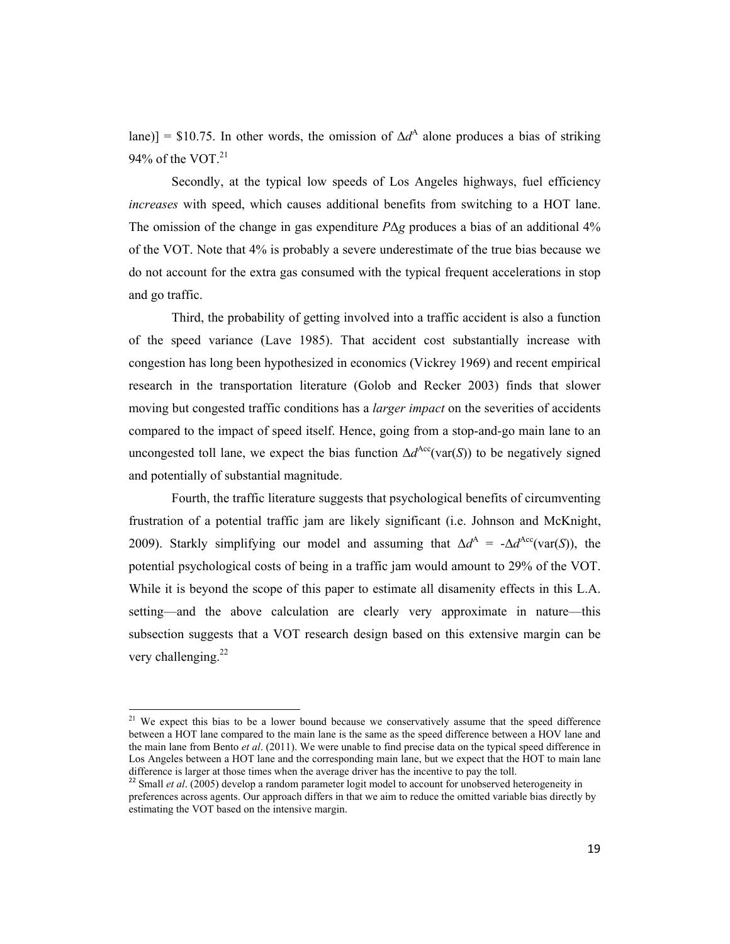lane)] = \$10.75. In other words, the omission of  $\Delta d^A$  alone produces a bias of striking 94% of the VOT. $^{21}$ 

Secondly, at the typical low speeds of Los Angeles highways, fuel efficiency *increases* with speed, which causes additional benefits from switching to a HOT lane. The omission of the change in gas expenditure *P*Δ*g* produces a bias of an additional 4% of the VOT. Note that 4% is probably a severe underestimate of the true bias because we do not account for the extra gas consumed with the typical frequent accelerations in stop and go traffic.

Third, the probability of getting involved into a traffic accident is also a function of the speed variance (Lave 1985). That accident cost substantially increase with congestion has long been hypothesized in economics (Vickrey 1969) and recent empirical research in the transportation literature (Golob and Recker 2003) finds that slower moving but congested traffic conditions has a *larger impact* on the severities of accidents compared to the impact of speed itself. Hence, going from a stop-and-go main lane to an uncongested toll lane, we expect the bias function  $\Delta d^{\text{Acc}}(\text{var}(S))$  to be negatively signed and potentially of substantial magnitude.

Fourth, the traffic literature suggests that psychological benefits of circumventing frustration of a potential traffic jam are likely significant (i.e. Johnson and McKnight, 2009). Starkly simplifying our model and assuming that  $\Delta d^A = -\Delta d^{\text{Acc}}(\text{var}(S))$ , the potential psychological costs of being in a traffic jam would amount to 29% of the VOT. While it is beyond the scope of this paper to estimate all disamenity effects in this L.A. setting—and the above calculation are clearly very approximate in nature—this subsection suggests that a VOT research design based on this extensive margin can be very challenging. $22$ 

<sup>&</sup>lt;sup>21</sup> We expect this bias to be a lower bound because we conservatively assume that the speed difference between a HOT lane compared to the main lane is the same as the speed difference between a HOV lane and the main lane from Bento *et al*. (2011). We were unable to find precise data on the typical speed difference in Los Angeles between a HOT lane and the corresponding main lane, but we expect that the HOT to main lane difference is larger at those times when the average driver has the incentive to pay the toll.

<sup>&</sup>lt;sup>22</sup> Small *et al.* (2005) develop a random parameter logit model to account for unobserved heterogeneity in preferences across agents. Our approach differs in that we aim to reduce the omitted variable bias directly by estimating the VOT based on the intensive margin.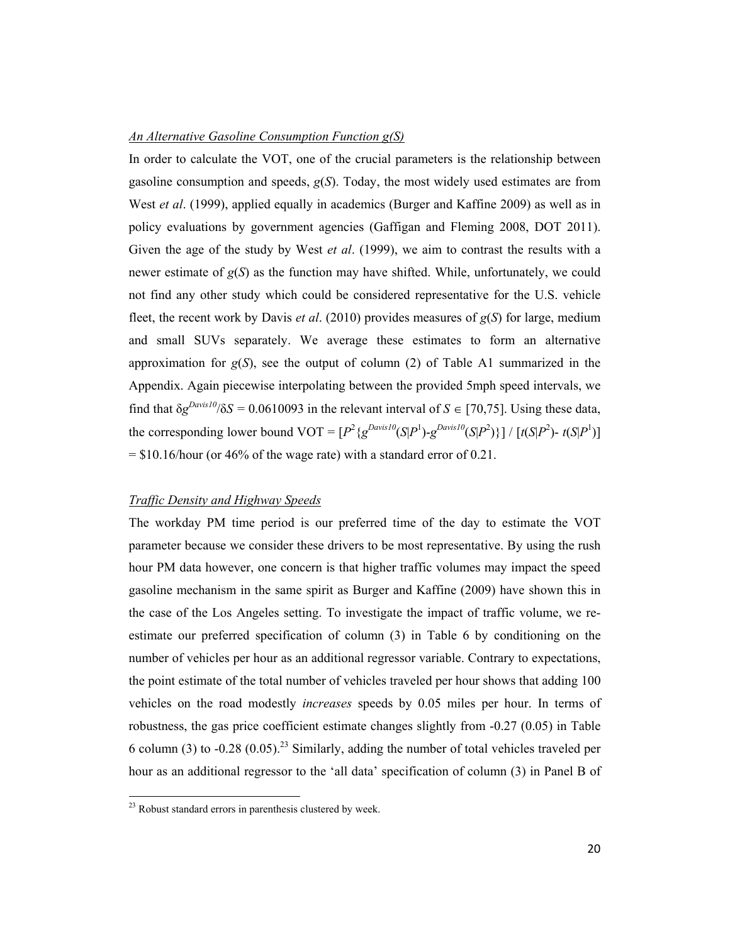#### *An Alternative Gasoline Consumption Function g(S)*

In order to calculate the VOT, one of the crucial parameters is the relationship between gasoline consumption and speeds, *g*(*S*). Today, the most widely used estimates are from West *et al*. (1999), applied equally in academics (Burger and Kaffine 2009) as well as in policy evaluations by government agencies (Gaffigan and Fleming 2008, DOT 2011). Given the age of the study by West *et al*. (1999), we aim to contrast the results with a newer estimate of *g*(*S*) as the function may have shifted. While, unfortunately, we could not find any other study which could be considered representative for the U.S. vehicle fleet, the recent work by Davis *et al*. (2010) provides measures of *g*(*S*) for large, medium and small SUVs separately. We average these estimates to form an alternative approximation for  $g(S)$ , see the output of column (2) of Table A1 summarized in the Appendix. Again piecewise interpolating between the provided 5mph speed intervals, we find that  $\delta g^{Davis10}/\delta S = 0.0610093$  in the relevant interval of  $S \in [70,75]$ . Using these data, the corresponding lower bound  $VOT = [P^2 \{g^{Davis10}(S|P^1) - g^{Davis10}(S|P^2)\}] / [t(S|P^2) - t(S|P^1)]$  $=$  \$10.16/hour (or 46% of the wage rate) with a standard error of 0.21.

#### *Traffic Density and Highway Speeds*

The workday PM time period is our preferred time of the day to estimate the VOT parameter because we consider these drivers to be most representative. By using the rush hour PM data however, one concern is that higher traffic volumes may impact the speed gasoline mechanism in the same spirit as Burger and Kaffine (2009) have shown this in the case of the Los Angeles setting. To investigate the impact of traffic volume, we reestimate our preferred specification of column (3) in Table 6 by conditioning on the number of vehicles per hour as an additional regressor variable. Contrary to expectations, the point estimate of the total number of vehicles traveled per hour shows that adding 100 vehicles on the road modestly *increases* speeds by 0.05 miles per hour. In terms of robustness, the gas price coefficient estimate changes slightly from -0.27 (0.05) in Table 6 column (3) to -0.28 (0.05).<sup>23</sup> Similarly, adding the number of total vehicles traveled per hour as an additional regressor to the 'all data' specification of column (3) in Panel B of

 $23$  Robust standard errors in parenthesis clustered by week.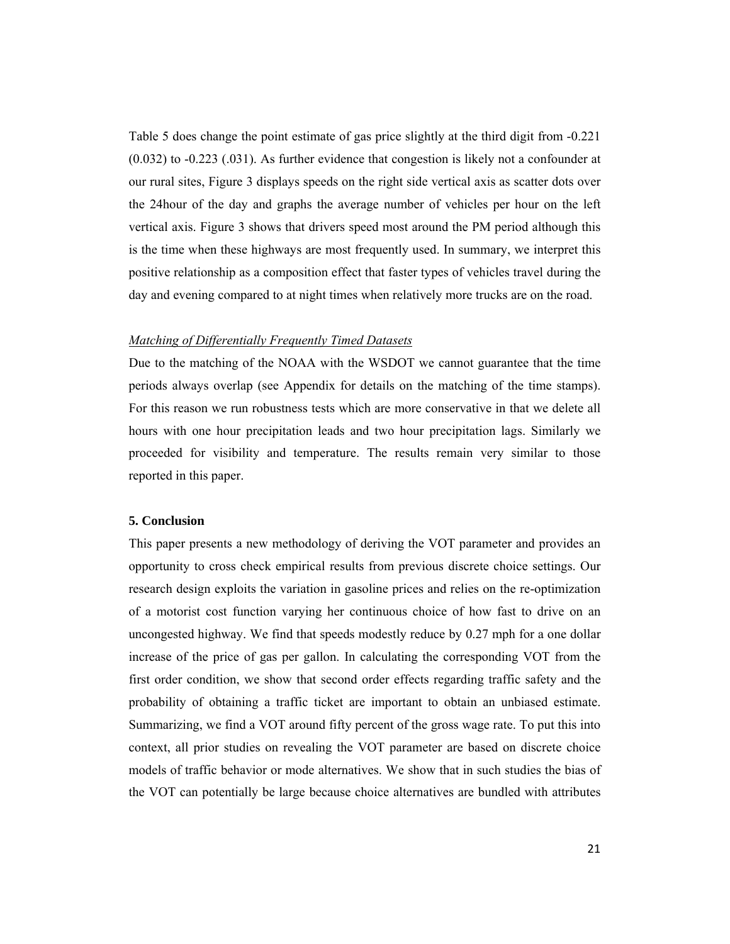Table 5 does change the point estimate of gas price slightly at the third digit from -0.221 (0.032) to -0.223 (.031). As further evidence that congestion is likely not a confounder at our rural sites, Figure 3 displays speeds on the right side vertical axis as scatter dots over the 24hour of the day and graphs the average number of vehicles per hour on the left vertical axis. Figure 3 shows that drivers speed most around the PM period although this is the time when these highways are most frequently used. In summary, we interpret this positive relationship as a composition effect that faster types of vehicles travel during the day and evening compared to at night times when relatively more trucks are on the road.

#### *Matching of Differentially Frequently Timed Datasets*

Due to the matching of the NOAA with the WSDOT we cannot guarantee that the time periods always overlap (see Appendix for details on the matching of the time stamps). For this reason we run robustness tests which are more conservative in that we delete all hours with one hour precipitation leads and two hour precipitation lags. Similarly we proceeded for visibility and temperature. The results remain very similar to those reported in this paper.

#### **5. Conclusion**

This paper presents a new methodology of deriving the VOT parameter and provides an opportunity to cross check empirical results from previous discrete choice settings. Our research design exploits the variation in gasoline prices and relies on the re-optimization of a motorist cost function varying her continuous choice of how fast to drive on an uncongested highway. We find that speeds modestly reduce by 0.27 mph for a one dollar increase of the price of gas per gallon. In calculating the corresponding VOT from the first order condition, we show that second order effects regarding traffic safety and the probability of obtaining a traffic ticket are important to obtain an unbiased estimate. Summarizing, we find a VOT around fifty percent of the gross wage rate. To put this into context, all prior studies on revealing the VOT parameter are based on discrete choice models of traffic behavior or mode alternatives. We show that in such studies the bias of the VOT can potentially be large because choice alternatives are bundled with attributes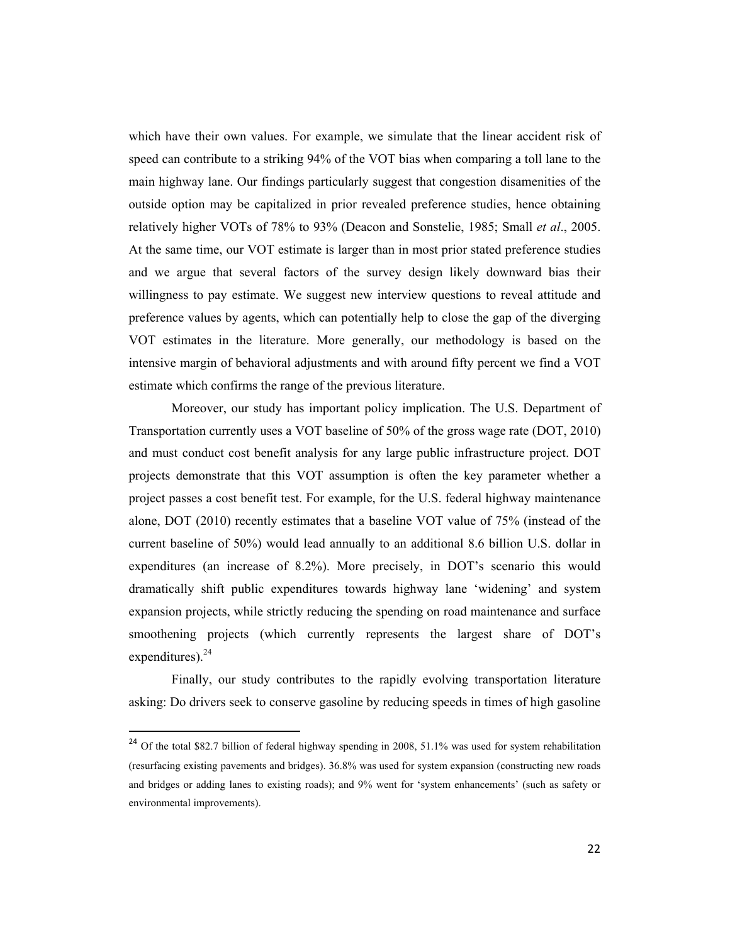which have their own values. For example, we simulate that the linear accident risk of speed can contribute to a striking 94% of the VOT bias when comparing a toll lane to the main highway lane. Our findings particularly suggest that congestion disamenities of the outside option may be capitalized in prior revealed preference studies, hence obtaining relatively higher VOTs of 78% to 93% (Deacon and Sonstelie, 1985; Small *et al*., 2005. At the same time, our VOT estimate is larger than in most prior stated preference studies and we argue that several factors of the survey design likely downward bias their willingness to pay estimate. We suggest new interview questions to reveal attitude and preference values by agents, which can potentially help to close the gap of the diverging VOT estimates in the literature. More generally, our methodology is based on the intensive margin of behavioral adjustments and with around fifty percent we find a VOT estimate which confirms the range of the previous literature.

Moreover, our study has important policy implication. The U.S. Department of Transportation currently uses a VOT baseline of 50% of the gross wage rate (DOT, 2010) and must conduct cost benefit analysis for any large public infrastructure project. DOT projects demonstrate that this VOT assumption is often the key parameter whether a project passes a cost benefit test. For example, for the U.S. federal highway maintenance alone, DOT (2010) recently estimates that a baseline VOT value of 75% (instead of the current baseline of 50%) would lead annually to an additional 8.6 billion U.S. dollar in expenditures (an increase of 8.2%). More precisely, in DOT's scenario this would dramatically shift public expenditures towards highway lane 'widening' and system expansion projects, while strictly reducing the spending on road maintenance and surface smoothening projects (which currently represents the largest share of DOT's expenditures). $^{24}$ 

Finally, our study contributes to the rapidly evolving transportation literature asking: Do drivers seek to conserve gasoline by reducing speeds in times of high gasoline

<sup>&</sup>lt;sup>24</sup> Of the total \$82.7 billion of federal highway spending in 2008, 51.1% was used for system rehabilitation (resurfacing existing pavements and bridges). 36.8% was used for system expansion (constructing new roads and bridges or adding lanes to existing roads); and 9% went for 'system enhancements' (such as safety or environmental improvements).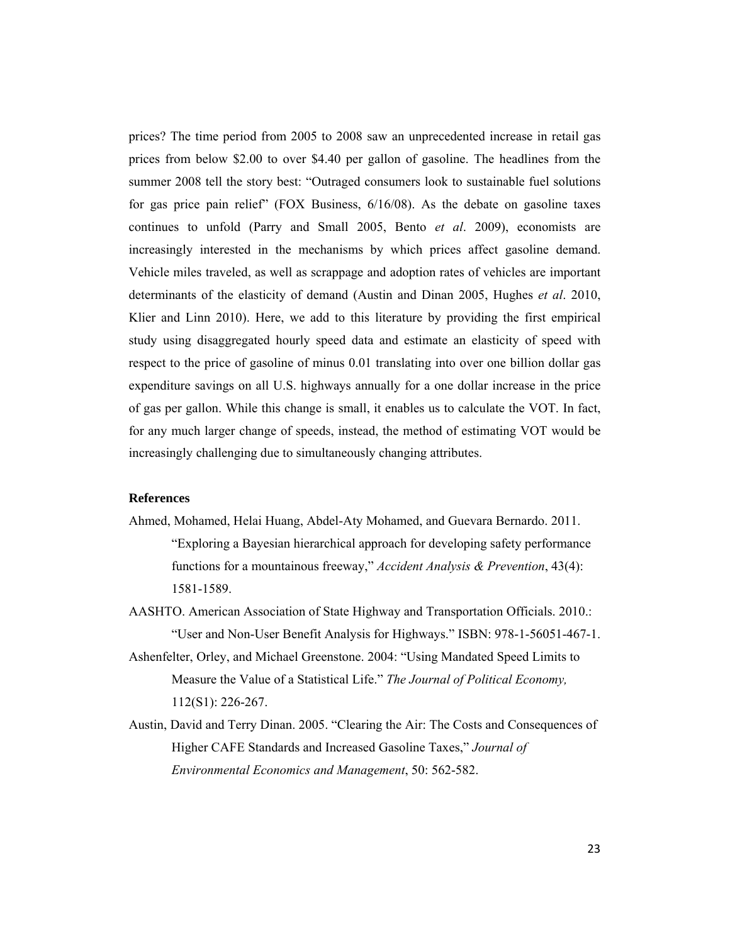prices? The time period from 2005 to 2008 saw an unprecedented increase in retail gas prices from below \$2.00 to over \$4.40 per gallon of gasoline. The headlines from the summer 2008 tell the story best: "Outraged consumers look to sustainable fuel solutions for gas price pain relief" (FOX Business, 6/16/08). As the debate on gasoline taxes continues to unfold (Parry and Small 2005, Bento *et al*. 2009), economists are increasingly interested in the mechanisms by which prices affect gasoline demand. Vehicle miles traveled, as well as scrappage and adoption rates of vehicles are important determinants of the elasticity of demand (Austin and Dinan 2005, Hughes *et al*. 2010, Klier and Linn 2010). Here, we add to this literature by providing the first empirical study using disaggregated hourly speed data and estimate an elasticity of speed with respect to the price of gasoline of minus 0.01 translating into over one billion dollar gas expenditure savings on all U.S. highways annually for a one dollar increase in the price of gas per gallon. While this change is small, it enables us to calculate the VOT. In fact, for any much larger change of speeds, instead, the method of estimating VOT would be increasingly challenging due to simultaneously changing attributes.

#### **References**

- Ahmed, Mohamed, Helai Huang, Abdel-Aty Mohamed, and Guevara Bernardo. 2011. "Exploring a Bayesian hierarchical approach for developing safety performance functions for a mountainous freeway," *Accident Analysis & Prevention*, 43(4): 1581-1589.
- AASHTO. American Association of State Highway and Transportation Officials. 2010.: "User and Non-User Benefit Analysis for Highways." ISBN: 978-1-56051-467-1.
- Ashenfelter, Orley, and Michael Greenstone. 2004: "Using Mandated Speed Limits to Measure the Value of a Statistical Life." *The Journal of Political Economy,* 112(S1): 226-267.
- Austin, David and Terry Dinan. 2005. "Clearing the Air: The Costs and Consequences of Higher CAFE Standards and Increased Gasoline Taxes," *Journal of Environmental Economics and Management*, 50: 562-582.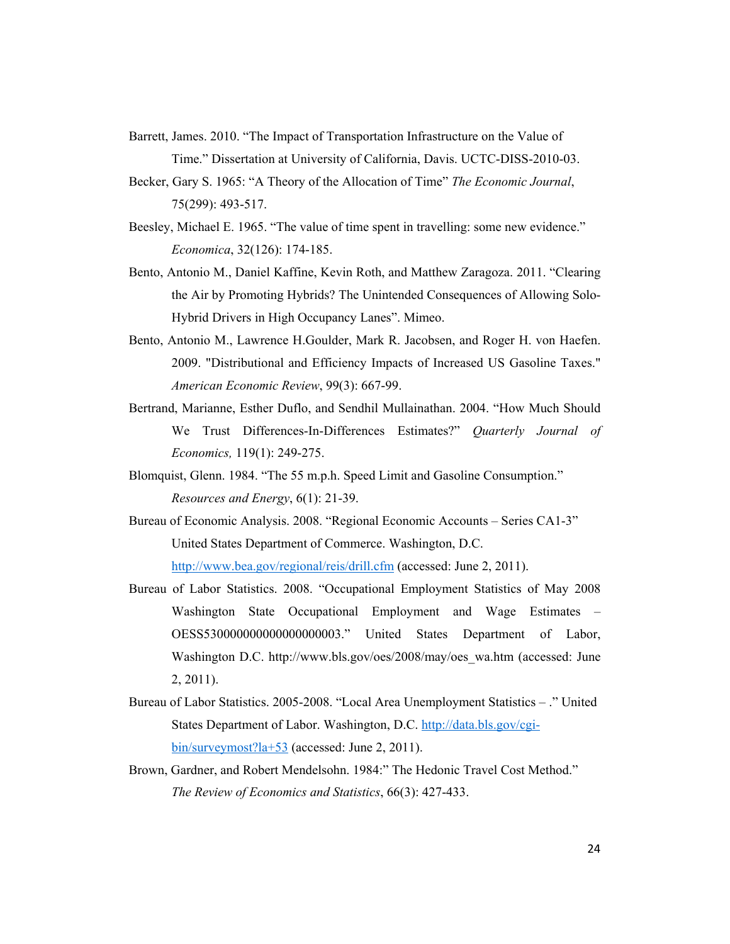- Barrett, James. 2010. "The Impact of Transportation Infrastructure on the Value of Time." Dissertation at University of California, Davis. UCTC-DISS-2010-03.
- Becker, Gary S. 1965: "A Theory of the Allocation of Time" *The Economic Journal*, 75(299): 493-517.
- Beesley, Michael E. 1965. "The value of time spent in travelling: some new evidence." *Economica*, 32(126): 174-185.
- Bento, Antonio M., Daniel Kaffine, Kevin Roth, and Matthew Zaragoza. 2011. "Clearing the Air by Promoting Hybrids? The Unintended Consequences of Allowing Solo-Hybrid Drivers in High Occupancy Lanes". Mimeo.
- Bento, Antonio M., Lawrence H.Goulder, Mark R. Jacobsen, and Roger H. von Haefen. 2009. "Distributional and Efficiency Impacts of Increased US Gasoline Taxes." *American Economic Review*, 99(3): 667-99.
- Bertrand, Marianne, Esther Duflo, and Sendhil Mullainathan. 2004. "How Much Should We Trust Differences-In-Differences Estimates?" *Quarterly Journal of Economics,* 119(1): 249-275.
- Blomquist, Glenn. 1984. "The 55 m.p.h. Speed Limit and Gasoline Consumption." *Resources and Energy*, 6(1): 21-39.
- Bureau of Economic Analysis. 2008. "Regional Economic Accounts Series CA1-3" United States Department of Commerce. Washington, D.C. http://www.bea.gov/regional/reis/drill.cfm (accessed: June 2, 2011).
- Bureau of Labor Statistics. 2008. "Occupational Employment Statistics of May 2008 Washington State Occupational Employment and Wage Estimates – OESS530000000000000000003." United States Department of Labor, Washington D.C. http://www.bls.gov/oes/2008/may/oes\_wa.htm (accessed: June 2, 2011).
- Bureau of Labor Statistics. 2005-2008. "Local Area Unemployment Statistics ." United States Department of Labor. Washington, D.C. http://data.bls.gov/cgibin/surveymost?la+53 (accessed: June 2, 2011).
- Brown, Gardner, and Robert Mendelsohn. 1984:" The Hedonic Travel Cost Method." *The Review of Economics and Statistics*, 66(3): 427-433.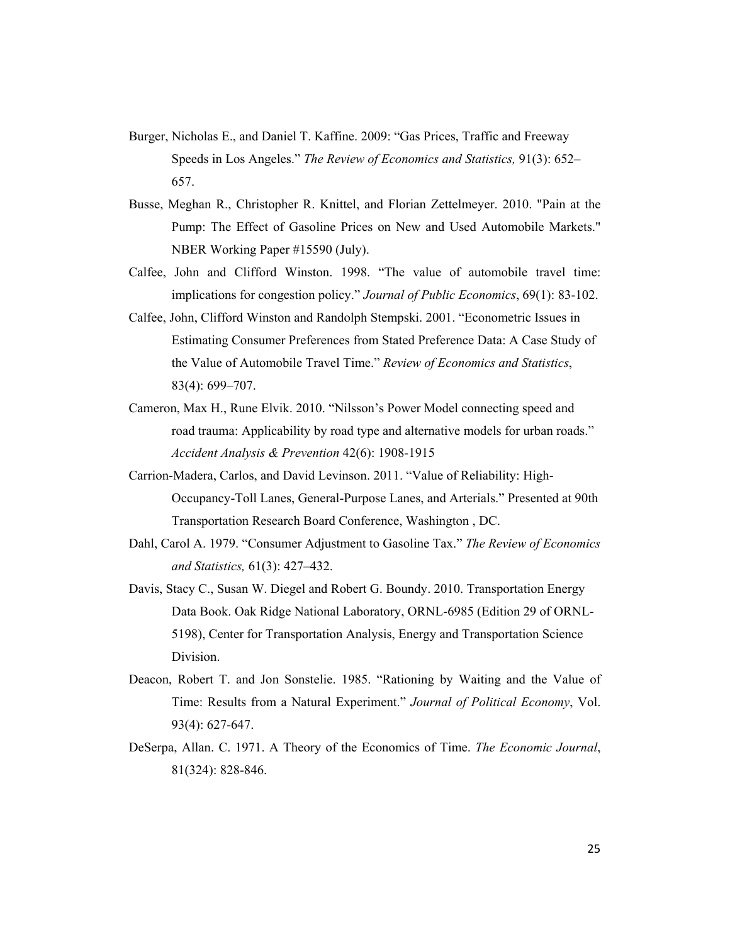- Burger, Nicholas E., and Daniel T. Kaffine. 2009: "Gas Prices, Traffic and Freeway Speeds in Los Angeles." *The Review of Economics and Statistics,* 91(3): 652– 657.
- Busse, Meghan R., Christopher R. Knittel, and Florian Zettelmeyer. 2010. "Pain at the Pump: The Effect of Gasoline Prices on New and Used Automobile Markets." NBER Working Paper #15590 (July).
- Calfee, John and Clifford Winston. 1998. "The value of automobile travel time: implications for congestion policy." *Journal of Public Economics*, 69(1): 83-102.
- Calfee, John, Clifford Winston and Randolph Stempski. 2001. "Econometric Issues in Estimating Consumer Preferences from Stated Preference Data: A Case Study of the Value of Automobile Travel Time." *Review of Economics and Statistics*, 83(4): 699–707.
- Cameron, Max H., Rune Elvik. 2010. "Nilsson's Power Model connecting speed and road trauma: Applicability by road type and alternative models for urban roads." *Accident Analysis & Prevention* 42(6): 1908-1915
- Carrion-Madera, Carlos, and David Levinson. 2011. "Value of Reliability: High-Occupancy-Toll Lanes, General-Purpose Lanes, and Arterials." Presented at 90th Transportation Research Board Conference, Washington , DC.
- Dahl, Carol A. 1979. "Consumer Adjustment to Gasoline Tax." *The Review of Economics and Statistics,* 61(3): 427–432.
- Davis, Stacy C., Susan W. Diegel and Robert G. Boundy. 2010. Transportation Energy Data Book. Oak Ridge National Laboratory, ORNL-6985 (Edition 29 of ORNL-5198), Center for Transportation Analysis, Energy and Transportation Science Division.
- Deacon, Robert T. and Jon Sonstelie. 1985. "Rationing by Waiting and the Value of Time: Results from a Natural Experiment." *Journal of Political Economy*, Vol. 93(4): 627-647.
- DeSerpa, Allan. C. 1971. A Theory of the Economics of Time. *The Economic Journal*, 81(324): 828-846.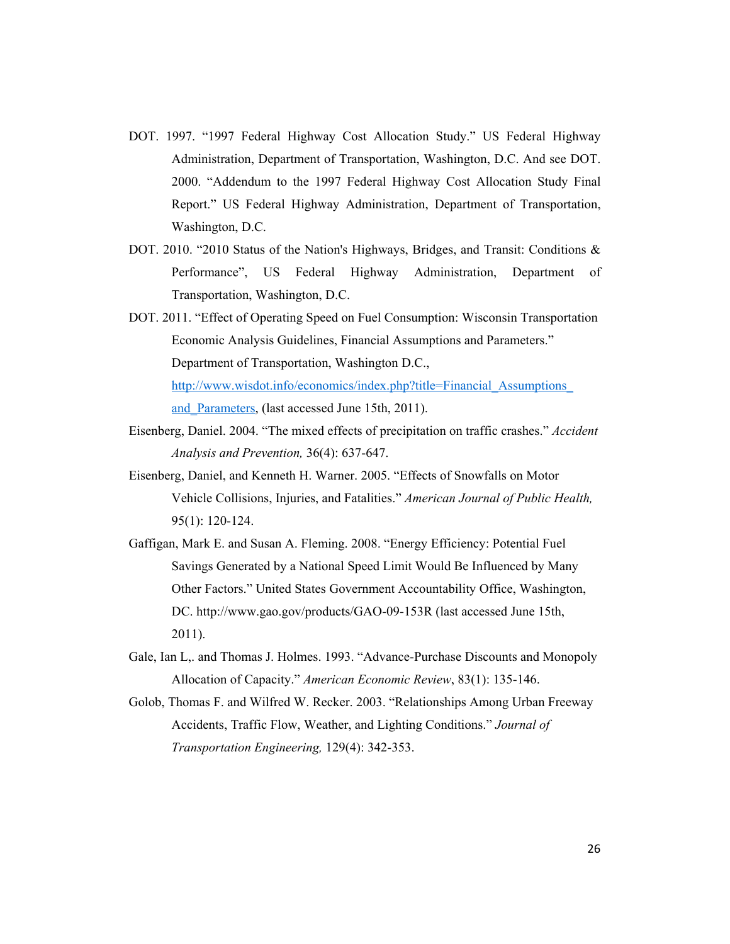- DOT. 1997. "1997 Federal Highway Cost Allocation Study." US Federal Highway Administration, Department of Transportation, Washington, D.C. And see DOT. 2000. "Addendum to the 1997 Federal Highway Cost Allocation Study Final Report." US Federal Highway Administration, Department of Transportation, Washington, D.C.
- DOT. 2010. "2010 Status of the Nation's Highways, Bridges, and Transit: Conditions & Performance", US Federal Highway Administration, Department of Transportation, Washington, D.C.
- DOT. 2011. "Effect of Operating Speed on Fuel Consumption: Wisconsin Transportation Economic Analysis Guidelines, Financial Assumptions and Parameters." Department of Transportation, Washington D.C., http://www.wisdot.info/economics/index.php?title=Financial\_Assumptions\_ and Parameters, (last accessed June 15th, 2011).
- Eisenberg, Daniel. 2004. "The mixed effects of precipitation on traffic crashes." *Accident Analysis and Prevention,* 36(4): 637-647.
- Eisenberg, Daniel, and Kenneth H. Warner. 2005. "Effects of Snowfalls on Motor Vehicle Collisions, Injuries, and Fatalities." *American Journal of Public Health,*  95(1): 120-124.
- Gaffigan, Mark E. and Susan A. Fleming. 2008. "Energy Efficiency: Potential Fuel Savings Generated by a National Speed Limit Would Be Influenced by Many Other Factors." United States Government Accountability Office, Washington, DC. http://www.gao.gov/products/GAO-09-153R (last accessed June 15th, 2011).
- Gale, Ian L,. and Thomas J. Holmes. 1993. "Advance-Purchase Discounts and Monopoly Allocation of Capacity." *American Economic Review*, 83(1): 135-146.
- Golob, Thomas F. and Wilfred W. Recker. 2003. "Relationships Among Urban Freeway Accidents, Traffic Flow, Weather, and Lighting Conditions." *Journal of Transportation Engineering,* 129(4): 342-353.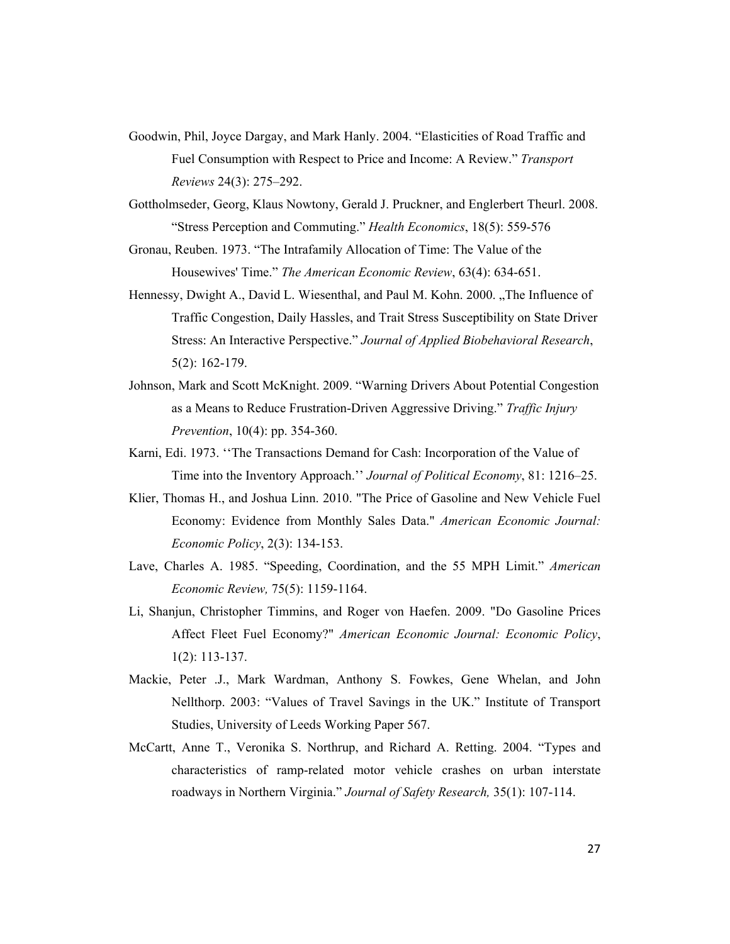- Goodwin, Phil, Joyce Dargay, and Mark Hanly. 2004. "Elasticities of Road Traffic and Fuel Consumption with Respect to Price and Income: A Review." *Transport Reviews* 24(3): 275–292.
- Gottholmseder, Georg, Klaus Nowtony, Gerald J. Pruckner, and Englerbert Theurl. 2008. "Stress Perception and Commuting." *Health Economics*, 18(5): 559-576
- Gronau, Reuben. 1973. "The Intrafamily Allocation of Time: The Value of the Housewives' Time." *The American Economic Review*, 63(4): 634-651.
- Hennessy, Dwight A., David L. Wiesenthal, and Paul M. Kohn. 2000. "The Influence of Traffic Congestion, Daily Hassles, and Trait Stress Susceptibility on State Driver Stress: An Interactive Perspective." *Journal of Applied Biobehavioral Research*, 5(2): 162-179.
- Johnson, Mark and Scott McKnight. 2009. "Warning Drivers About Potential Congestion as a Means to Reduce Frustration-Driven Aggressive Driving." *Traffic Injury Prevention*, 10(4): pp. 354-360.
- Karni, Edi. 1973. ''The Transactions Demand for Cash: Incorporation of the Value of Time into the Inventory Approach.'' *Journal of Political Economy*, 81: 1216–25.
- Klier, Thomas H., and Joshua Linn. 2010. "The Price of Gasoline and New Vehicle Fuel Economy: Evidence from Monthly Sales Data." *American Economic Journal: Economic Policy*, 2(3): 134-153.
- Lave, Charles A. 1985. "Speeding, Coordination, and the 55 MPH Limit." *American Economic Review,* 75(5): 1159-1164.
- Li, Shanjun, Christopher Timmins, and Roger von Haefen. 2009. "Do Gasoline Prices Affect Fleet Fuel Economy?" *American Economic Journal: Economic Policy*, 1(2): 113-137.
- Mackie, Peter .J., Mark Wardman, Anthony S. Fowkes, Gene Whelan, and John Nellthorp. 2003: "Values of Travel Savings in the UK." Institute of Transport Studies, University of Leeds Working Paper 567.
- McCartt, Anne T., Veronika S. Northrup, and Richard A. Retting. 2004. "Types and characteristics of ramp-related motor vehicle crashes on urban interstate roadways in Northern Virginia." *Journal of Safety Research,* 35(1): 107-114.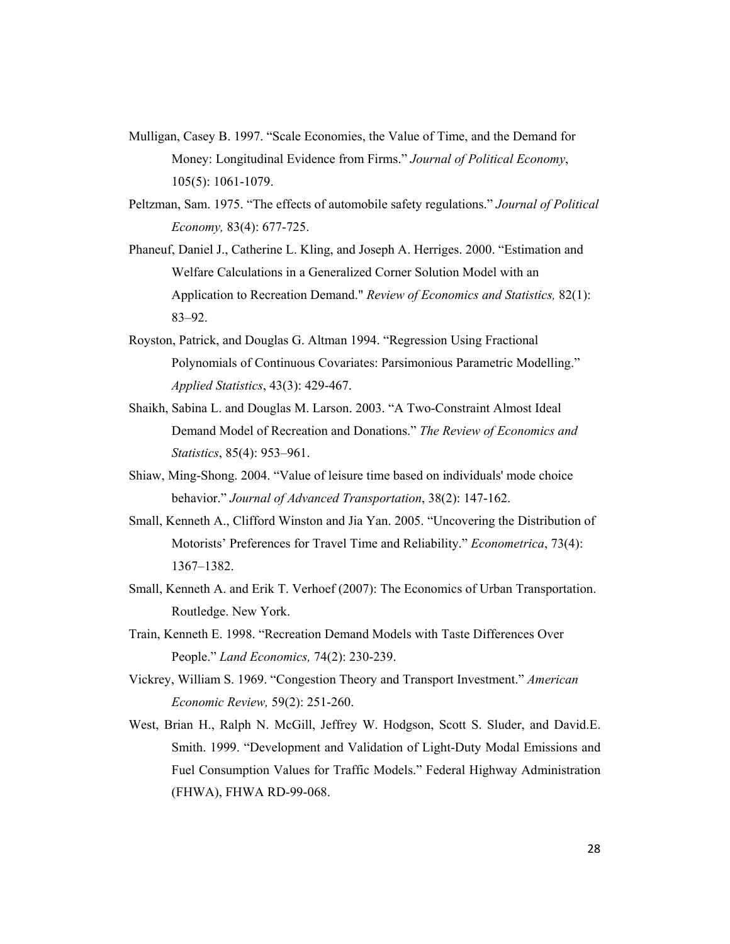- Mulligan, Casey B. 1997. "Scale Economies, the Value of Time, and the Demand for Money: Longitudinal Evidence from Firms." *Journal of Political Economy*, 105(5): 1061-1079.
- Peltzman, Sam. 1975. "The effects of automobile safety regulations." *Journal of Political Economy,* 83(4): 677-725.
- Phaneuf, Daniel J., Catherine L. Kling, and Joseph A. Herriges. 2000. "Estimation and Welfare Calculations in a Generalized Corner Solution Model with an Application to Recreation Demand." *Review of Economics and Statistics,* 82(1): 83–92.
- Royston, Patrick, and Douglas G. Altman 1994. "Regression Using Fractional Polynomials of Continuous Covariates: Parsimonious Parametric Modelling." *Applied Statistics*, 43(3): 429-467.
- Shaikh, Sabina L. and Douglas M. Larson. 2003. "A Two-Constraint Almost Ideal Demand Model of Recreation and Donations." *The Review of Economics and Statistics*, 85(4): 953–961.
- Shiaw, Ming-Shong. 2004. "Value of leisure time based on individuals' mode choice behavior." *Journal of Advanced Transportation*, 38(2): 147-162.
- Small, Kenneth A., Clifford Winston and Jia Yan. 2005. "Uncovering the Distribution of Motorists' Preferences for Travel Time and Reliability." *Econometrica*, 73(4): 1367–1382.
- Small, Kenneth A. and Erik T. Verhoef (2007): The Economics of Urban Transportation. Routledge. New York.
- Train, Kenneth E. 1998. "Recreation Demand Models with Taste Differences Over People." *Land Economics,* 74(2): 230-239.
- Vickrey, William S. 1969. "Congestion Theory and Transport Investment." *American Economic Review,* 59(2): 251-260.
- West, Brian H., Ralph N. McGill, Jeffrey W. Hodgson, Scott S. Sluder, and David.E. Smith. 1999. "Development and Validation of Light-Duty Modal Emissions and Fuel Consumption Values for Traffic Models." Federal Highway Administration (FHWA), FHWA RD-99-068.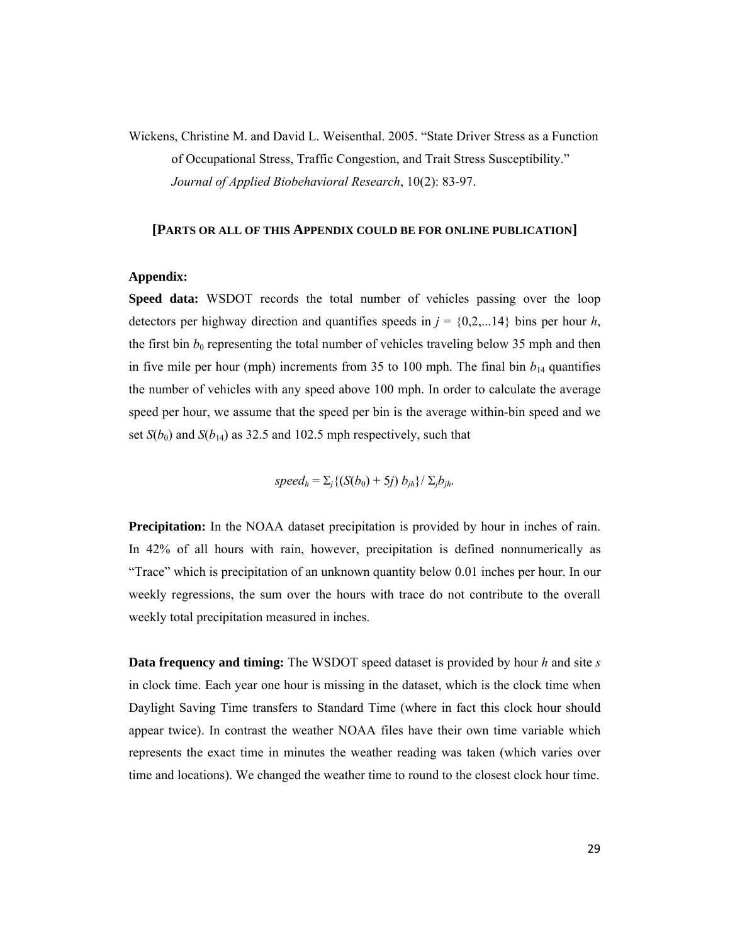Wickens, Christine M. and David L. Weisenthal. 2005. "State Driver Stress as a Function of Occupational Stress, Traffic Congestion, and Trait Stress Susceptibility." *Journal of Applied Biobehavioral Research*, 10(2): 83-97.

#### **[PARTS OR ALL OF THIS APPENDIX COULD BE FOR ONLINE PUBLICATION]**

#### **Appendix:**

**Speed data:** WSDOT records the total number of vehicles passing over the loop detectors per highway direction and quantifies speeds in  $j = \{0, 2, \ldots, 14\}$  bins per hour *h*, the first bin  $b_0$  representing the total number of vehicles traveling below 35 mph and then in five mile per hour (mph) increments from 35 to 100 mph. The final bin  $b_{14}$  quantifies the number of vehicles with any speed above 100 mph. In order to calculate the average speed per hour, we assume that the speed per bin is the average within-bin speed and we set  $S(b_0)$  and  $S(b_{14})$  as 32.5 and 102.5 mph respectively, such that

*speed<sub>h</sub>* =  $\Sigma_i$ {(*S*(*b*<sub>0</sub>) + 5*j*) *b<sub>ih</sub>*}/  $\Sigma_j$ *b<sub>ih</sub>*.

**Precipitation:** In the NOAA dataset precipitation is provided by hour in inches of rain. In 42% of all hours with rain, however, precipitation is defined nonnumerically as "Trace" which is precipitation of an unknown quantity below 0.01 inches per hour. In our weekly regressions, the sum over the hours with trace do not contribute to the overall weekly total precipitation measured in inches.

**Data frequency and timing:** The WSDOT speed dataset is provided by hour *h* and site *s* in clock time. Each year one hour is missing in the dataset, which is the clock time when Daylight Saving Time transfers to Standard Time (where in fact this clock hour should appear twice). In contrast the weather NOAA files have their own time variable which represents the exact time in minutes the weather reading was taken (which varies over time and locations). We changed the weather time to round to the closest clock hour time.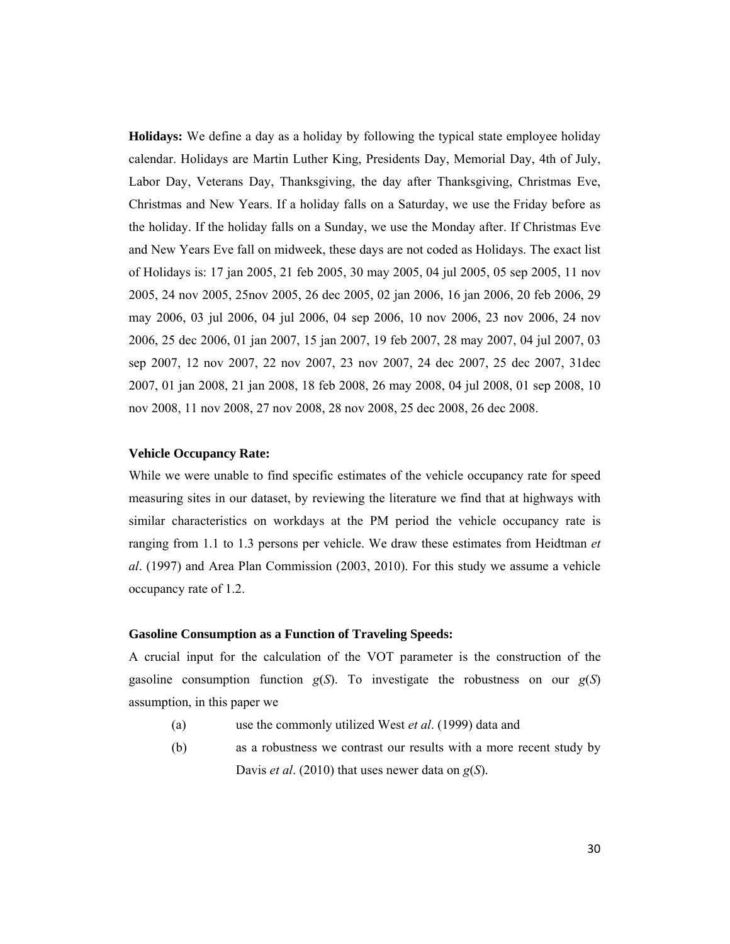**Holidays:** We define a day as a holiday by following the typical state employee holiday calendar. Holidays are Martin Luther King, Presidents Day, Memorial Day, 4th of July, Labor Day, Veterans Day, Thanksgiving, the day after Thanksgiving, Christmas Eve, Christmas and New Years. If a holiday falls on a Saturday, we use the Friday before as the holiday. If the holiday falls on a Sunday, we use the Monday after. If Christmas Eve and New Years Eve fall on midweek, these days are not coded as Holidays. The exact list of Holidays is: 17 jan 2005, 21 feb 2005, 30 may 2005, 04 jul 2005, 05 sep 2005, 11 nov 2005, 24 nov 2005, 25nov 2005, 26 dec 2005, 02 jan 2006, 16 jan 2006, 20 feb 2006, 29 may 2006, 03 jul 2006, 04 jul 2006, 04 sep 2006, 10 nov 2006, 23 nov 2006, 24 nov 2006, 25 dec 2006, 01 jan 2007, 15 jan 2007, 19 feb 2007, 28 may 2007, 04 jul 2007, 03 sep 2007, 12 nov 2007, 22 nov 2007, 23 nov 2007, 24 dec 2007, 25 dec 2007, 31dec 2007, 01 jan 2008, 21 jan 2008, 18 feb 2008, 26 may 2008, 04 jul 2008, 01 sep 2008, 10 nov 2008, 11 nov 2008, 27 nov 2008, 28 nov 2008, 25 dec 2008, 26 dec 2008.

#### **Vehicle Occupancy Rate:**

While we were unable to find specific estimates of the vehicle occupancy rate for speed measuring sites in our dataset, by reviewing the literature we find that at highways with similar characteristics on workdays at the PM period the vehicle occupancy rate is ranging from 1.1 to 1.3 persons per vehicle. We draw these estimates from Heidtman *et al*. (1997) and Area Plan Commission (2003, 2010). For this study we assume a vehicle occupancy rate of 1.2.

#### **Gasoline Consumption as a Function of Traveling Speeds:**

A crucial input for the calculation of the VOT parameter is the construction of the gasoline consumption function  $g(S)$ . To investigate the robustness on our  $g(S)$ assumption, in this paper we

- (a) use the commonly utilized West *et al*. (1999) data and
- (b) as a robustness we contrast our results with a more recent study by Davis *et al*. (2010) that uses newer data on *g*(*S*).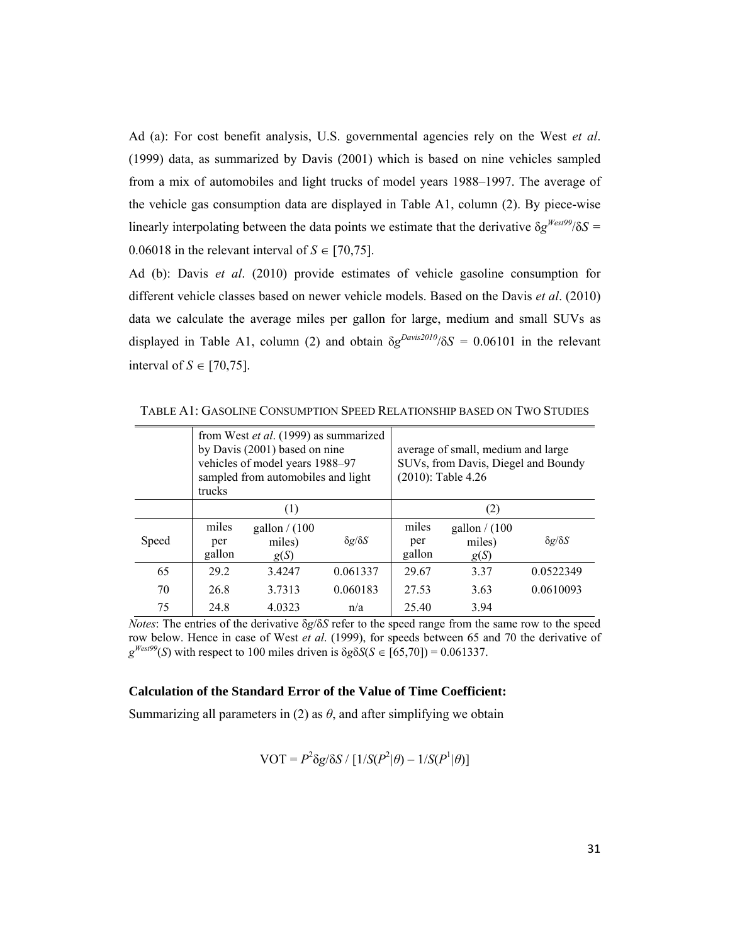Ad (a): For cost benefit analysis, U.S. governmental agencies rely on the West *et al*. (1999) data, as summarized by Davis (2001) which is based on nine vehicles sampled from a mix of automobiles and light trucks of model years 1988–1997. The average of the vehicle gas consumption data are displayed in Table A1, column (2). By piece-wise linearly interpolating between the data points we estimate that the derivative  $\delta g^{West99}/\delta S =$ 0.06018 in the relevant interval of  $S \in [70, 75]$ .

Ad (b): Davis *et al*. (2010) provide estimates of vehicle gasoline consumption for different vehicle classes based on newer vehicle models. Based on the Davis *et al*. (2010) data we calculate the average miles per gallon for large, medium and small SUVs as displayed in Table A1, column (2) and obtain  $\delta g^{Davis2010}/\delta S = 0.06101$  in the relevant interval of  $S \in [70, 75]$ .

|       | from West et al. (1999) as summarized<br>by Davis (2001) based on nine<br>vehicles of model years 1988-97<br>sampled from automobiles and light<br>trucks |                                   |                     | average of small, medium and large<br>SUVs, from Davis, Diegel and Boundy<br>$(2010)$ : Table 4.26 |                                   |                     |
|-------|-----------------------------------------------------------------------------------------------------------------------------------------------------------|-----------------------------------|---------------------|----------------------------------------------------------------------------------------------------|-----------------------------------|---------------------|
|       | (1)                                                                                                                                                       |                                   |                     | (2)                                                                                                |                                   |                     |
| Speed | miles<br>per<br>gallon                                                                                                                                    | gallon $/ (100$<br>miles)<br>g(S) | $\delta g/\delta S$ | miles<br>per<br>gallon                                                                             | gallon $/$ (100<br>miles)<br>g(S) | $\delta g/\delta S$ |
| 65    | 29.2                                                                                                                                                      | 3.4247                            | 0.061337            | 29.67                                                                                              | 3.37                              | 0.0522349           |
| 70    | 26.8                                                                                                                                                      | 3.7313                            | 0.060183            | 27.53                                                                                              | 3.63                              | 0.0610093           |
| 75    | 24.8                                                                                                                                                      | 4.0323                            | n/a                 | 25.40                                                                                              | 3.94                              |                     |

TABLE A1: GASOLINE CONSUMPTION SPEED RELATIONSHIP BASED ON TWO STUDIES

*Notes*: The entries of the derivative δ*g*/δ*S* refer to the speed range from the same row to the speed row below. Hence in case of West *et al*. (1999), for speeds between 65 and 70 the derivative of  $g^{West99}(S)$  with respect to 100 miles driven is  $\delta g \delta S(S \in [65,70]) = 0.061337$ .

#### **Calculation of the Standard Error of the Value of Time Coefficient:**

Summarizing all parameters in (2) as  $\theta$ , and after simplifying we obtain

$$
VOT = P^{2} \delta g / \delta S / [1/S(P^{2}|\theta) - 1/S(P^{1}|\theta)]
$$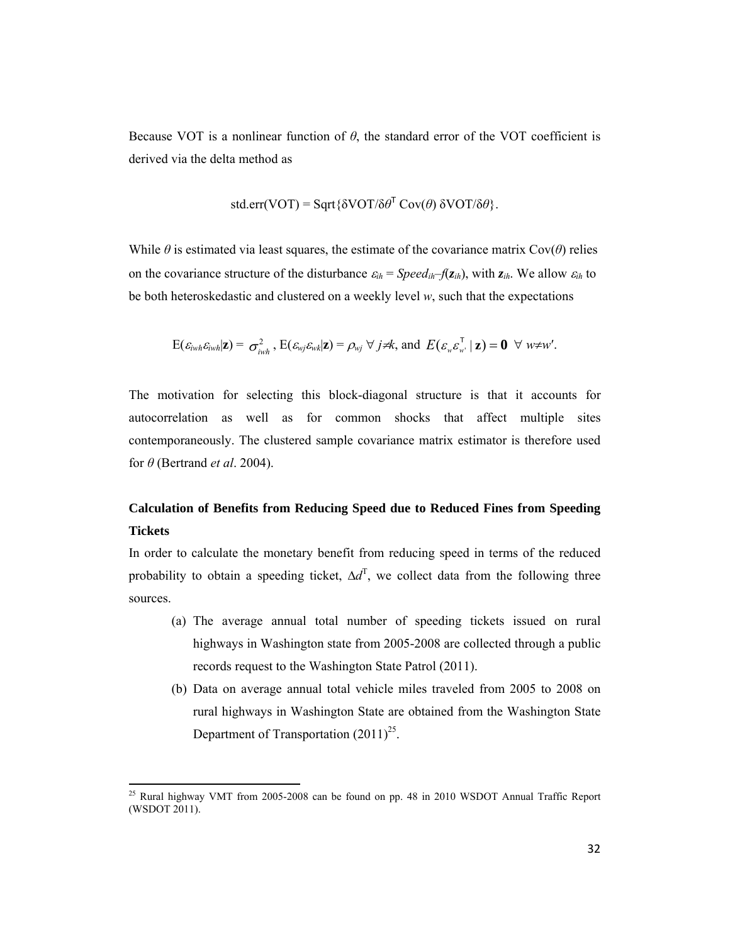Because VOT is a nonlinear function of  $\theta$ , the standard error of the VOT coefficient is derived via the delta method as

$$
std.err(VOT) = Sqrt{\delta VOT/\delta \theta^{T} Cov(\theta) \delta VOT/\delta \theta}.
$$

While  $\theta$  is estimated via least squares, the estimate of the covariance matrix Cov( $\theta$ ) relies on the covariance structure of the disturbance  $\varepsilon_{ih}$  = *Speed<sub>ih</sub>*– $f(z_{ih})$ , with  $z_{ih}$ . We allow  $\varepsilon_{ih}$  to be both heteroskedastic and clustered on a weekly level *w*, such that the expectations

$$
E(\varepsilon_{iwh}\varepsilon_{iwh}|\mathbf{z}) = \sigma_{iwh}^2, E(\varepsilon_{wj}\varepsilon_{wk}|\mathbf{z}) = \rho_{wj} \ \forall \ j \neq k, \text{ and } E(\varepsilon_{w}\varepsilon_{w'}^T | \mathbf{z}) = \mathbf{0} \ \ \forall \ w \neq w'.
$$

The motivation for selecting this block-diagonal structure is that it accounts for autocorrelation as well as for common shocks that affect multiple sites contemporaneously. The clustered sample covariance matrix estimator is therefore used for *θ* (Bertrand *et al*. 2004).

### **Calculation of Benefits from Reducing Speed due to Reduced Fines from Speeding Tickets**

In order to calculate the monetary benefit from reducing speed in terms of the reduced probability to obtain a speeding ticket,  $\Delta d^{\text{T}}$ , we collect data from the following three sources.

- (a) The average annual total number of speeding tickets issued on rural highways in Washington state from 2005-2008 are collected through a public records request to the Washington State Patrol (2011).
- (b) Data on average annual total vehicle miles traveled from 2005 to 2008 on rural highways in Washington State are obtained from the Washington State Department of Transportation  $(2011)^{25}$ .

 $^{25}$  Rural highway VMT from 2005-2008 can be found on pp. 48 in 2010 WSDOT Annual Traffic Report (WSDOT 2011).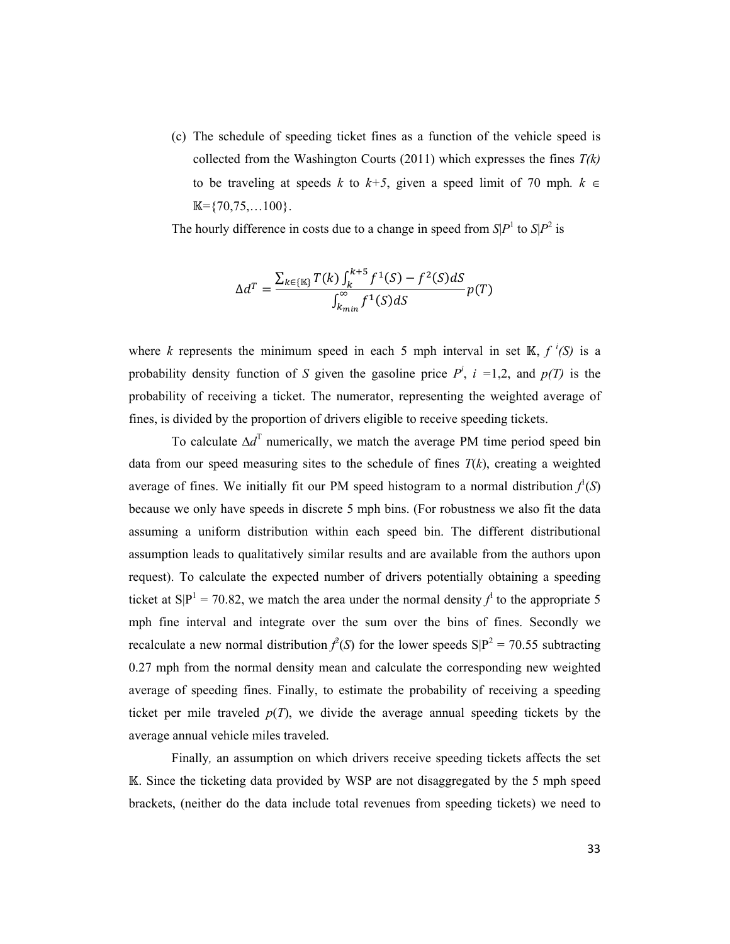(c) The schedule of speeding ticket fines as a function of the vehicle speed is collected from the Washington Courts (2011) which expresses the fines *T(k)* to be traveling at speeds *k* to  $k+5$ , given a speed limit of 70 mph.  $k \in$  $\mathbb{K} = \{70, 75, \ldots, 100\}$ .

The hourly difference in costs due to a change in speed from  $S/P<sup>1</sup>$  to  $S/P<sup>2</sup>$  is

$$
\Delta d^T = \frac{\sum_{k \in \{\mathbb{K}\}} T(k) \int_k^{k+5} f^1(S) - f^2(S) dS}{\int_{k_{min}}^{\infty} f^1(S) dS} p(T)
$$

where *k* represents the minimum speed in each 5 mph interval in set  $\mathbb{K}$ ,  $f^{i}(S)$  is a probability density function of *S* given the gasoline price  $P^i$ ,  $i = 1,2$ , and  $p(T)$  is the probability of receiving a ticket. The numerator, representing the weighted average of fines, is divided by the proportion of drivers eligible to receive speeding tickets.

To calculate  $\Delta d^{\text{T}}$  numerically, we match the average PM time period speed bin data from our speed measuring sites to the schedule of fines  $T(k)$ , creating a weighted average of fines. We initially fit our PM speed histogram to a normal distribution  $f^1(S)$ because we only have speeds in discrete 5 mph bins. (For robustness we also fit the data assuming a uniform distribution within each speed bin. The different distributional assumption leads to qualitatively similar results and are available from the authors upon request). To calculate the expected number of drivers potentially obtaining a speeding ticket at  $S|P^1 = 70.82$ , we match the area under the normal density  $f^1$  to the appropriate 5 mph fine interval and integrate over the sum over the bins of fines. Secondly we recalculate a new normal distribution  $\hat{f}(S)$  for the lower speeds  $S|P^2 = 70.55$  subtracting 0.27 mph from the normal density mean and calculate the corresponding new weighted average of speeding fines. Finally, to estimate the probability of receiving a speeding ticket per mile traveled  $p(T)$ , we divide the average annual speeding tickets by the average annual vehicle miles traveled.

Finally*,* an assumption on which drivers receive speeding tickets affects the set ॶ. Since the ticketing data provided by WSP are not disaggregated by the 5 mph speed brackets, (neither do the data include total revenues from speeding tickets) we need to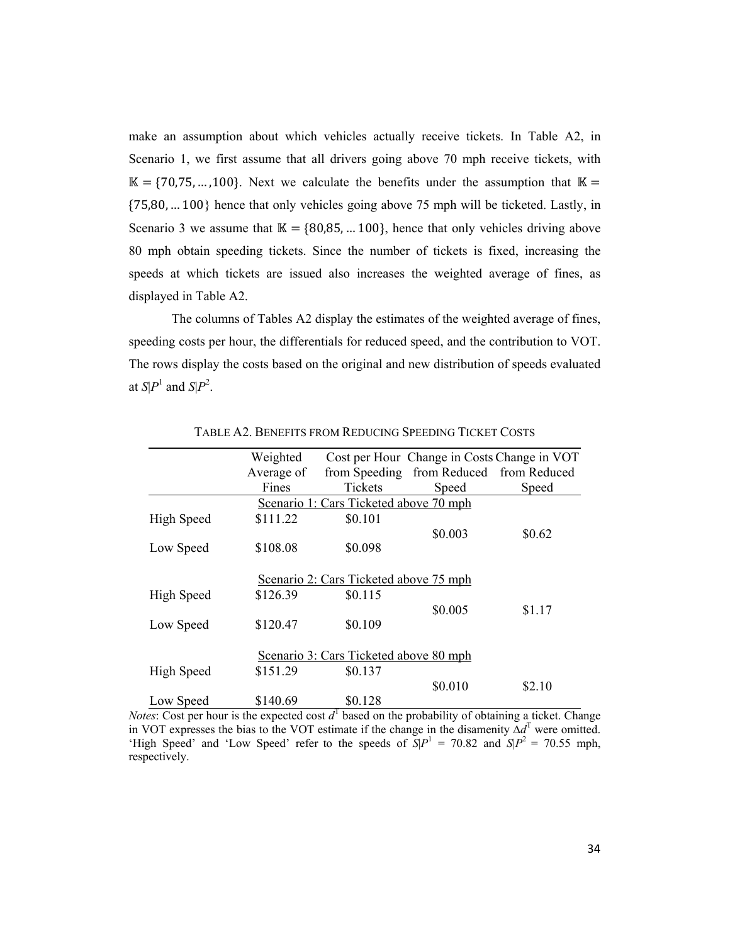make an assumption about which vehicles actually receive tickets. In Table A2, in Scenario 1, we first assume that all drivers going above 70 mph receive tickets, with  $\mathbb{K} = \{70,75, \ldots, 100\}$ . Next we calculate the benefits under the assumption that  $\mathbb{K} =$  ${75,80,...100}$  hence that only vehicles going above 75 mph will be ticketed. Lastly, in Scenario 3 we assume that  $\mathbb{K} = \{80,85, \dots 100\}$ , hence that only vehicles driving above 80 mph obtain speeding tickets. Since the number of tickets is fixed, increasing the speeds at which tickets are issued also increases the weighted average of fines, as displayed in Table A2.

The columns of Tables A2 display the estimates of the weighted average of fines, speeding costs per hour, the differentials for reduced speed, and the contribution to VOT. The rows display the costs based on the original and new distribution of speeds evaluated at  $S|P^1$  and  $S|P^2$ .

|            | Weighted   |                                        | Cost per Hour Change in Costs Change in VOT |        |
|------------|------------|----------------------------------------|---------------------------------------------|--------|
|            | Average of |                                        | from Speeding from Reduced from Reduced     |        |
|            | Fines      | <b>Tickets</b>                         | Speed                                       | Speed  |
|            |            | Scenario 1: Cars Ticketed above 70 mph |                                             |        |
| High Speed | \$111.22   | \$0.101                                |                                             |        |
|            |            |                                        | \$0.003                                     | \$0.62 |
| Low Speed  | \$108.08   | \$0.098                                |                                             |        |
|            |            |                                        |                                             |        |
|            |            | Scenario 2: Cars Ticketed above 75 mph |                                             |        |
| High Speed | \$126.39   | \$0.115                                |                                             |        |
|            |            |                                        | \$0.005                                     | \$1.17 |
| Low Speed  | \$120.47   | \$0.109                                |                                             |        |
|            |            |                                        |                                             |        |
|            |            | Scenario 3: Cars Ticketed above 80 mph |                                             |        |
| High Speed | \$151.29   | \$0.137                                |                                             |        |
|            |            |                                        | \$0.010                                     | \$2.10 |
| Low Speed  | \$140.69   | \$0.128                                |                                             |        |

TABLE A2. BENEFITS FROM REDUCING SPEEDING TICKET COSTS

*Notes*: Cost per hour is the expected cost  $d<sup>T</sup>$  based on the probability of obtaining a ticket. Change in VOT expresses the bias to the VOT estimate if the change in the disamenity ∆*d*<sup>T</sup> were omitted. 'High Speed' and 'Low Speed' refer to the speeds of  $S|P^1 = 70.82$  and  $S|P^2 = 70.55$  mph, respectively.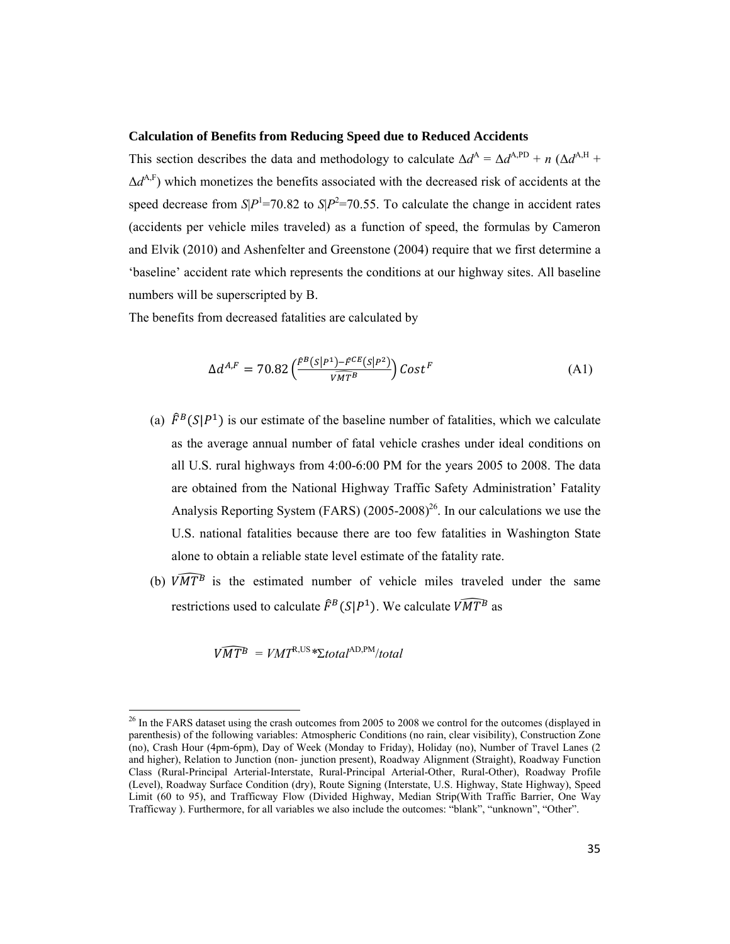#### **Calculation of Benefits from Reducing Speed due to Reduced Accidents**

This section describes the data and methodology to calculate  $\Delta d^A = \Delta d^{A, PD} + n (\Delta d^{A,H} +$  $\Delta d^{\text{A},F}$ ) which monetizes the benefits associated with the decreased risk of accidents at the speed decrease from  $S/P<sup>1</sup>=70.82$  to  $S/P<sup>2</sup>=70.55$ . To calculate the change in accident rates (accidents per vehicle miles traveled) as a function of speed, the formulas by Cameron and Elvik (2010) and Ashenfelter and Greenstone (2004) require that we first determine a 'baseline' accident rate which represents the conditions at our highway sites. All baseline numbers will be superscripted by B.

The benefits from decreased fatalities are calculated by

$$
\Delta d^{A,F} = 70.82 \left( \frac{\hat{F}^B (S|P^1) - \hat{F}^{CE} (S|P^2)}{\widehat{V} \widehat{M} \widehat{T}^B} \right) \mathcal{C}ost^F \tag{A1}
$$

- (a)  $\hat{F}^B(S|P^1)$  is our estimate of the baseline number of fatalities, which we calculate as the average annual number of fatal vehicle crashes under ideal conditions on all U.S. rural highways from 4:00-6:00 PM for the years 2005 to 2008. The data are obtained from the National Highway Traffic Safety Administration' Fatality Analysis Reporting System (FARS)  $(2005{\text -}2008)^{26}$ . In our calculations we use the U.S. national fatalities because there are too few fatalities in Washington State alone to obtain a reliable state level estimate of the fatality rate.
- (b)  $\widehat{VMTB}$  is the estimated number of vehicle miles traveled under the same restrictions used to calculate  $\widehat{F}^B(S|P^1)$ . We calculate  $\widehat{VMT^B}$  as

$$
\widehat{VMT^B} = VMT^{R,US} * \Sigma total^{AD,PM}/total
$$

 $^{26}$  In the FARS dataset using the crash outcomes from 2005 to 2008 we control for the outcomes (displayed in parenthesis) of the following variables: Atmospheric Conditions (no rain, clear visibility), Construction Zone (no), Crash Hour (4pm-6pm), Day of Week (Monday to Friday), Holiday (no), Number of Travel Lanes (2 and higher), Relation to Junction (non- junction present), Roadway Alignment (Straight), Roadway Function Class (Rural-Principal Arterial-Interstate, Rural-Principal Arterial-Other, Rural-Other), Roadway Profile (Level), Roadway Surface Condition (dry), Route Signing (Interstate, U.S. Highway, State Highway), Speed Limit (60 to 95), and Trafficway Flow (Divided Highway, Median Strip(With Traffic Barrier, One Way Trafficway ). Furthermore, for all variables we also include the outcomes: "blank", "unknown", "Other".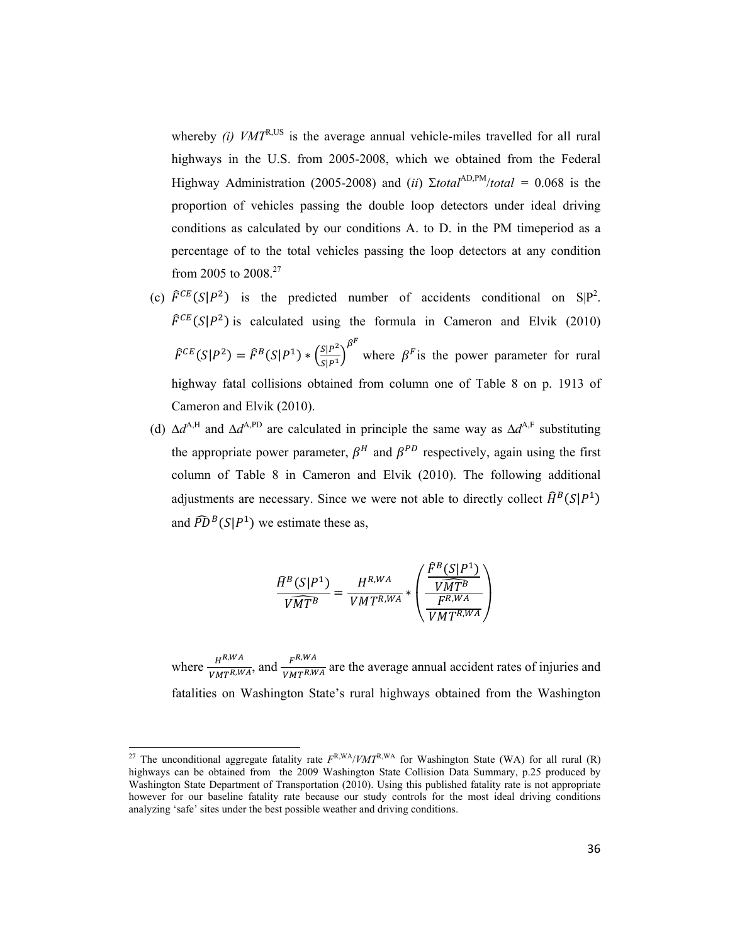whereby *(i)*  $VMT^{R,US}$  is the average annual vehicle-miles travelled for all rural highways in the U.S. from 2005-2008, which we obtained from the Federal Highway Administration (2005-2008) and (*ii*)  $\Sigma$ *total*<sup>AD,PM</sup>/*total* = 0.068 is the proportion of vehicles passing the double loop detectors under ideal driving conditions as calculated by our conditions A. to D. in the PM timeperiod as a percentage of to the total vehicles passing the loop detectors at any condition from 2005 to 2008.27

- (c)  $\hat{F}^{CE}(S|P^2)$  is the predicted number of accidents conditional on S|P<sup>2</sup>.  $\hat{F}^{CE}(S|P^2)$  is calculated using the formula in Cameron and Elvik (2010)  $\hat{F}^{CE}(S|P^2) = \hat{F}^B(S|P^1) * \left(\frac{S|P^2}{S|P^1}\right)$  $\beta^F$ where  $\beta^F$  is the power parameter for rural highway fatal collisions obtained from column one of Table 8 on p. 1913 of Cameron and Elvik (2010).
- (d)  $\Delta d^{\text{A,H}}$  and  $\Delta d^{\text{A,PD}}$  are calculated in principle the same way as  $\Delta d^{\text{A,F}}$  substituting the appropriate power parameter,  $\beta^H$  and  $\beta^{PD}$  respectively, again using the first column of Table 8 in Cameron and Elvik (2010). The following additional adjustments are necessary. Since we were not able to directly collect  $\widehat{H}^B(S|P^1)$ and  $\widehat{PD}^B(S|P^1)$  we estimate these as,

$$
\frac{\widehat{H}^B(S|P^1)}{\widehat{VMT^B}} = \frac{H^{R,WA}}{VMT^{R,WA}} * \left(\frac{\frac{\widehat{F}^B(S|P^1)}{\widehat{VMT^B}}}{\frac{F^{R,WA}}{\widehat{VMT^{R,WA}}}}\right)
$$

where  $\frac{H^{R,WA}}{VMT^{R,WA}}$ , and  $\frac{F^{R,WA}}{VMT^{R,WA}}$  are the average annual accident rates of injuries and fatalities on Washington State's rural highways obtained from the Washington

<sup>&</sup>lt;sup>27</sup> The unconditional aggregate fatality rate  $F^{R,WA}/VMT^{R,WA}$  for Washington State (WA) for all rural (R) highways can be obtained from the 2009 Washington State Collision Data Summary, p.25 produced by Washington State Department of Transportation (2010). Using this published fatality rate is not appropriate however for our baseline fatality rate because our study controls for the most ideal driving conditions analyzing 'safe' sites under the best possible weather and driving conditions.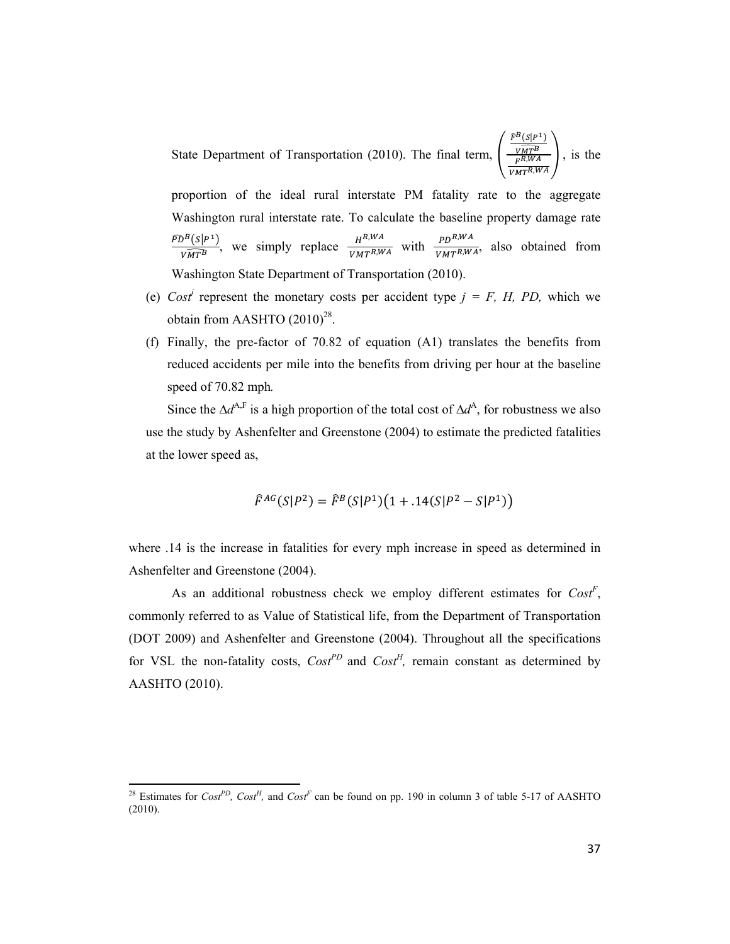State Department of Transportation (2010). The final term,  $\vert$  $\widehat{F}^{B}(S | P^{1})$  $\widehat{VMTB}$  $\frac{VMT^B}{F^{R,WA}}$ , is the

proportion of the ideal rural interstate PM fatality rate to the aggregate Washington rural interstate rate. To calculate the baseline property damage rate  $\frac{\bar{PD}^B(s|P^1)}{\bar{VMT^B}}$ , we simply replace  $\frac{H^{R,WA}}{\bar{VMT^{R,WA}}}$  with  $\frac{PD^{R,WA}}{\bar{VMT^{R,WA}}}$ , also obtained from Washington State Department of Transportation (2010).

- (e)  $Cost<sup>j</sup>$  represent the monetary costs per accident type  $j = F$ , *H*, *PD*, which we obtain from AASHTO  $(2010)^{28}$ .
- (f) Finally, the pre-factor of 70.82 of equation (A1) translates the benefits from reduced accidents per mile into the benefits from driving per hour at the baseline speed of 70.82 mph*.*

Since the  $\Delta d^{A,F}$  is a high proportion of the total cost of  $\Delta d^A$ , for robustness we also use the study by Ashenfelter and Greenstone (2004) to estimate the predicted fatalities at the lower speed as,

$$
\hat{F}^{AG}(S|P^2) = \hat{F}^B(S|P^1)(1 + .14(S|P^2 - S|P^1))
$$

where .14 is the increase in fatalities for every mph increase in speed as determined in Ashenfelter and Greenstone (2004).

As an additional robustness check we employ different estimates for  $Cost^F$ , commonly referred to as Value of Statistical life, from the Department of Transportation (DOT 2009) and Ashenfelter and Greenstone (2004). Throughout all the specifications for VSL the non-fatality costs,  $Cost^{PD}$  and  $Cost^{H}$ , remain constant as determined by AASHTO (2010).

<sup>&</sup>lt;sup>28</sup> Estimates for *Cost<sup>PD</sup>*, *Cost<sup>H</sup>*, and *Cost<sup>F</sup>* can be found on pp. 190 in column 3 of table 5-17 of AASHTO (2010).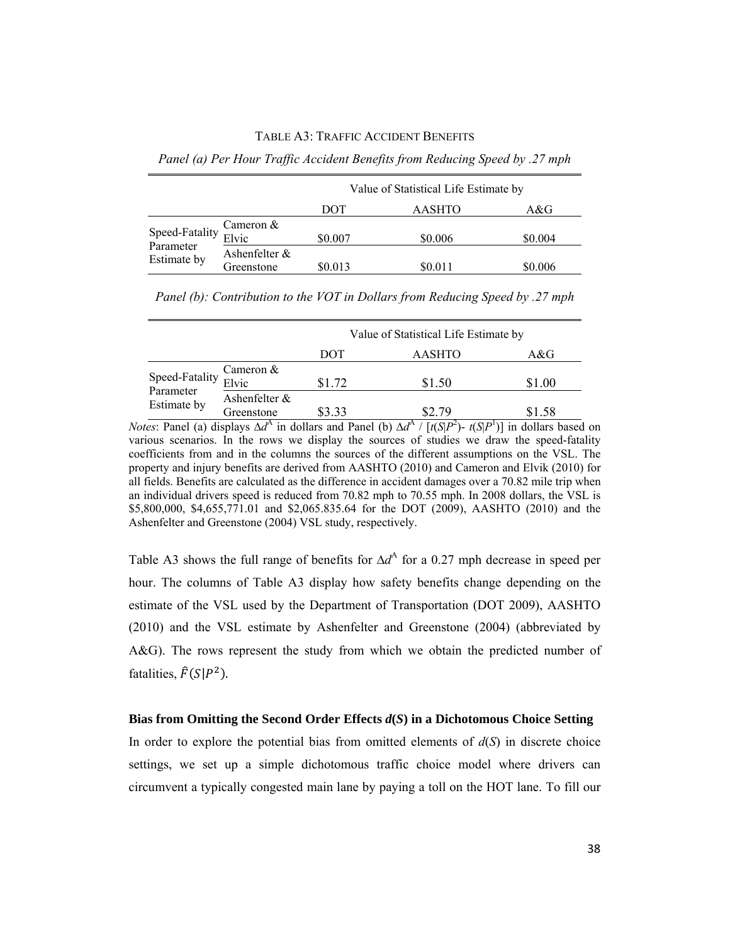#### TABLE A3: TRAFFIC ACCIDENT BENEFITS

*Panel (a) Per Hour Traffic Accident Benefits from Reducing Speed by .27 mph* 

|                          |                             | Value of Statistical Life Estimate by |               |         |  |
|--------------------------|-----------------------------|---------------------------------------|---------------|---------|--|
|                          |                             | DOT                                   | <b>AASHTO</b> | A&G     |  |
| Speed-Fatality           | Cameron &<br>Elvic          | \$0.007                               | \$0.006       | \$0.004 |  |
| Parameter<br>Estimate by | Ashenfelter &<br>Greenstone | \$0.013                               | \$0.011       | \$0.006 |  |

|                                                     |                             | Value of Statistical Life Estimate by |        |        |
|-----------------------------------------------------|-----------------------------|---------------------------------------|--------|--------|
|                                                     |                             | DOT                                   | AASHTO | A&G    |
| Speed-Fatality $\frac{\text{Carnic}}{\text{Elvic}}$ | Cameron $&$                 | \$1.72                                | \$1.50 | \$1.00 |
| Estimate by                                         | Ashenfelter &<br>Greenstone | \$3.33                                | SV 79  | \$1.58 |

*Panel (b): Contribution to the VOT in Dollars from Reducing Speed by .27 mph* 

*Notes*: Panel (a) displays  $\Delta d^A$  in dollars and Panel (b)  $\Delta d^A / [t(S|P^2) - t(S|P^1)]$  in dollars based on various scenarios. In the rows we display the sources of studies we draw the speed-fatality coefficients from and in the columns the sources of the different assumptions on the VSL. The property and injury benefits are derived from AASHTO (2010) and Cameron and Elvik (2010) for all fields. Benefits are calculated as the difference in accident damages over a 70.82 mile trip when an individual drivers speed is reduced from 70.82 mph to 70.55 mph. In 2008 dollars, the VSL is \$5,800,000, \$4,655,771.01 and \$2,065.835.64 for the DOT (2009), AASHTO (2010) and the Ashenfelter and Greenstone (2004) VSL study, respectively.

Table A3 shows the full range of benefits for  $\Delta d^{\text{A}}$  for a 0.27 mph decrease in speed per hour. The columns of Table A3 display how safety benefits change depending on the estimate of the VSL used by the Department of Transportation (DOT 2009), AASHTO (2010) and the VSL estimate by Ashenfelter and Greenstone (2004) (abbreviated by A&G). The rows represent the study from which we obtain the predicted number of fatalities,  $\hat{F}(S|P^2)$ .

#### **Bias from Omitting the Second Order Effects** *d***(***S***) in a Dichotomous Choice Setting**

In order to explore the potential bias from omitted elements of  $d(S)$  in discrete choice settings, we set up a simple dichotomous traffic choice model where drivers can circumvent a typically congested main lane by paying a toll on the HOT lane. To fill our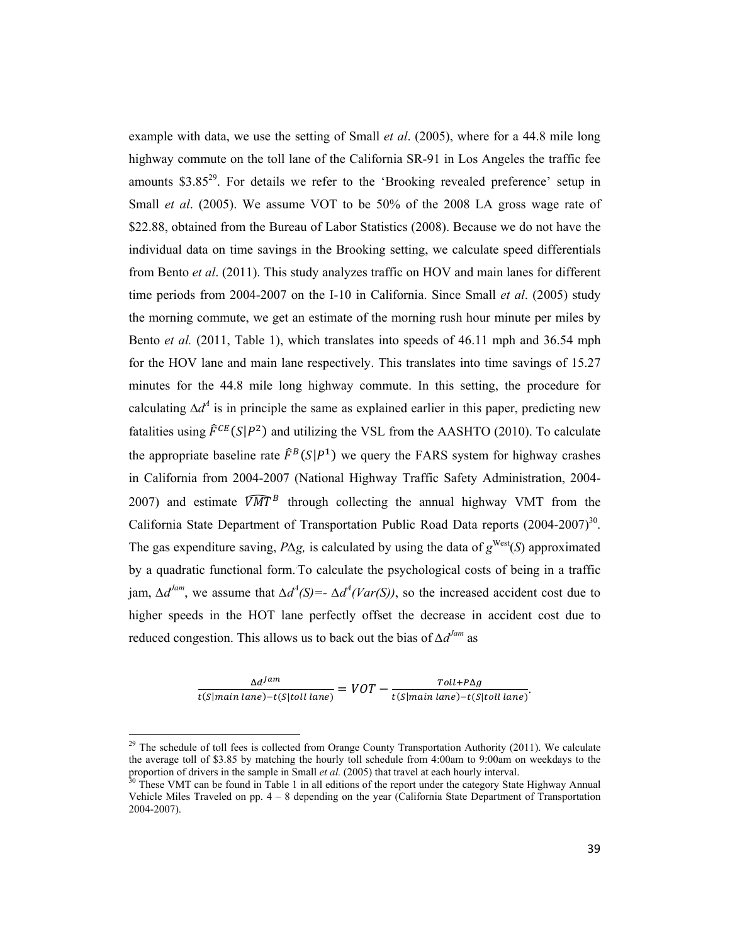example with data, we use the setting of Small *et al*. (2005), where for a 44.8 mile long highway commute on the toll lane of the California SR-91 in Los Angeles the traffic fee amounts  $$3.85^{29}$ . For details we refer to the 'Brooking revealed preference' setup in Small *et al*. (2005). We assume VOT to be 50% of the 2008 LA gross wage rate of \$22.88, obtained from the Bureau of Labor Statistics (2008). Because we do not have the individual data on time savings in the Brooking setting, we calculate speed differentials from Bento *et al*. (2011). This study analyzes traffic on HOV and main lanes for different time periods from 2004-2007 on the I-10 in California. Since Small *et al*. (2005) study the morning commute, we get an estimate of the morning rush hour minute per miles by Bento *et al.* (2011, Table 1), which translates into speeds of 46.11 mph and 36.54 mph for the HOV lane and main lane respectively. This translates into time savings of 15.27 minutes for the 44.8 mile long highway commute. In this setting, the procedure for calculating  $\Delta d^4$  is in principle the same as explained earlier in this paper, predicting new fatalities using  $\hat{F}^{CE}(S|P^2)$  and utilizing the VSL from the AASHTO (2010). To calculate the appropriate baseline rate  $\hat{F}^B(S|P^1)$  we query the FARS system for highway crashes in California from 2004-2007 (National Highway Traffic Safety Administration, 2004- 2007) and estimate  $\widehat{VMT}^B$  through collecting the annual highway VMT from the California State Department of Transportation Public Road Data reports  $(2004-2007)^{30}$ . The gas expenditure saving, *P∆g,* is calculated by using the data of *g* West(*S*) approximated by a quadratic functional form.. To calculate the psychological costs of being in a traffic  $\lim_{\Delta} \Delta d^{Iam}$ , we assume that  $\Delta d^A(S) = \Delta d^A(Var(S))$ , so the increased accident cost due to higher speeds in the HOT lane perfectly offset the decrease in accident cost due to reduced congestion. This allows us to back out the bias of *∆dJam* as

 $\frac{\Delta d^{lam}}{t(S|main\ lane) - t(S| toll\ lane)} = VOT - \frac{Toll + P\Delta g}{t(S|main\ lane) - t(S| toll\ lane)}.$ 

<sup>&</sup>lt;sup>29</sup> The schedule of toll fees is collected from Orange County Transportation Authority (2011). We calculate the average toll of \$3.85 by matching the hourly toll schedule from 4:00am to 9:00am on weekdays to the proportion of drivers in the sample in Small *et al.* (2005) that travel at each hourly interval.<br><sup>30</sup> These VMT can be found in Table 1 in all editions of the report under the category State Highway Annual

Vehicle Miles Traveled on pp.  $4 - 8$  depending on the year (California State Department of Transportation 2004-2007).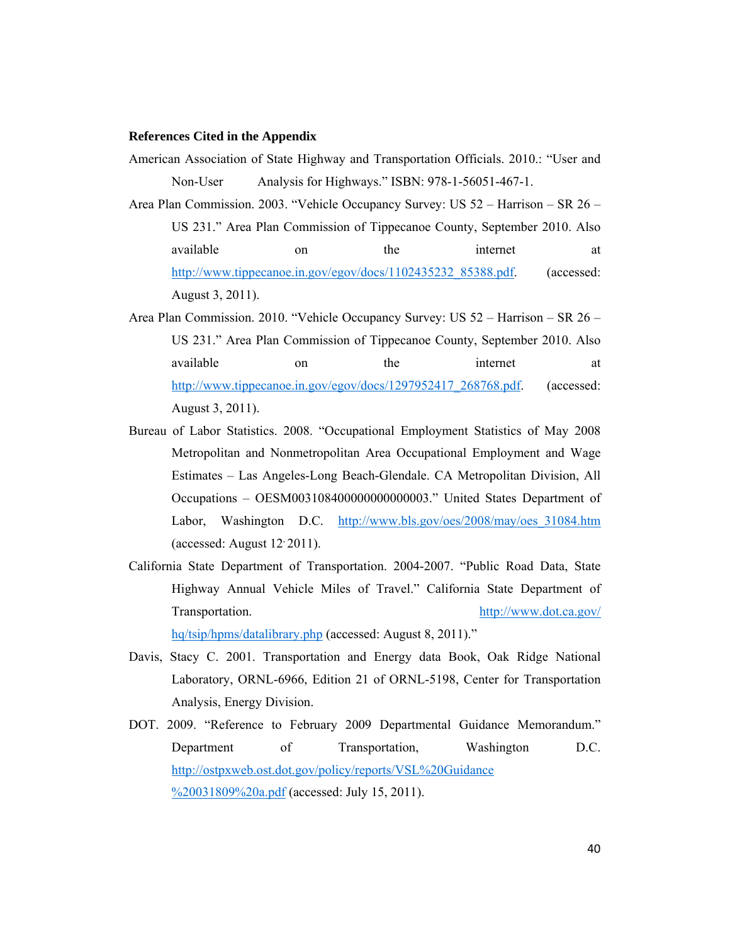#### **References Cited in the Appendix**

- American Association of State Highway and Transportation Officials. 2010.: "User and Non-User Analysis for Highways." ISBN: 978-1-56051-467-1.
- Area Plan Commission. 2003. "Vehicle Occupancy Survey: US 52 Harrison SR 26 US 231." Area Plan Commission of Tippecanoe County, September 2010. Also available on the internet at http://www.tippecanoe.in.gov/egov/docs/1102435232\_85388.pdf. (accessed: August 3, 2011).
- Area Plan Commission. 2010. "Vehicle Occupancy Survey: US 52 Harrison SR 26 US 231." Area Plan Commission of Tippecanoe County, September 2010. Also available on the internet at http://www.tippecanoe.in.gov/egov/docs/1297952417\_268768.pdf. (accessed: August 3, 2011).
- Bureau of Labor Statistics. 2008. "Occupational Employment Statistics of May 2008 Metropolitan and Nonmetropolitan Area Occupational Employment and Wage Estimates – Las Angeles-Long Beach-Glendale. CA Metropolitan Division, All Occupations – OESM003108400000000000003." United States Department of Labor, Washington D.C. http://www.bls.gov/oes/2008/may/oes\_31084.htm (accessed: August 12, 2011).
- California State Department of Transportation. 2004-2007. "Public Road Data, State Highway Annual Vehicle Miles of Travel." California State Department of Transportation. http://www.dot.ca.gov/ hq/tsip/hpms/datalibrary.php (accessed: August 8, 2011)."
- Davis, Stacy C. 2001. Transportation and Energy data Book, Oak Ridge National Laboratory, ORNL-6966, Edition 21 of ORNL-5198, Center for Transportation Analysis, Energy Division.
- DOT. 2009. "Reference to February 2009 Departmental Guidance Memorandum." Department of Transportation, Washington D.C. http://ostpxweb.ost.dot.gov/policy/reports/VSL%20Guidance %20031809%20a.pdf (accessed: July 15, 2011).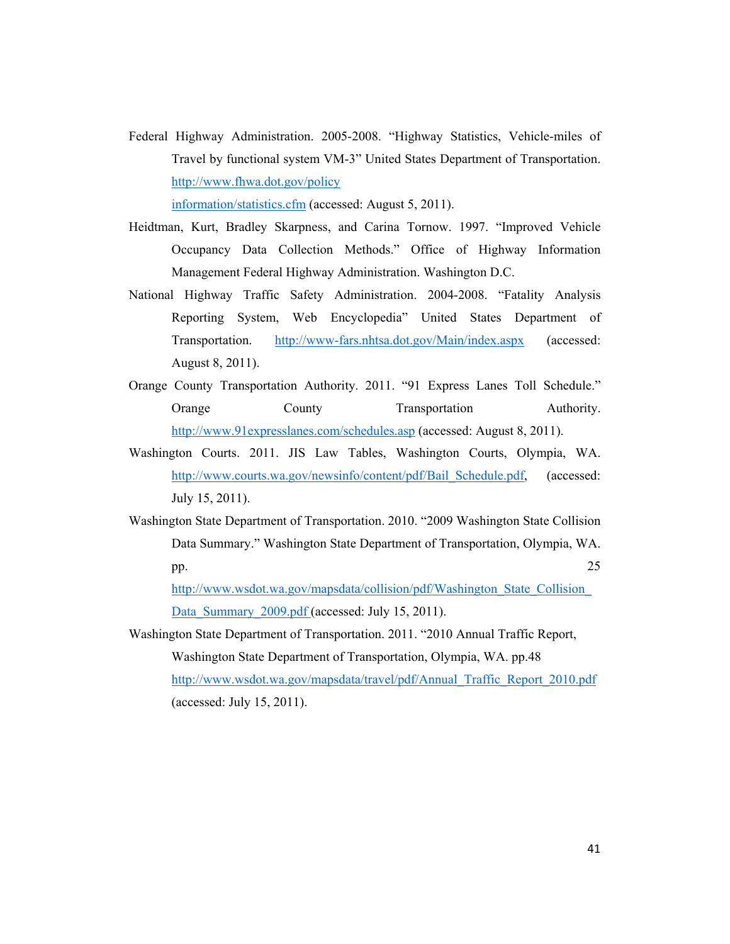Federal Highway Administration. 2005-2008. "Highway Statistics, Vehicle-miles of Travel by functional system VM-3" United States Department of Transportation. http://www.fhwa.dot.gov/policy information/statistics.cfm (accessed: August 5, 2011).

Heidtman, Kurt, Bradley Skarpness, and Carina Tornow. 1997. "Improved Vehicle Occupancy Data Collection Methods." Office of Highway Information Management Federal Highway Administration. Washington D.C.

- National Highway Traffic Safety Administration. 2004-2008. "Fatality Analysis Reporting System, Web Encyclopedia" United States Department of Transportation. http://www-fars.nhtsa.dot.gov/Main/index.aspx (accessed: August 8, 2011).
- Orange County Transportation Authority. 2011. "91 Express Lanes Toll Schedule." Orange County Transportation Authority. http://www.91expresslanes.com/schedules.asp (accessed: August 8, 2011).
- Washington Courts. 2011. JIS Law Tables, Washington Courts, Olympia, WA. http://www.courts.wa.gov/newsinfo/content/pdf/Bail\_Schedule.pdf, (accessed: July 15, 2011).
- Washington State Department of Transportation. 2010. "2009 Washington State Collision Data Summary." Washington State Department of Transportation, Olympia, WA. pp.  $25$

http://www.wsdot.wa.gov/mapsdata/collision/pdf/Washington\_State\_Collision\_ Data Summary 2009.pdf (accessed: July 15, 2011).

Washington State Department of Transportation. 2011. "2010 Annual Traffic Report, Washington State Department of Transportation, Olympia, WA. pp.48 http://www.wsdot.wa.gov/mapsdata/travel/pdf/Annual\_Traffic\_Report\_2010.pdf (accessed: July 15, 2011).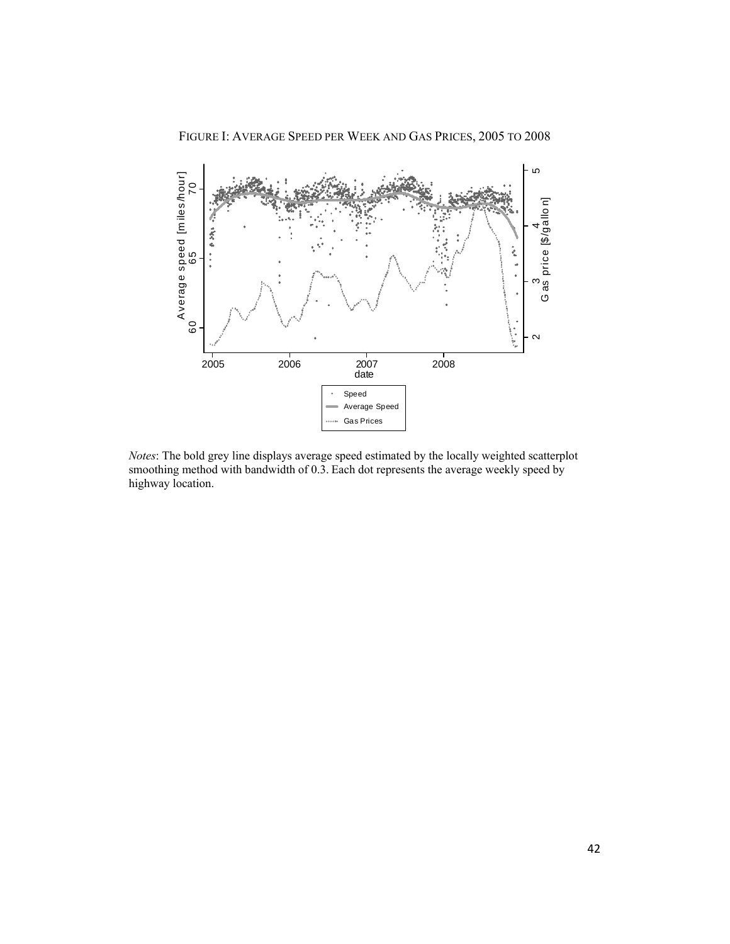FIGURE I: AVERAGE SPEED PER WEEK AND GAS PRICES, 2005 TO 2008



*Notes*: The bold grey line displays average speed estimated by the locally weighted scatterplot smoothing method with bandwidth of 0.3. Each dot represents the average weekly speed by highway location.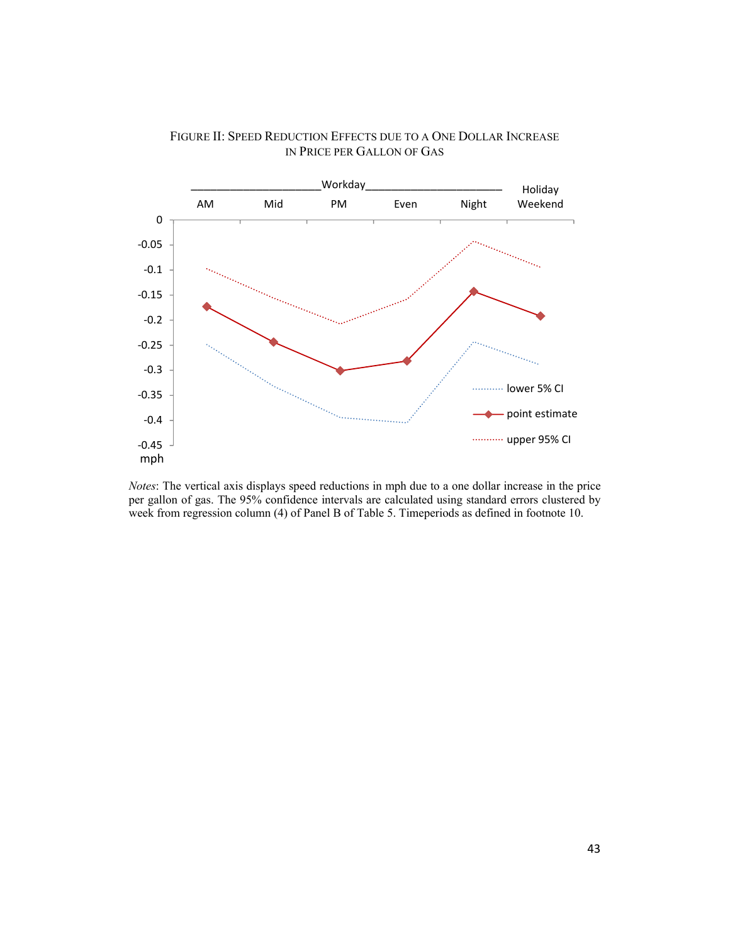

#### FIGURE II: SPEED REDUCTION EFFECTS DUE TO A ONE DOLLAR INCREASE IN PRICE PER GALLON OF GAS

*Notes*: The vertical axis displays speed reductions in mph due to a one dollar increase in the price per gallon of gas. The 95% confidence intervals are calculated using standard errors clustered by week from regression column (4) of Panel B of Table 5. Timeperiods as defined in footnote 10.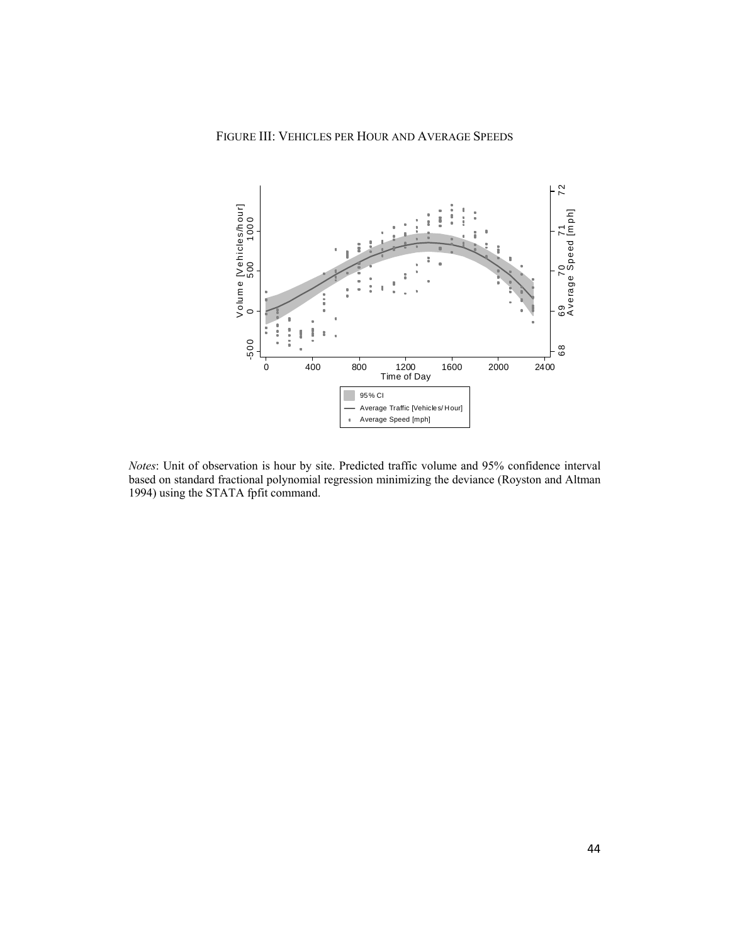

*Notes*: Unit of observation is hour by site. Predicted traffic volume and 95% confidence interval based on standard fractional polynomial regression minimizing the deviance (Royston and Altman 1994) using the STATA fpfit command.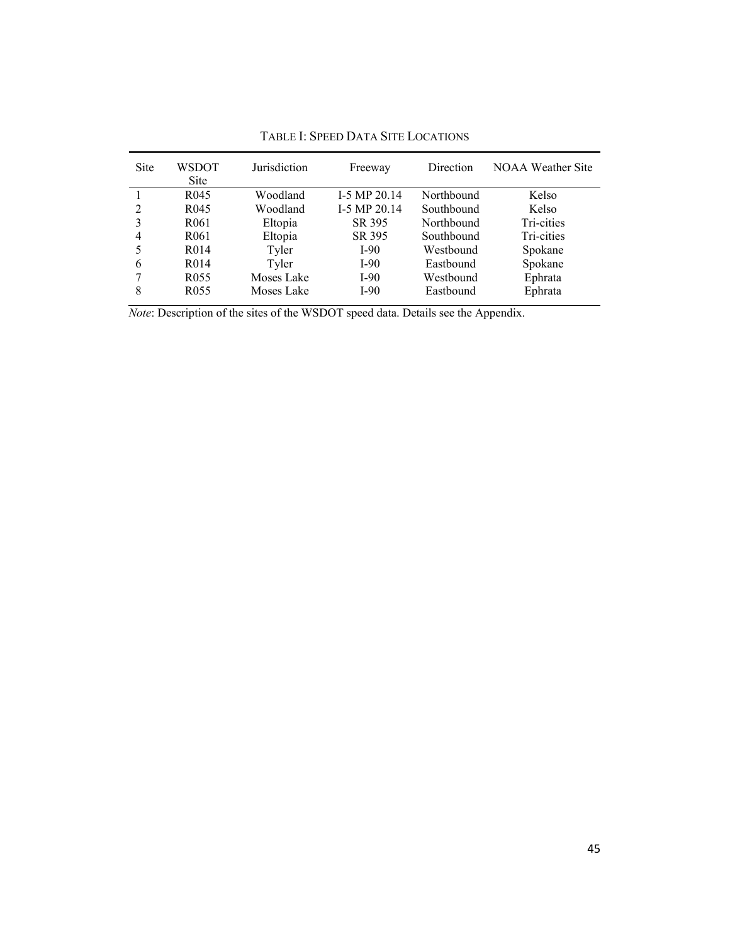| <b>Site</b>    | WSDOT             | Jurisdiction | Freeway        | Direction  | <b>NOAA Weather Site</b> |
|----------------|-------------------|--------------|----------------|------------|--------------------------|
|                | <b>Site</b>       |              |                |            |                          |
|                | R <sub>045</sub>  | Woodland     | $I-5 MP 20.14$ | Northbound | Kelso                    |
| 2              | R <sub>045</sub>  | Woodland     | $I-5 MP 20.14$ | Southbound | Kelso                    |
| 3              | R <sub>061</sub>  | Eltopia      | SR 395         | Northbound | Tri-cities               |
| $\overline{4}$ | R <sub>061</sub>  | Eltopia      | SR 395         | Southbound | Tri-cities               |
|                | R <sub>0</sub> 14 | Tyler        | $I-90$         | Westbound  | Spokane                  |
| 6              | R <sub>0</sub> 14 | Tyler        | $I-90$         | Eastbound  | Spokane                  |
| 7              | R <sub>055</sub>  | Moses Lake   | $I-90$         | Westbound  | Ephrata                  |
| 8              | R <sub>055</sub>  | Moses Lake   | $I-90$         | Eastbound  | Ephrata                  |

TABLE I: SPEED DATA SITE LOCATIONS

*Note*: Description of the sites of the WSDOT speed data. Details see the Appendix.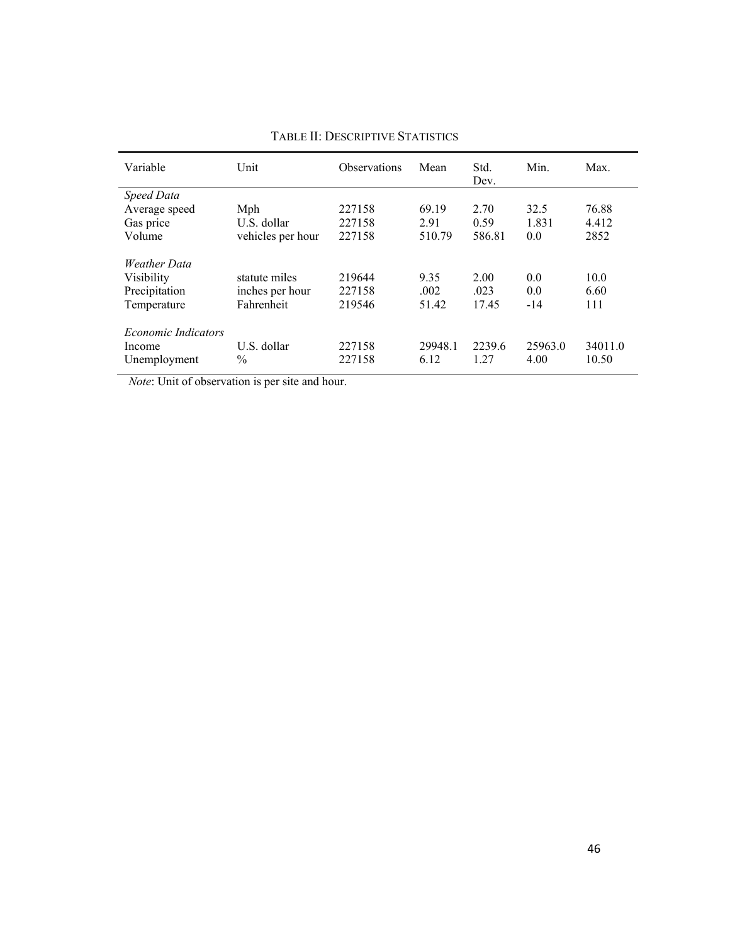| Unit              | <b>Observations</b> | Mean    | Std.   | Min.    | Max.    |
|-------------------|---------------------|---------|--------|---------|---------|
|                   |                     |         | Dev.   |         |         |
|                   |                     |         |        |         |         |
| Mph               | 227158              | 69.19   | 2.70   | 32.5    | 76.88   |
| U.S. dollar       | 227158              | 2.91    | 0.59   | 1.831   | 4.412   |
| vehicles per hour | 227158              | 510.79  | 586.81 | 0.0     | 2852    |
|                   |                     |         |        |         |         |
| statute miles     | 219644              | 9.35    | 2.00   | 0.0     | 10.0    |
| inches per hour   | 227158              | .002    | .023   | 0.0     | 6.60    |
| Fahrenheit        | 219546              | 51.42   | 17.45  | $-14$   | 111     |
|                   |                     |         |        |         |         |
| U.S. dollar       | 227158              | 29948.1 | 2239.6 | 25963.0 | 34011.0 |
| $\frac{0}{0}$     | 227158              | 6.12    | 1 27   | 4.00    | 10.50   |
|                   |                     |         |        |         |         |

#### TABLE II: DESCRIPTIVE STATISTICS

*Note*: Unit of observation is per site and hour.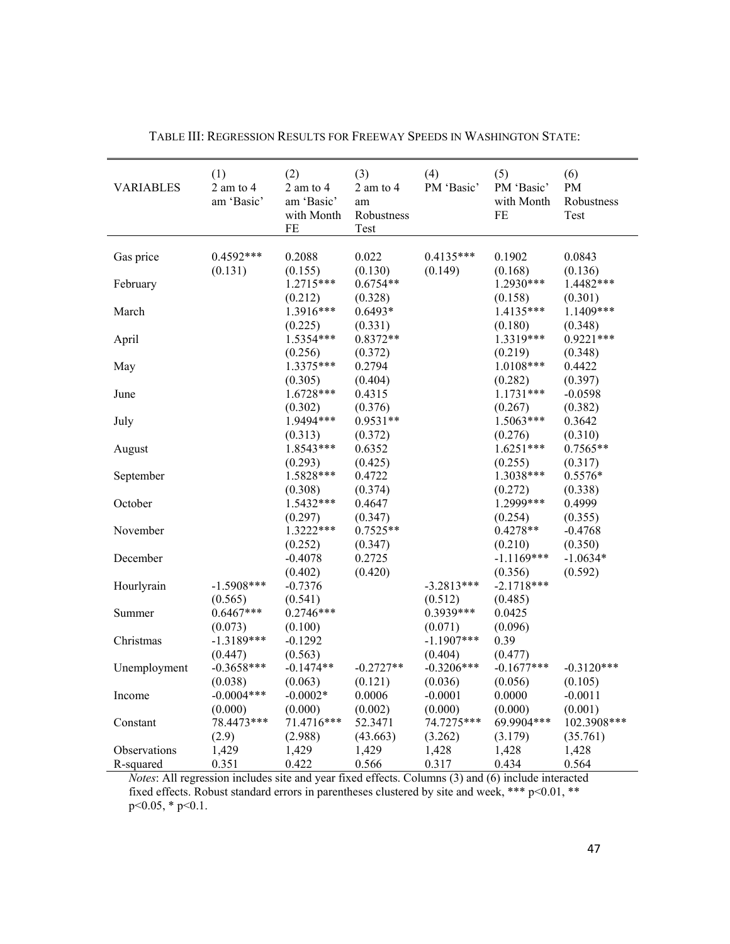| <b>VARIABLES</b> | (1)<br>2 am to 4<br>am 'Basic' | (2)<br>$2$ am to $4$<br>am 'Basic'<br>with Month<br>FE | (3)<br>2 am to 4<br>am<br>Robustness<br>Test | (4)<br>PM 'Basic' | (5)<br>PM 'Basic'<br>with Month<br>FE | (6)<br>PM<br>Robustness<br>Test |
|------------------|--------------------------------|--------------------------------------------------------|----------------------------------------------|-------------------|---------------------------------------|---------------------------------|
|                  |                                |                                                        |                                              |                   |                                       |                                 |
| Gas price        | $0.4592***$                    | 0.2088                                                 | 0.022                                        | $0.4135***$       | 0.1902                                | 0.0843                          |
|                  | (0.131)                        | (0.155)                                                | (0.130)                                      | (0.149)           | (0.168)                               | (0.136)                         |
| February         |                                | 1.2715***                                              | $0.6754**$                                   |                   | 1.2930***                             | 1.4482***                       |
|                  |                                | (0.212)                                                | (0.328)                                      |                   | (0.158)                               | (0.301)                         |
| March            |                                | 1.3916***                                              | 0.6493*                                      |                   | 1.4135***                             | 1.1409***                       |
|                  |                                | (0.225)                                                | (0.331)                                      |                   | (0.180)                               | (0.348)                         |
| April            |                                | 1.5354***                                              | $0.8372**$                                   |                   | 1.3319***                             | $0.9221***$                     |
|                  |                                | (0.256)                                                | (0.372)                                      |                   | (0.219)                               | (0.348)                         |
| May              |                                | 1.3375***                                              | 0.2794                                       |                   | $1.0108***$                           | 0.4422                          |
|                  |                                | (0.305)                                                | (0.404)                                      |                   | (0.282)                               | (0.397)                         |
| June             |                                | 1.6728***                                              | 0.4315                                       |                   | 1.1731***                             | $-0.0598$                       |
|                  |                                | (0.302)                                                | (0.376)                                      |                   | (0.267)                               | (0.382)                         |
| July             |                                | 1.9494***                                              | $0.9531**$                                   |                   | $1.5063***$                           | 0.3642                          |
|                  |                                | (0.313)                                                | (0.372)                                      |                   | (0.276)                               | (0.310)                         |
| August           |                                | 1.8543***                                              | 0.6352                                       |                   | $1.6251***$                           | $0.7565**$                      |
|                  |                                | (0.293)                                                | (0.425)                                      |                   | (0.255)                               | (0.317)                         |
| September        |                                | 1.5828***                                              | 0.4722                                       |                   | 1.3038***                             | $0.5576*$                       |
|                  |                                | (0.308)                                                | (0.374)                                      |                   | (0.272)                               | (0.338)                         |
| October          |                                | 1.5432***                                              | 0.4647                                       |                   | 1.2999***                             | 0.4999                          |
|                  |                                | (0.297)                                                | (0.347)                                      |                   | (0.254)                               | (0.355)                         |
| November         |                                | 1.3222***                                              | $0.7525**$                                   |                   | $0.4278**$                            | $-0.4768$                       |
|                  |                                | (0.252)                                                | (0.347)                                      |                   | (0.210)                               | (0.350)                         |
| December         |                                | $-0.4078$                                              | 0.2725                                       |                   | $-1.1169***$                          | $-1.0634*$                      |
|                  |                                | (0.402)                                                | (0.420)                                      |                   | (0.356)                               | (0.592)                         |
| Hourlyrain       | $-1.5908***$                   | $-0.7376$                                              |                                              | $-3.2813***$      | $-2.1718***$                          |                                 |
|                  | (0.565)                        | (0.541)                                                |                                              | (0.512)           | (0.485)                               |                                 |
| Summer           | $0.6467***$                    | $0.2746***$                                            |                                              | 0.3939***         | 0.0425                                |                                 |
|                  | (0.073)                        | (0.100)                                                |                                              | (0.071)           | (0.096)                               |                                 |
| Christmas        | $-1.3189***$                   | $-0.1292$                                              |                                              | $-1.1907$ ***     | 0.39                                  |                                 |
|                  | (0.447)                        | (0.563)                                                |                                              | (0.404)           | (0.477)                               |                                 |
| Unemployment     | $-0.3658***$                   | $-0.1474**$                                            | $-0.2727**$                                  | $-0.3206***$      | $-0.1677***$                          | $-0.3120***$                    |
|                  | (0.038)                        | (0.063)                                                | (0.121)                                      | (0.036)           | (0.056)                               | (0.105)                         |
| Income           | $-0.0004***$                   | $-0.0002*$                                             | 0.0006                                       | $-0.0001$         | 0.0000                                | $-0.0011$                       |
|                  | (0.000)                        | (0.000)                                                | (0.002)                                      | (0.000)           | (0.000)                               | (0.001)                         |
| Constant         | 78.4473***                     | 71.4716***                                             | 52.3471                                      | 74.7275***        | 69.9904***                            | 102.3908***                     |
|                  | (2.9)                          | (2.988)                                                | (43.663)                                     | (3.262)           | (3.179)                               | (35.761)                        |
| Observations     | 1,429                          | 1,429                                                  | 1,429                                        | 1,428             | 1,428                                 | 1,428                           |
| R-squared        | 0.351                          | 0.422                                                  | 0.566                                        | 0.317             | 0.434                                 | 0.564                           |

TABLE III: REGRESSION RESULTS FOR FREEWAY SPEEDS IN WASHINGTON STATE:

*Notes*: All regression includes site and year fixed effects. Columns (3) and (6) include interacted fixed effects. Robust standard errors in parentheses clustered by site and week, \*\*\* p<0.01, \*\* p<0.05, \* p<0.1.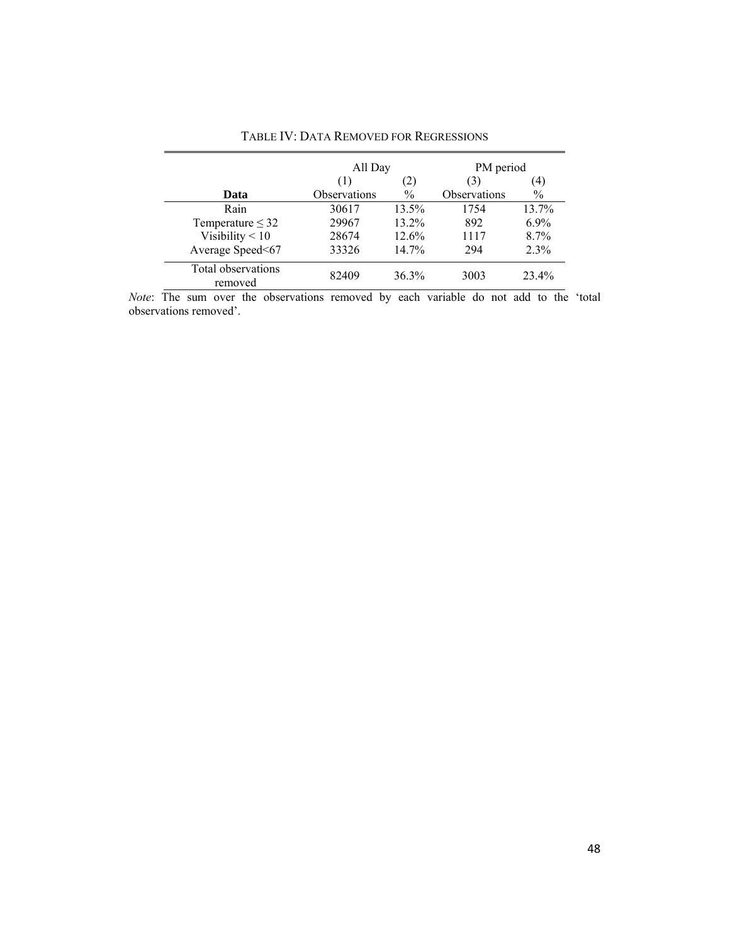|                               | All Day             |               | PM period    |         |
|-------------------------------|---------------------|---------------|--------------|---------|
|                               | (1)                 | (2)           | (3)          | (4)     |
| Data                          | <b>Observations</b> | $\frac{0}{0}$ | Observations | $\%$    |
| Rain                          | 30617               | 13.5%         | 1754         | 13.7%   |
| Temperature $\leq$ 32         | 29967               | 13.2%         | 892          | $6.9\%$ |
| Visibility $< 10$             | 28674               | 12.6%         | 1117         | 8.7%    |
| Average Speed<67              | 33326               | 14.7%         | 294          | 2.3%    |
| Total observations<br>removed | 82409               | 36.3%         | 3003         | 23.4%   |

TABLE IV: DATA REMOVED FOR REGRESSIONS

*Note*: The sum over the observations removed by each variable do not add to the 'total observations removed'.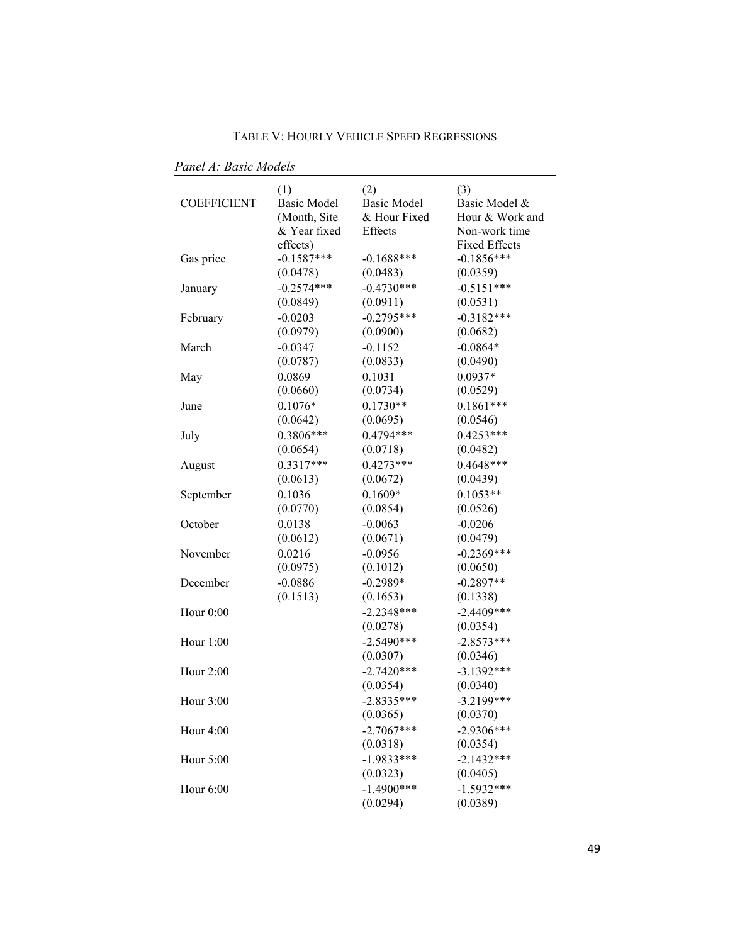TABLE V: HOURLY VEHICLE SPEED REGRESSIONS

 *Panel A: Basic Models* 

| <b>COEFFICIENT</b> | (1)<br><b>Basic Model</b><br>(Month, Site<br>& Year fixed<br>effects) | (2)<br><b>Basic Model</b><br>& Hour Fixed<br>Effects | (3)<br>Basic Model &<br>Hour & Work and<br>Non-work time<br><b>Fixed Effects</b> |
|--------------------|-----------------------------------------------------------------------|------------------------------------------------------|----------------------------------------------------------------------------------|
| Gas price          | $-0.1587***$                                                          | $-0.1688***$                                         | $-0.1856***$                                                                     |
|                    | (0.0478)                                                              | (0.0483)                                             | (0.0359)                                                                         |
| January            | $-0.2574***$                                                          | $-0.4730***$                                         | $-0.5151***$                                                                     |
|                    | (0.0849)                                                              | (0.0911)                                             | (0.0531)                                                                         |
| February           | $-0.0203$                                                             | $-0.2795***$                                         | $-0.3182***$                                                                     |
|                    | (0.0979)                                                              | (0.0900)                                             | (0.0682)                                                                         |
| March              | $-0.0347$                                                             | $-0.1152$                                            | $-0.0864*$                                                                       |
|                    | (0.0787)                                                              | (0.0833)                                             | (0.0490)                                                                         |
| May                | 0.0869                                                                | 0.1031                                               | $0.0937*$                                                                        |
|                    | (0.0660)                                                              | (0.0734)                                             | (0.0529)                                                                         |
| June               | $0.1076*$                                                             | $0.1730**$                                           | $0.1861***$                                                                      |
|                    | (0.0642)                                                              | (0.0695)                                             | (0.0546)                                                                         |
| July               | 0.3806***                                                             | $0.4794***$                                          | $0.4253***$                                                                      |
|                    | (0.0654)                                                              | (0.0718)                                             | (0.0482)                                                                         |
| August             | $0.3317***$                                                           | $0.4273***$                                          | $0.4648***$                                                                      |
|                    | (0.0613)                                                              | (0.0672)                                             | (0.0439)                                                                         |
| September          | 0.1036                                                                | $0.1609*$                                            | $0.1053**$                                                                       |
|                    | (0.0770)                                                              | (0.0854)                                             | (0.0526)                                                                         |
| October            | 0.0138                                                                | $-0.0063$                                            | $-0.0206$                                                                        |
|                    | (0.0612)                                                              | (0.0671)                                             | (0.0479)                                                                         |
| November           | 0.0216                                                                | $-0.0956$                                            | $-0.2369***$                                                                     |
|                    | (0.0975)                                                              | (0.1012)                                             | (0.0650)                                                                         |
| December           | $-0.0886$                                                             | $-0.2989*$                                           | $-0.2897**$                                                                      |
|                    | (0.1513)                                                              | (0.1653)                                             | (0.1338)                                                                         |
| Hour 0:00          |                                                                       | $-2.2348***$                                         | $-2.4409***$                                                                     |
|                    |                                                                       | (0.0278)                                             | (0.0354)                                                                         |
| Hour 1:00          |                                                                       | $-2.5490***$                                         | $-2.8573***$                                                                     |
|                    |                                                                       | (0.0307)                                             | (0.0346)                                                                         |
| Hour 2:00          |                                                                       | $-2.7420***$                                         | $-3.1392***$                                                                     |
|                    |                                                                       | (0.0354)                                             | (0.0340)                                                                         |
| Hour 3:00          |                                                                       | $-2.8335***$                                         | $-3.2199***$                                                                     |
|                    |                                                                       | (0.0365)                                             | (0.0370)                                                                         |
| Hour 4:00          |                                                                       | $-2.7067***$                                         | $-2.9306***$                                                                     |
|                    |                                                                       | (0.0318)                                             | (0.0354)                                                                         |
| Hour 5:00          |                                                                       | $-1.9833***$                                         | $-2.1432***$                                                                     |
|                    |                                                                       | (0.0323)                                             | (0.0405)                                                                         |
| Hour 6:00          |                                                                       | $-1.4900***$                                         | $-1.5932***$                                                                     |
|                    |                                                                       | (0.0294)                                             | (0.0389)                                                                         |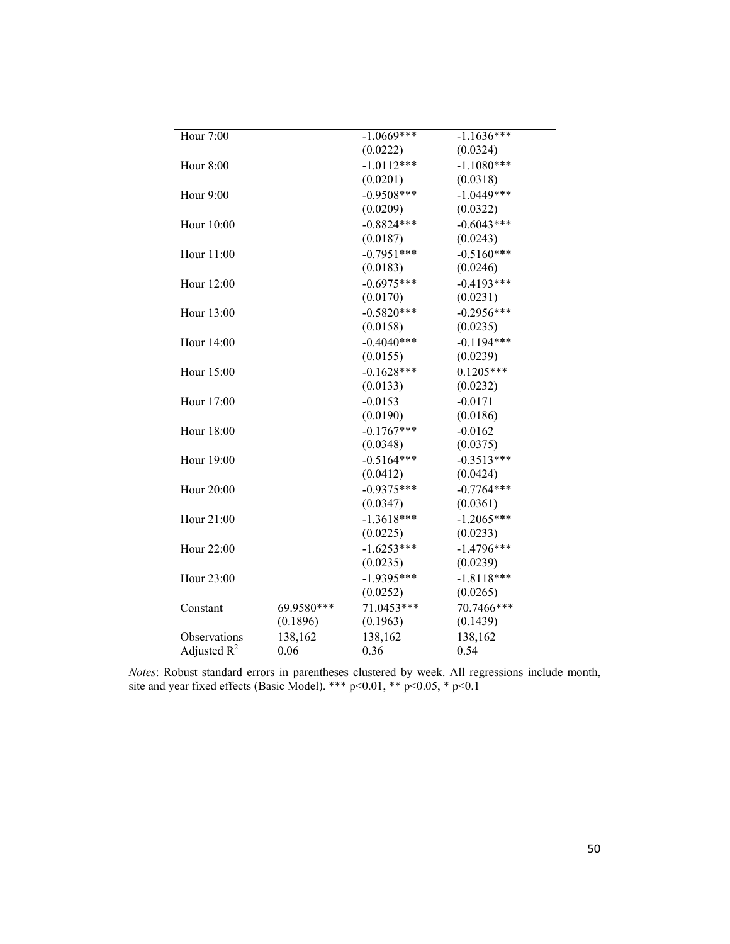| Hour 7:00      |            | $-1.0669***$ | $-1.1636***$ |
|----------------|------------|--------------|--------------|
|                |            | (0.0222)     | (0.0324)     |
| Hour 8:00      |            | $-1.0112***$ | $-1.1080***$ |
|                |            | (0.0201)     | (0.0318)     |
| Hour 9:00      |            | $-0.9508***$ | $-1.0449***$ |
|                |            | (0.0209)     | (0.0322)     |
| Hour 10:00     |            | $-0.8824***$ | $-0.6043***$ |
|                |            | (0.0187)     | (0.0243)     |
| Hour 11:00     |            | $-0.7951***$ | $-0.5160***$ |
|                |            | (0.0183)     | (0.0246)     |
| Hour 12:00     |            | $-0.6975***$ | $-0.4193***$ |
|                |            | (0.0170)     | (0.0231)     |
| Hour 13:00     |            | $-0.5820***$ | $-0.2956***$ |
|                |            | (0.0158)     | (0.0235)     |
| Hour 14:00     |            | $-0.4040***$ | $-0.1194***$ |
|                |            | (0.0155)     | (0.0239)     |
| Hour 15:00     |            | $-0.1628***$ | $0.1205***$  |
|                |            | (0.0133)     | (0.0232)     |
| Hour 17:00     |            | $-0.0153$    | $-0.0171$    |
|                |            | (0.0190)     | (0.0186)     |
| Hour 18:00     |            | $-0.1767***$ | $-0.0162$    |
|                |            | (0.0348)     | (0.0375)     |
| Hour 19:00     |            | $-0.5164***$ | $-0.3513***$ |
|                |            | (0.0412)     | (0.0424)     |
| Hour 20:00     |            | $-0.9375***$ | $-0.7764***$ |
|                |            | (0.0347)     | (0.0361)     |
| Hour 21:00     |            | $-1.3618***$ | $-1.2065***$ |
|                |            | (0.0225)     | (0.0233)     |
| Hour 22:00     |            | $-1.6253***$ | $-1.4796***$ |
|                |            | (0.0235)     | (0.0239)     |
| Hour 23:00     |            | $-1.9395***$ | $-1.8118***$ |
|                |            | (0.0252)     | (0.0265)     |
| Constant       | 69.9580*** | 71.0453***   | 70.7466***   |
|                | (0.1896)   | (0.1963)     | (0.1439)     |
| Observations   | 138,162    | 138,162      | 138,162      |
| Adjusted $R^2$ | 0.06       | 0.36         | 0.54         |

*Notes*: Robust standard errors in parentheses clustered by week. All regressions include month, site and year fixed effects (Basic Model). \*\*\*  $p<0.01$ , \*\*  $p<0.05$ , \*  $p<0.1$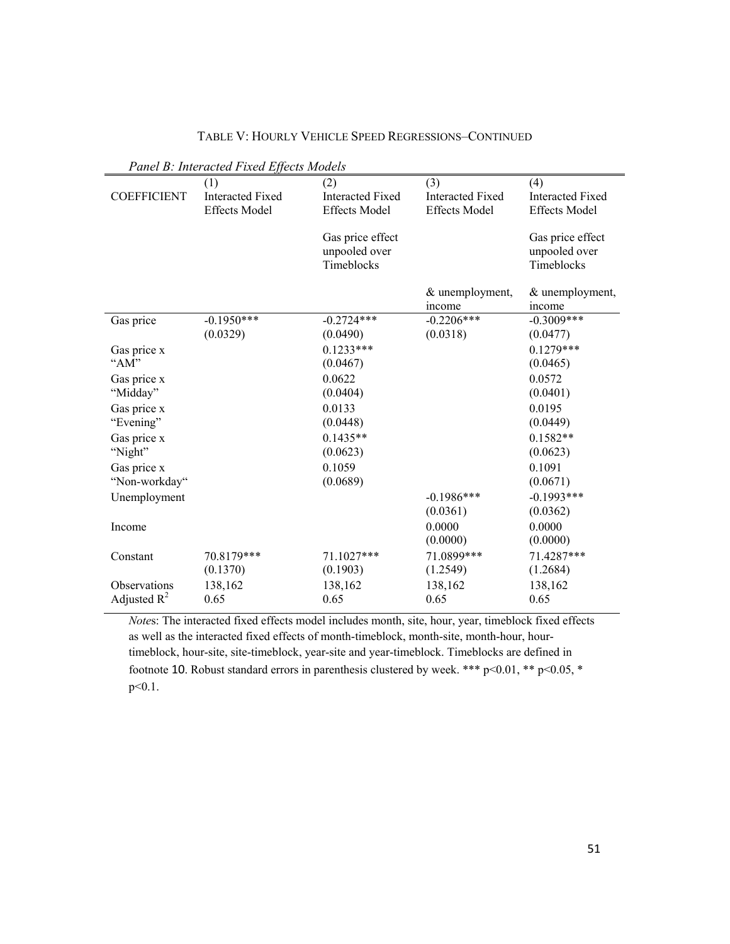|                                | Panel B: Interacted Fixed Effects Models               |                                                        |                                                        |                                                        |
|--------------------------------|--------------------------------------------------------|--------------------------------------------------------|--------------------------------------------------------|--------------------------------------------------------|
| <b>COEFFICIENT</b>             | (1)<br><b>Interacted Fixed</b><br><b>Effects Model</b> | (2)<br><b>Interacted Fixed</b><br><b>Effects Model</b> | (3)<br><b>Interacted Fixed</b><br><b>Effects Model</b> | (4)<br><b>Interacted Fixed</b><br><b>Effects Model</b> |
|                                |                                                        | Gas price effect<br>unpooled over<br>Timeblocks        |                                                        | Gas price effect<br>unpooled over<br>Timeblocks        |
|                                |                                                        |                                                        | & unemployment,<br>income                              | & unemployment,<br>income                              |
| Gas price                      | $-0.1950***$<br>(0.0329)                               | $-0.2724***$<br>(0.0490)                               | $-0.2206***$<br>(0.0318)                               | $-0.3009$ ***<br>(0.0477)                              |
| Gas price x<br>"AM"            |                                                        | $0.1233***$<br>(0.0467)                                |                                                        | $0.1279***$<br>(0.0465)                                |
| Gas price x<br>"Midday"        |                                                        | 0.0622<br>(0.0404)                                     |                                                        | 0.0572<br>(0.0401)                                     |
| Gas price x<br>"Evening"       |                                                        | 0.0133<br>(0.0448)                                     |                                                        | 0.0195<br>(0.0449)                                     |
| Gas price x<br>"Night"         |                                                        | $0.1435**$<br>(0.0623)                                 |                                                        | $0.1582**$<br>(0.0623)                                 |
| Gas price x                    |                                                        | 0.1059                                                 |                                                        | 0.1091                                                 |
| "Non-workday"<br>Unemployment  |                                                        | (0.0689)                                               | $-0.1986***$                                           | (0.0671)<br>$-0.1993***$                               |
| Income                         |                                                        |                                                        | (0.0361)<br>0.0000<br>(0.0000)                         | (0.0362)<br>0.0000<br>(0.0000)                         |
| Constant                       | 70.8179***<br>(0.1370)                                 | 71.1027***<br>(0.1903)                                 | 71.0899***<br>(1.2549)                                 | 71.4287***<br>(1.2684)                                 |
| Observations<br>Adjusted $R^2$ | 138,162<br>0.65                                        | 138,162<br>0.65                                        | 138,162<br>0.65                                        | 138,162<br>0.65                                        |

TABLE V: HOURLY VEHICLE SPEED REGRESSIONS–CONTINUED

*Note*s: The interacted fixed effects model includes month, site, hour, year, timeblock fixed effects as well as the interacted fixed effects of month-timeblock, month-site, month-hour, hourtimeblock, hour-site, site-timeblock, year-site and year-timeblock. Timeblocks are defined in footnote 10. Robust standard errors in parenthesis clustered by week. \*\*\* p<0.01, \*\* p<0.05, \* p<0.1.